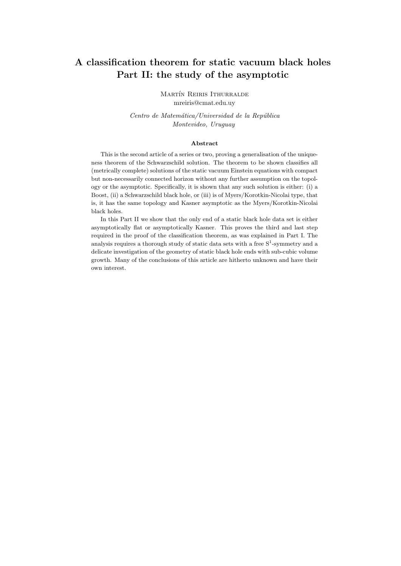# A classification theorem for static vacuum black holes Part II: the study of the asymptotic

MARTÍN REIRIS ITHURRALDE mreiris@cmat.edu.uy

Centro de Matemática/Universidad de la República Montevideo, Uruguay

#### Abstract

This is the second article of a series or two, proving a generalisation of the uniqueness theorem of the Schwarzschild solution. The theorem to be shown classifies all (metrically complete) solutions of the static vacuum Einstein equations with compact but non-necessarily connected horizon without any further assumption on the topology or the asymptotic. Specifically, it is shown that any such solution is either: (i) a Boost, (ii) a Schwarzschild black hole, or (iii) is of Myers/Korotkin-Nicolai type, that is, it has the same topology and Kasner asymptotic as the Myers/Korotkin-Nicolai black holes.

In this Part II we show that the only end of a static black hole data set is either asymptotically flat or asymptotically Kasner. This proves the third and last step required in the proof of the classification theorem, as was explained in Part I. The analysis requires a thorough study of static data sets with a free  $S^1$ -symmetry and a delicate investigation of the geometry of static black hole ends with sub-cubic volume growth. Many of the conclusions of this article are hitherto unknown and have their own interest.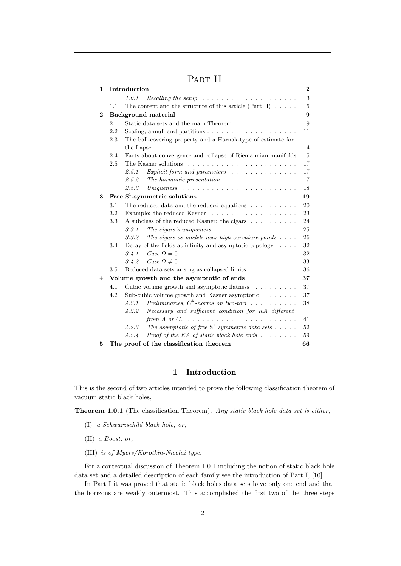# PART II

| $\mathbf{1}$ |                     | Introduction                                                                         | $\bf{2}$ |
|--------------|---------------------|--------------------------------------------------------------------------------------|----------|
|              |                     | 1.0.1<br>$Recalling the setup \dots \dots \dots \dots \dots \dots \dots \dots \dots$ | 3        |
|              | 1.1                 | The content and the structure of this article (Part II) $\dots$ .                    | 6        |
| $\bf{2}$     | Background material |                                                                                      | 9        |
|              | 2.1                 | Static data sets and the main Theorem                                                | 9        |
|              | 2.2                 | Scaling, annuli and partitions $\ldots \ldots \ldots \ldots \ldots \ldots$           | 11       |
|              | 2.3                 | The ball-covering property and a Harnak-type of estimate for                         |          |
|              |                     | the Lapse $\ldots \ldots \ldots \ldots \ldots \ldots \ldots \ldots \ldots \ldots$    | 14       |
|              | 2.4                 | Facts about convergence and collapse of Riemannian manifolds                         | 15       |
|              | 2.5                 |                                                                                      | 17       |
|              |                     | <i>Explicit form and parameters</i> $\ldots \ldots \ldots \ldots$<br>2.5.1           | 17       |
|              |                     | 2.5.2<br>The harmonic presentation $\ldots \ldots \ldots \ldots \ldots$              | 17       |
|              |                     | 2.5.3                                                                                | 18       |
| 3            |                     | Free $S^1$ -symmetric solutions                                                      | 19       |
|              | 3.1                 | The reduced data and the reduced equations $\ldots \ldots \ldots$                    | 20       |
|              | 3.2                 |                                                                                      | 23       |
|              | 3.3                 | A subclass of the reduced Kasner: the cigars                                         | 24       |
|              |                     | The cigars's uniqueness $\ldots \ldots \ldots \ldots \ldots$<br>3.3.1                | 25       |
|              |                     | The cigars as models near high-curvature points $\ldots$ .<br>3.3.2                  | 26       |
|              | 3.4                 | Decay of the fields at infinity and asymptotic topology $\ldots$ .                   | 32       |
|              |                     | 3.4.1                                                                                | 32       |
|              |                     | Case $\Omega \neq 0$<br>3.4.2                                                        | 33       |
|              | 3.5                 | Reduced data sets arising as collapsed limits                                        | 36       |
| 4            |                     | Volume growth and the asymptotic of ends                                             | 37       |
|              | 4.1                 | Cubic volume growth and asymptotic flatness                                          | 37       |
|              | 4.2                 | Sub-cubic volume growth and Kasner asymptotic $\ldots \ldots$                        | 37       |
|              |                     | Preliminaries, $C^k$ -norms on two-tori<br>4.2.1                                     | 38       |
|              |                     | Necessary and sufficient condition for KA different<br>4.2.2                         |          |
|              |                     |                                                                                      | 41       |
|              |                     | The asymptotic of free $S^1$ -symmetric data sets<br>4.2.3                           | 52       |
|              |                     | Proof of the KA of static black hole ends $\dots \dots$<br>4.2.4                     | 59       |
| 5            |                     | The proof of the classification theorem                                              | 66       |

## 1 Introduction

This is the second of two articles intended to prove the following classification theorem of vacuum static black holes,

Theorem 1.0.1 (The classification Theorem). Any static black hole data set is either,

- (I) a Schwarzschild black hole, or,
- (II) a Boost, or,
- (III) is of Myers/Korotkin-Nicolai type.

For a contextual discussion of Theorem 1.0.1 including the notion of static black hole data set and a detailed description of each family see the introduction of Part I, [10].

In Part I it was proved that static black holes data sets have only one end and that the horizons are weakly outermost. This accomplished the first two of the three steps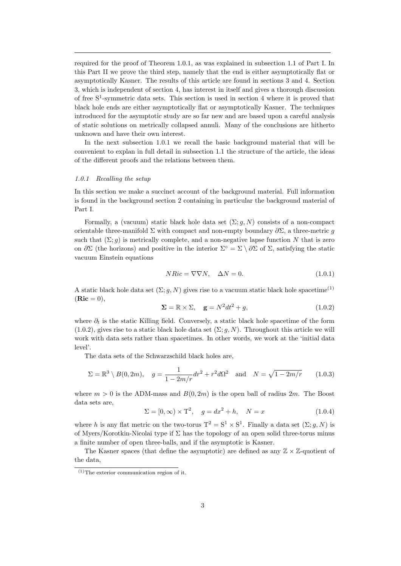required for the proof of Theorem 1.0.1, as was explained in subsection 1.1 of Part I. In this Part II we prove the third step, namely that the end is either asymptotically flat or asymptotically Kasner. The results of this article are found in sections 3 and 4. Section 3, which is independent of section 4, has interest in itself and gives a thorough discussion of free S<sup>1</sup> -symmetric data sets. This section is used in section 4 where it is proved that black hole ends are either asymptotically flat or asymptotically Kasner. The techniques introduced for the asymptotic study are so far new and are based upon a careful analysis of static solutions on metrically collapsed annuli. Many of the conclusions are hitherto unknown and have their own interest.

In the next subsection 1.0.1 we recall the basic background material that will be convenient to explan in full detail in subsection 1.1 the structure of the article, the ideas of the different proofs and the relations between them.

#### 1.0.1 Recalling the setup

In this section we make a succinct account of the background material. Full information is found in the background section 2 containing in particular the background material of Part I.

Formally, a (vacuum) static black hole data set  $(\Sigma; g, N)$  consists of a non-compact orientable three-manifold  $\Sigma$  with compact and non-empty boundary  $\partial \Sigma$ , a three-metric g such that  $(\Sigma; g)$  is metrically complete, and a non-negative lapse function N that is zero on  $\partial \Sigma$  (the horizons) and positive in the interior  $\Sigma^{\circ} = \Sigma \setminus \partial \Sigma$  of  $\Sigma$ , satisfying the static vacuum Einstein equations

$$
NRic = \nabla \nabla N, \quad \Delta N = 0. \tag{1.0.1}
$$

A static black hole data set  $(\Sigma; q, N)$  gives rise to a vacuum static black hole spacetime<sup>(1)</sup>  $($  $\mathbf{Ric} = 0)$ ,

$$
\Sigma = \mathbb{R} \times \Sigma, \quad \mathbf{g} = N^2 dt^2 + g,\tag{1.0.2}
$$

where  $\partial_t$  is the static Killing field. Conversely, a static black hole spacetime of the form  $(1.0.2)$ , gives rise to a static black hole data set  $(\Sigma; q, N)$ . Throughout this article we will work with data sets rather than spacetimes. In other words, we work at the 'initial data level'.

The data sets of the Schwarzschild black holes are,

$$
\Sigma = \mathbb{R}^3 \setminus B(0, 2m), \quad g = \frac{1}{1 - 2m/r} dr^2 + r^2 d\Omega^2 \quad \text{and} \quad N = \sqrt{1 - 2m/r} \tag{1.0.3}
$$

where  $m > 0$  is the ADM-mass and  $B(0, 2m)$  is the open ball of radius  $2m$ . The Boost data sets are,

$$
\Sigma = [0, \infty) \times T^2, \quad g = dx^2 + h, \quad N = x \tag{1.0.4}
$$

where h is any flat metric on the two-torus  $T^2 = S^1 \times S^1$ . Finally a data set  $(\Sigma; g, N)$  is of Myers/Korotkin-Nicolai type if  $\Sigma$  has the topology of an open solid three-torus minus a finite number of open three-balls, and if the asymptotic is Kasner.

The Kasner spaces (that define the asymptotic) are defined as any  $\mathbb{Z} \times \mathbb{Z}$ -quotient of the data,

 $(1)$ The exterior communication region of it.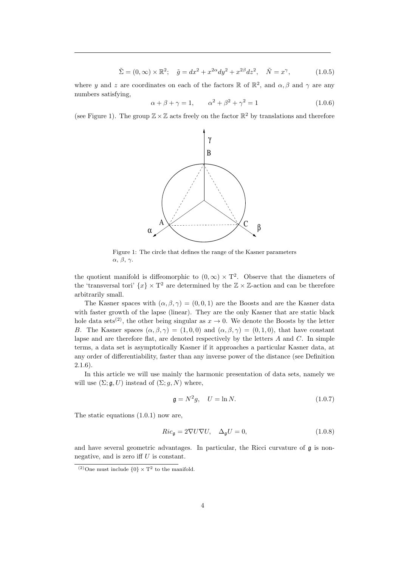$$
\tilde{\Sigma} = (0, \infty) \times \mathbb{R}^2; \quad \tilde{g} = dx^2 + x^{2\alpha} dy^2 + x^{2\beta} dz^2, \quad \tilde{N} = x^{\gamma}, \tag{1.0.5}
$$

where y and z are coordinates on each of the factors  $\mathbb{R}$  of  $\mathbb{R}^2$ , and  $\alpha$ ,  $\beta$  and  $\gamma$  are any numbers satisfying,

$$
\alpha + \beta + \gamma = 1,
$$
\n $\alpha^2 + \beta^2 + \gamma^2 = 1$ \n(1.0.6)

(see Figure 1). The group  $\mathbb{Z} \times \mathbb{Z}$  acts freely on the factor  $\mathbb{R}^2$  by translations and therefore



Figure 1: The circle that defines the range of the Kasner parameters α, β, γ.

the quotient manifold is diffeomorphic to  $(0, \infty) \times T^2$ . Observe that the diameters of the 'transversal tori'  $\{x\} \times T^2$  are determined by the  $\mathbb{Z} \times \mathbb{Z}$ -action and can be therefore arbitrarily small.

The Kasner spaces with  $(\alpha, \beta, \gamma) = (0, 0, 1)$  are the Boosts and are the Kasner data with faster growth of the lapse (linear). They are the only Kasner that are static black hole data sets<sup>(2)</sup>, the other being singular as  $x \to 0$ . We denote the Boosts by the letter B. The Kasner spaces  $(\alpha, \beta, \gamma) = (1, 0, 0)$  and  $(\alpha, \beta, \gamma) = (0, 1, 0)$ , that have constant lapse and are therefore flat, are denoted respectively by the letters  $A$  and  $C$ . In simple terms, a data set is asymptotically Kasner if it approaches a particular Kasner data, at any order of differentiability, faster than any inverse power of the distance (see Definition 2.1.6).

In this article we will use mainly the harmonic presentation of data sets, namely we will use  $(\Sigma; \mathfrak{g}, U)$  instead of  $(\Sigma; g, N)$  where,

$$
\mathfrak{g} = N^2 g, \quad U = \ln N. \tag{1.0.7}
$$

The static equations (1.0.1) now are,

$$
Ric_{\mathfrak{g}} = 2\nabla U\nabla U, \quad \Delta_{\mathfrak{g}}U = 0,
$$
\n(1.0.8)

and have several geometric advantages. In particular, the Ricci curvature of  $\mathfrak g$  is nonnegative, and is zero iff  $U$  is constant.

<sup>&</sup>lt;sup>(2)</sup>One must include  $\{0\} \times T^2$  to the manifold.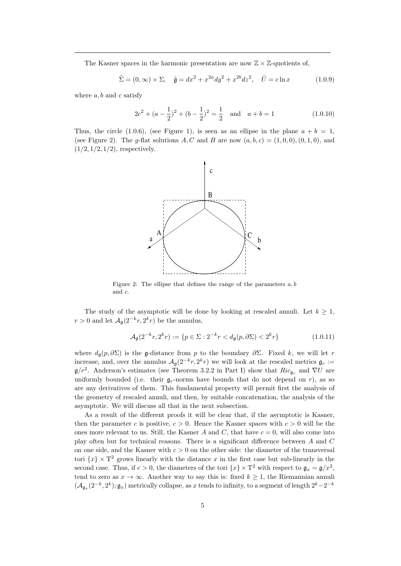The Kasner spaces in the harmonic presentation are now  $\mathbb{Z} \times \mathbb{Z}$ -quotients of,

$$
\tilde{\Sigma} = (0, \infty) \times \Sigma, \quad \tilde{\mathfrak{g}} = dx^2 + x^{2a} dy^2 + x^{2b} dz^2, \quad \tilde{U} = c \ln x \tag{1.0.9}
$$

where  $a, b$  and c satisfy

$$
2c2 + (a - \frac{1}{2})2 + (b - \frac{1}{2})2 = \frac{1}{2} \text{ and } a + b = 1
$$
 (1.0.10)

Thus, the circle (1.0.6), (see Figure 1), is seen as an ellipse in the plane  $a + b = 1$ , (see Figure 2). The g-flat solutions A, C and B are now  $(a, b, c) = (1, 0, 0), (0, 1, 0),$  and  $(1/2, 1/2, 1/2)$ , respectively.



Figure 2: The ellipse that defines the range of the parameters  $a, b$ and c.

The study of the asymptotic will be done by looking at rescaled annuli. Let  $k \geq 1$ ,  $r > 0$  and let  $\mathcal{A}_{\mathfrak{g}}(2^{-k}r, 2^k r)$  be the annulus,

$$
\mathcal{A}_{\mathfrak{g}}(2^{-k}r, 2^{k}r) := \{ p \in \Sigma : 2^{-k}r < d_{\mathfrak{g}}(p, \partial \Sigma) < 2^{k}r \} \tag{1.0.11}
$$

where  $d_{\mathfrak{g}}(p,\partial \Sigma)$  is the g-distance from p to the boundary  $\partial \Sigma$ . Fixed k, we will let r increase, and, over the annulus  $A_{\mathfrak{g}}(2^{-k}r, 2^{k}r)$  we will look at the rescaled metrics  $\mathfrak{g}_r :=$  $\mathfrak{g}/r^2$ . Anderson's estimates (see Theorem 3.2.2 in Part I) show that  $Ric_{\mathfrak{g}_r}$  and  $\nabla U$  are uniformly bounded (i.e. their  $\mathfrak{g}_r$ -norms have bounds that do not depend on r), as so are any derivatives of them. This fundamental property will permit first the analysis of the geometry of rescaled annuli, and then, by suitable concatenation, the analysis of the asymptotic. We will discuss all that in the next subsection.

As a result of the different proofs it will be clear that, if the asymptotic is Kasner, then the parameter c is positive,  $c > 0$ . Hence the Kasner spaces with  $c > 0$  will be the ones more relevant to us. Still, the Kasner A and C, that have  $c = 0$ , will also come into play often but for technical reasons. There is a significant difference between A and C on one side, and the Kasner with  $c > 0$  on the other side: the diameter of the transversal tori  $\{x\} \times T^2$  grows linearly with the distance x in the first case but sub-linearly in the second case. Thus, if  $c > 0$ , the diameters of the tori  $\{x\} \times T^2$  with respect to  $\mathfrak{g}_x = \mathfrak{g}/x^2$ , tend to zero as  $x \to \infty$ . Another way to say this is: fixed  $k \geq 1$ , the Riemannian annuli  $(\mathcal{A}_{\mathfrak{g}_x}(2^{-k}, 2^k); \mathfrak{g}_x)$  metrically collapse, as x tends to infinity, to a segment of length  $2^k-2^{-k}$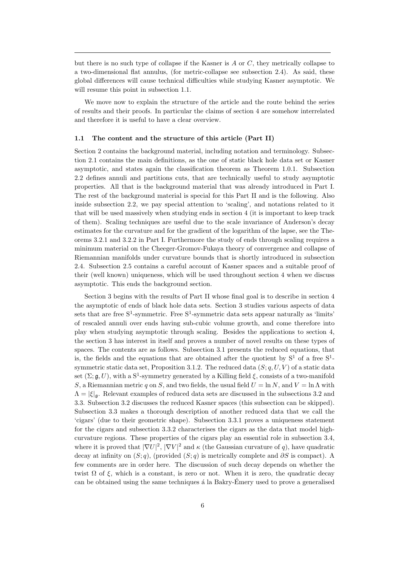but there is no such type of collapse if the Kasner is  $A$  or  $C$ , they metrically collapse to a two-dimensional flat annulus, (for metric-collapse see subsection 2.4). As said, these global differences will cause technical difficulties while studying Kasner asymptotic. We will resume this point in subsection 1.1.

We move now to explain the structure of the article and the route behind the series of results and their proofs. In particular the claims of section 4 are somehow interrelated and therefore it is useful to have a clear overview.

#### 1.1 The content and the structure of this article (Part II)

Section 2 contains the background material, including notation and terminology. Subsection 2.1 contains the main definitions, as the one of static black hole data set or Kasner asymptotic, and states again the classification theorem as Theorem 1.0.1. Subsection 2.2 defines annuli and partitions cuts, that are technically useful to study asymptotic properties. All that is the background material that was already introduced in Part I. The rest of the background material is special for this Part II and is the following. Also inside subsection 2.2, we pay special attention to 'scaling', and notations related to it that will be used massively when studying ends in section 4 (it is important to keep track of them). Scaling techniques are useful due to the scale invariance of Anderson's decay estimates for the curvature and for the gradient of the logarithm of the lapse, see the Theorems 3.2.1 and 3.2.2 in Part I. Furthermore the study of ends through scaling requires a minimum material on the Cheeger-Gromov-Fukaya theory of convergence and collapse of Riemannian manifolds under curvature bounds that is shortly introduced in subsection 2.4. Subsection 2.5 contains a careful account of Kasner spaces and a suitable proof of their (well known) uniqueness, which will be used throughout section 4 when we discuss asymptotic. This ends the background section.

Section 3 begins with the results of Part II whose final goal is to describe in section 4 the asymptotic of ends of black hole data sets. Section 3 studies various aspects of data sets that are free  $S^1$ -symmetric. Free  $S^1$ -symmetric data sets appear naturally as 'limits' of rescaled annuli over ends having sub-cubic volume growth, and come therefore into play when studying asymptotic through scaling. Besides the applications to section 4, the section 3 has interest in itself and proves a number of novel results on these types of spaces. The contents are as follows. Subsection 3.1 presents the reduced equations, that is, the fields and the equations that are obtained after the quotient by  $S^1$  of a free  $S^1$ symmetric static data set, Proposition 3.1.2. The reduced data  $(S; q, U, V)$  of a static data set  $(\Sigma; \mathfrak{g}, U)$ , with a S<sup>1</sup>-symmetry generated by a Killing field  $\xi$ , consists of a two-manifold S, a Riemannian metric q on S, and two fields, the usual field  $U = \ln N$ , and  $V = \ln \Lambda$  with  $\Lambda = |\xi|_{\mathfrak{a}}$ . Relevant examples of reduced data sets are discussed in the subsections 3.2 and 3.3. Subsection 3.2 discusses the reduced Kasner spaces (this subsection can be skipped). Subsection 3.3 makes a thorough description of another reduced data that we call the 'cigars' (due to their geometric shape). Subsection 3.3.1 proves a uniqueness statement for the cigars and subsection 3.3.2 characterises the cigars as the data that model highcurvature regions. These properties of the cigars play an essential role in subsection 3.4, where it is proved that  $|\nabla U|^2$ ,  $|\nabla V|^2$  and  $\kappa$  (the Gaussian curvature of q), have quadratic decay at infinity on  $(S; q)$ , (provided  $(S; q)$  is metrically complete and  $\partial S$  is compact). A few comments are in order here. The discussion of such decay depends on whether the twist  $\Omega$  of  $\xi$ , which is a constant, is zero or not. When it is zero, the quadratic decay can be obtained using the same techniques  $\acute{a}$  la Bakry-Émery used to prove a generalised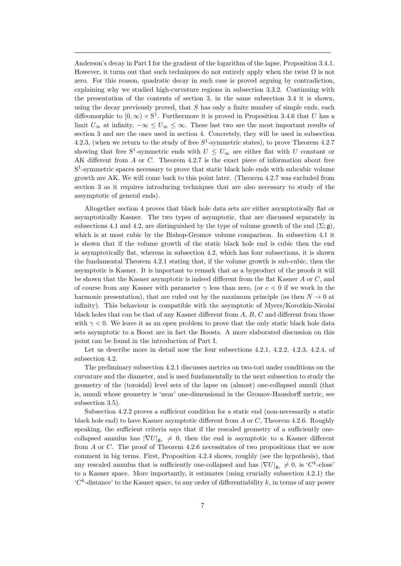Anderson's decay in Part I for the gradient of the logarithm of the lapse, Proposition 3.4.1. However, it turns out that such techniques do not entirely apply when the twist  $\Omega$  is not zero. For this reason, quadratic decay in such case is proved arguing by contradiction, explaining why we studied high-curvature regions in subsection 3.3.2. Continuing with the presentation of the contents of section 3, in the same subsection 3.4 it is shown, using the decay previously proved, that  $S$  has only a finite number of simple ends, each diffeomorphic to  $[0, \infty) \times S^1$ . Furthermore it is proved in Proposition 3.4.6 that U has a limit  $U_{\infty}$  at infinity,  $-\infty \leq U_{\infty} \leq \infty$ . These last two are the most important results of section 3 and are the ones used in section 4. Concretely, they will be used in subsection 4.2.3, (when we return to the study of free  $S^1$ -symmetric states), to prove Theorem 4.2.7 showing that free S<sup>1</sup>-symmetric ends with  $U \leq U_{\infty}$  are either flat with U constant or AK different from A or C. Theorem 4.2.7 is the exact piece of information about free S<sup>1</sup>-symmetric spaces necessary to prove that static black hole ends with subcubic volume growth are AK. We will come back to this point later. (Theorem 4.2.7 was excluded from section 3 as it requires introducing techniques that are also necessary to study of the assymptotic of general ends).

Altogether section 4 proves that black hole data sets are either asymptotically flat or asymptotically Kasner. The two types of asymptotic, that are discussed separately in subsections 4.1 and 4.2, are distinguished by the type of volume growth of the end  $(\Sigma; \mathfrak{g})$ . which is at most cubic by the Bishop-Gromov volume comparison. In subsection 4.1 it is shown that if the volume growth of the static black hole end is cubic then the end is asymptotically flat, whereas in subsection 4.2, which has four subsections, it is shown the fundamental Theorem 4.2.1 stating that, if the volume growth is sub-cubic, then the asymptotic is Kasner. It is important to remark that as a byproduct of the proofs it will be shown that the Kasner asymptotic is indeed different from the flat Kasner A or C, and of course from any Kasner with parameter  $\gamma$  less than zero, (or  $c < 0$  if we work in the harmonic presentation), that are ruled out by the maximum principle (as then  $N \to 0$  at infinity). This behaviour is compatible with the asymptotic of Myers/Korotkin-Nicolai black holes that can be that of any Kasner different from A, B, C and different from those with  $\gamma$  < 0. We leave it as an open problem to prove that the only static black hole data sets asymptotic to a Boost are in fact the Boosts. A more elaborated discussion on this point can be found in the introduction of Part I.

Let us describe more in detail now the four subsections 4.2.1, 4.2.2, 4.2.3, 4.2.4, of subsection 4.2.

The preliminary subsection 4.2.1 discusses metrics on two-tori under conditions on the curvature and the diameter, and is used fundamentally in the next subsection to study the geometry of the (toroidal) level sets of the lapse on (almost) one-collapsed annuli (that is, annuli whose geometry is 'near' one-dimensional in the Gromov-Hausdorff metric, see subsection 3.5).

Subsection 4.2.2 proves a sufficient condition for a static end (non-necessarily a static black hole end) to have Kasner asymptotic different from A or C, Theorem 4.2.6. Roughly speaking, the sufficient criteria says that if the rescaled geometry of a sufficiently onecollapsed annulus has  $|\nabla U|_{\mathfrak{g}_r} \neq 0$ , then the end is asymptotic to a Kasner different from A or C. The proof of Theorem 4.2.6 necessitates of two propositions that we now comment in big terms. First, Proposition 4.2.4 shows, roughly (see the hypothesis), that any rescaled annulus that is sufficiently one-collapsed and has  $|\nabla U|_{\mathfrak{g}_r} \neq 0$ , is 'C<sup>k</sup>-close' to a Kasner space. More importantly, it estimates (using crucially subsection 4.2.1) the  ${}^{\circ}C^{k}$ -distance' to the Kasner space, to any order of differentiability k, in terms of any power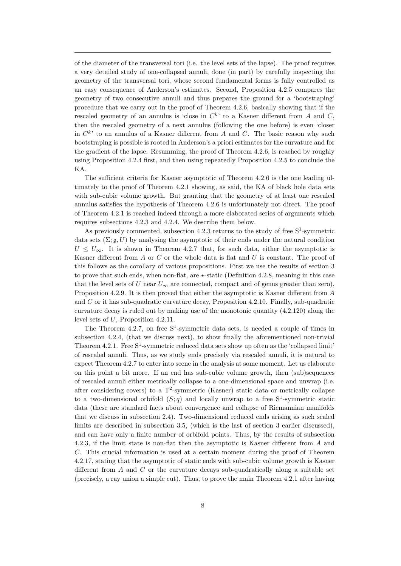of the diameter of the transversal tori (i.e. the level sets of the lapse). The proof requires a very detailed study of one-collapsed annuli, done (in part) by carefully inspecting the geometry of the transversal tori, whose second fundamental forms is fully controlled as an easy consequence of Anderson's estimates. Second, Proposition 4.2.5 compares the geometry of two consecutive annuli and thus prepares the ground for a 'bootstraping' procedure that we carry out in the proof of Theorem 4.2.6, basically showing that if the rescaled geometry of an annulus is 'close in  $C<sup>k</sup>$ ' to a Kasner different from A and C, then the rescaled geometry of a next annulus (following the one before) is even 'closer in  $C<sup>k</sup>$  to an annulus of a Kasner different from A and C. The basic reason why such bootstraping is possible is rooted in Anderson's a priori estimates for the curvature and for the gradient of the lapse. Resumming, the proof of Theorem 4.2.6, is reached by roughly using Proposition 4.2.4 first, and then using repeatedly Proposition 4.2.5 to conclude the KA.

The sufficient criteria for Kasner asymptotic of Theorem 4.2.6 is the one leading ultimately to the proof of Theorem 4.2.1 showing, as said, the KA of black hole data sets with sub-cubic volume growth. But granting that the geometry of at least one rescaled annulus satisfies the hypothesis of Theorem 4.2.6 is unfortunately not direct. The proof of Theorem 4.2.1 is reached indeed through a more elaborated series of arguments which requires subsections 4.2.3 and 4.2.4. We describe them below.

As previously commented, subsection  $4.2.3$  returns to the study of free  $S^1$ -symmetric data sets  $(\Sigma; \mathfrak{g}, U)$  by analysing the asymptotic of their ends under the natural condition  $U \leq U_{\infty}$ . It is shown in Theorem 4.2.7 that, for such data, either the asymptotic is Kasner different from  $A$  or  $C$  or the whole data is flat and  $U$  is constant. The proof of this follows as the corollary of various propositions. First we use the results of section 3 to prove that such ends, when non-flat, are  $\star$ -static (Definition 4.2.8, meaning in this case that the level sets of U near  $U_{\infty}$  are connected, compact and of genus greater than zero), Proposition 4.2.9. It is then proved that either the asymptotic is Kasner different from A and C or it has sub-quadratic curvature decay, Proposition 4.2.10. Finally, sub-quadratic curvature decay is ruled out by making use of the monotonic quantity (4.2.120) along the level sets of U, Proposition 4.2.11.

The Theorem 4.2.7, on free  $S^1$ -symmetric data sets, is needed a couple of times in subsection 4.2.4, (that we discuss next), to show finally the aforementioned non-trivial Theorem 4.2.1. Free  $S^1$ -symmetric reduced data sets show up often as the 'collapsed limit' of rescaled annuli. Thus, as we study ends precisely via rescaled annuli, it is natural to expect Theorem 4.2.7 to enter into scene in the analysis at some moment. Let us elaborate on this point a bit more. If an end has sub-cubic volume growth, then (sub)sequences of rescaled annuli either metrically collapse to a one-dimensional space and unwrap (i.e. after considering covers) to a  $T^2$ -symmetric (Kasner) static data or metrically collapse to a two-dimensional orbifold  $(S; q)$  and locally unwrap to a free  $S^1$ -symmetric static data (these are standard facts about convergence and collapse of Riemannian manifolds that we discuss in subsection 2.4). Two-dimensional reduced ends arising as such scaled limits are described in subsection 3.5, (which is the last of section 3 earlier discussed), and can have only a finite number of orbifold points. Thus, by the results of subsection 4.2.3, if the limit state is non-flat then the asymptotic is Kasner different from A and C. This crucial information is used at a certain moment during the proof of Theorem 4.2.17, stating that the asymptotic of static ends with sub-cubic volume growth is Kasner different from  $A$  and  $C$  or the curvature decays sub-quadratically along a suitable set (precisely, a ray union a simple cut). Thus, to prove the main Theorem 4.2.1 after having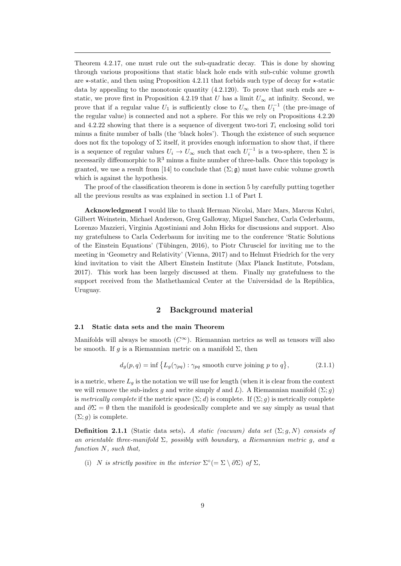Theorem 4.2.17, one must rule out the sub-quadratic decay. This is done by showing through various propositions that static black hole ends with sub-cubic volume growth are  $\star$ -static, and then using Proposition 4.2.11 that forbids such type of decay for  $\star$ -static data by appealing to the monotonic quantity (4.2.120). To prove that such ends are  $\star$ static, we prove first in Proposition 4.2.19 that U has a limit  $U_{\infty}$  at infinity. Second, we prove that if a regular value  $U_1$  is sufficiently close to  $U_{\infty}$  then  $U_1^{-1}$  (the pre-image of the regular value) is connected and not a sphere. For this we rely on Propositions 4.2.20 and 4.2.22 showing that there is a sequence of divergent two-tori  $T_i$  enclosing solid tori minus a finite number of balls (the 'black holes'). Though the existence of such sequence does not fix the topology of  $\Sigma$  itself, it provides enough information to show that, if there is a sequence of regular values  $U_i \to U_{\infty}$  such that each  $U_i^{-1}$  is a two-sphere, then  $\Sigma$  is necessarily diffeomorphic to  $\mathbb{R}^3$  minus a finite number of three-balls. Once this topology is granted, we use a result from [14] to conclude that  $(\Sigma; \mathfrak{g})$  must have cubic volume growth which is against the hypothesis.

The proof of the classification theorem is done in section 5 by carefully putting together all the previous results as was explained in section 1.1 of Part I.

Acknowledgment I would like to thank Herman Nicolai, Marc Mars, Marcus Kuhri, Gilbert Weinstein, Michael Anderson, Greg Galloway, Miguel Sanchez, Carla Cederbaum, Lorenzo Mazzieri, Virginia Agostiniani and John Hicks for discussions and support. Also my gratefulness to Carla Cederbaum for inviting me to the conference 'Static Solutions of the Einstein Equations' (Tübingen, 2016), to Piotr Chrusciel for inviting me to the meeting in 'Geometry and Relativity' (Vienna, 2017) and to Helmut Friedrich for the very kind invitation to visit the Albert Einstein Institute (Max Planck Institute, Potsdam, 2017). This work has been largely discussed at them. Finally my gratefulness to the support received from the Mathethamical Center at the Universidad de la República, Uruguay.

## 2 Background material

## 2.1 Static data sets and the main Theorem

Manifolds will always be smooth  $(C^{\infty})$ . Riemannian metrics as well as tensors will also be smooth. If g is a Riemannian metric on a manifold  $\Sigma$ , then

$$
d_g(p,q) = \inf \left\{ L_g(\gamma_{pq}) : \gamma_{pq} \text{ smooth curve joining } p \text{ to } q \right\},\tag{2.1.1}
$$

is a metric, where  $L_q$  is the notation we will use for length (when it is clear from the context we will remove the sub-index g and write simply d and L). A Riemannian manifold  $(\Sigma; g)$ is metrically complete if the metric space  $(\Sigma; d)$  is complete. If  $(\Sigma; g)$  is metrically complete and  $\partial \Sigma = \emptyset$  then the manifold is geodesically complete and we say simply as usual that  $(\Sigma; q)$  is complete.

**Definition 2.1.1** (Static data sets). A static (vacuum) data set  $(\Sigma; g, N)$  consists of an orientable three-manifold  $\Sigma$ , possibly with boundary, a Riemannian metric q, and a function N, such that,

(i) N is strictly positive in the interior  $\Sigma^{\circ}(=\Sigma \setminus \partial \Sigma)$  of  $\Sigma$ ,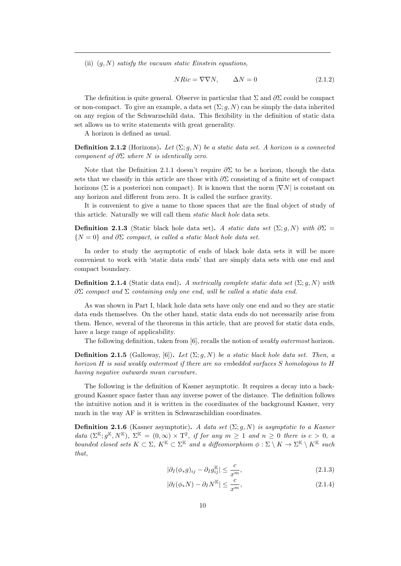(ii)  $(q, N)$  satisfy the vacuum static Einstein equations,

$$
NRic = \nabla \nabla N, \qquad \Delta N = 0 \tag{2.1.2}
$$

The definition is quite general. Observe in particular that  $\Sigma$  and  $\partial \Sigma$  could be compact or non-compact. To give an example, a data set  $(\Sigma; g, N)$  can be simply the data inherited on any region of the Schwarzschild data. This flexibility in the definition of static data set allows us to write statements with great generality.

A horizon is defined as usual.

**Definition 2.1.2** (Horizons). Let  $(\Sigma; g, N)$  be a static data set. A horizon is a connected component of  $\partial \Sigma$  where N is identically zero.

Note that the Definition 2.1.1 doesn't require  $\partial \Sigma$  to be a horizon, though the data sets that we classify in this article are those with  $\partial \Sigma$  consisting of a finite set of compact horizons ( $\Sigma$  is a posteriori non compact). It is known that the norm  $|\nabla N|$  is constant on any horizon and different from zero. It is called the surface gravity.

It is convenient to give a name to those spaces that are the final object of study of this article. Naturally we will call them static black hole data sets.

**Definition 2.1.3** (Static black hole data set). A static data set (Σ; q, N) with  $\partial \Sigma$  =  $\{N=0\}$  and  $\partial \Sigma$  compact, is called a static black hole data set.

In order to study the asymptotic of ends of black hole data sets it will be more convenient to work with 'static data ends' that are simply data sets with one end and compact boundary.

**Definition 2.1.4** (Static data end). A metrically complete static data set  $(\Sigma; q, N)$  with  $\partial \Sigma$  compact and  $\Sigma$  containing only one end, will be called a static data end.

As was shown in Part I, black hole data sets have only one end and so they are static data ends themselves. On the other hand, static data ends do not necessarily arise from them. Hence, several of the theorems in this article, that are proved for static data ends, have a large range of applicability.

The following definition, taken from [6], recalls the notion of weakly outermost horizon.

**Definition 2.1.5** (Galloway, [6]). Let  $(\Sigma; g, N)$  be a static black hole data set. Then, a horizon H is said weakly outermost if there are no embedded surfaces S homologous to H having negative outwards mean curvature.

The following is the definition of Kasner asymptotic. It requires a decay into a background Kasner space faster than any inverse power of the distance. The definition follows the intuitive notion and it is written in the coordinates of the background Kasner, very much in the way AF is written in Schwarzschildian coordinates.

**Definition 2.1.6** (Kasner asymptotic). A data set  $(\Sigma; g, N)$  is asymptotic to a Kasner data  $(\Sigma^{\mathbb{K}}; g^{\mathbb{K}}, N^{\mathbb{K}}), \Sigma^{\mathbb{K}} = (0, \infty) \times T^2$ , if for any  $m \geq 1$  and  $n \geq 0$  there is  $c > 0$ , a bounded closed sets  $K \subset \Sigma$ ,  $K^{\mathbb{K}} \subset \Sigma^{\mathbb{K}}$  and a diffeomorphism  $\phi : \Sigma \setminus K \to \Sigma^{\mathbb{K}} \setminus K^{\mathbb{K}}$  such that,

$$
|\partial_I(\phi_*g)_{ij} - \partial_I g_{ij}^{\mathbb{K}}| \le \frac{c}{x^m},\tag{2.1.3}
$$

$$
|\partial_I(\phi_* N) - \partial_I N^{\mathbb{K}}| \le \frac{c}{x^m},\tag{2.1.4}
$$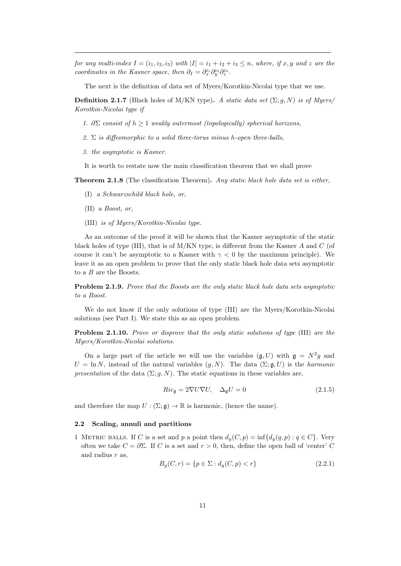for any multi-index  $I = (i_1, i_2, i_3)$  with  $|I| = i_1 + i_2 + i_3 \leq n$ , where, if x, y and z are the coordinates in the Kasner space, then  $\partial_I = \partial_x^{i_1} \partial_y^{i_2} \partial_z^{i_3}$ .

The next is the definition of data set of Myers/Korotkin-Nicolai type that we use.

**Definition 2.1.7** (Black holes of M/KN type). A static data set  $(\Sigma; q, N)$  is of Myers/ Korotkin-Nicolai type if

- 1.  $\partial \Sigma$  consist of  $h \geq 1$  weakly outermost (topologically) spherical horizons,
- 2.  $\Sigma$  is diffeomorphic to a solid three-torus minus h-open three-balls.
- 3. the asymptotic is Kasner.

It is worth to restate now the main classification theorem that we shall prove

**Theorem 2.1.8** (The classification Theorem). Any static black hole data set is either,

- (I) a Schwarzschild black hole, or,
- (II) a Boost, or,
- (III) is of Myers/Korotkin-Nicolai type.

As an outcome of the proof it will be shown that the Kasner asymptotic of the static black holes of type (III), that is of  $M/KN$  type, is different from the Kasner A and C (of course it can't be asymptotic to a Kasner with  $\gamma < 0$  by the maximum principle). We leave it as an open problem to prove that the only static black hole data sets asymptotic to a B are the Boosts.

Problem 2.1.9. Prove that the Boosts are the only static black hole data sets asymptotic to a Boost.

We do not know if the only solutions of type (III) are the Myers/Korotkin-Nicolai solutions (see Part I). We state this as an open problem.

Problem 2.1.10. Prove or disprove that the only static solutions of type (III) are the Myers/Korotkin-Nicolai solutions.

On a large part of the article we will use the variables  $(\mathfrak{g}, U)$  with  $\mathfrak{g} = N^2 g$  and  $U = \ln N$ , instead of the natural variables  $(g, N)$ . The data  $(\Sigma; \mathfrak{g}, U)$  is the *harmonic* presentation of the data  $(\Sigma; g, N)$ . The static equations in these variables are,

$$
Ric_{\mathfrak{g}} = 2\nabla U \nabla U, \quad \Delta_{\mathfrak{g}} U = 0 \tag{2.1.5}
$$

and therefore the map  $U : (\Sigma; \mathfrak{g}) \to \mathbb{R}$  is harmonic, (hence the name).

#### 2.2 Scaling, annuli and partitions

1 METRIC BALLS. If C is a set and p a point then  $d_q(C, p) = \inf\{d_q(q, p) : q \in C\}$ . Very often we take  $C = \partial \Sigma$ . If C is a set and  $r > 0$ , then, define the open ball of 'center' C and radius  $r$  as,

$$
B_g(C, r) = \{ p \in \Sigma : d_g(C, p) < r \} \tag{2.2.1}
$$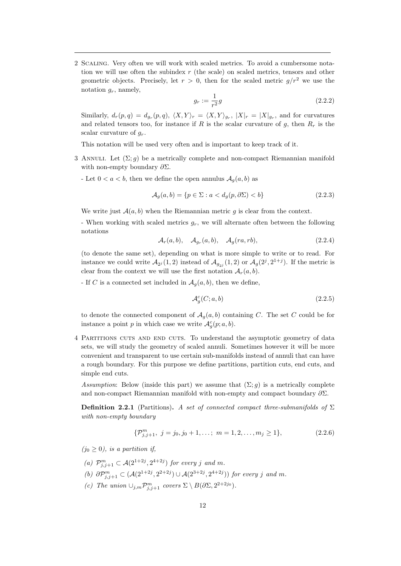2 Scaling. Very often we will work with scaled metrics. To avoid a cumbersome notation we will use often the subindex  $r$  (the scale) on scaled metrics, tensors and other geometric objects. Precisely, let  $r > 0$ , then for the scaled metric  $g/r^2$  we use the notation  $g_r$ , namely,

$$
g_r := \frac{1}{r^2}g\tag{2.2.2}
$$

Similarly,  $d_r(p,q) = d_{g_r}(p,q)$ ,  $\langle X, Y \rangle_r = \langle X, Y \rangle_{g_r}$ ,  $|X|_r = |X|_{g_r}$ , and for curvatures and related tensors too, for instance if R is the scalar curvature of q, then  $R_r$  is the scalar curvature of  $g_r$ .

This notation will be used very often and is important to keep track of it.

- 3 ANNULI. Let  $(\Sigma; q)$  be a metrically complete and non-compact Riemannian manifold with non-empty boundary  $\partial \Sigma$ .
	- Let  $0 < a < b$ , then we define the open annulus  $A_q(a, b)$  as

$$
\mathcal{A}_g(a,b) = \{ p \in \Sigma : a < d_g(p, \partial \Sigma) < b \} \tag{2.2.3}
$$

We write just  $A(a, b)$  when the Riemannian metric q is clear from the context.

- When working with scaled metrics  $g_r$ , we will alternate often between the following notations

$$
\mathcal{A}_r(a,b), \quad \mathcal{A}_{g_r}(a,b), \quad \mathcal{A}_g(ra, rb), \tag{2.2.4}
$$

(to denote the same set), depending on what is more simple to write or to read. For instance we could write  $\mathcal{A}_{2^j}(1,2)$  instead of  $\mathcal{A}_{g_{2^j}}(1,2)$  or  $\mathcal{A}_g(2^j,2^{1+j})$ . If the metric is clear from the context we will use the first notation  $\mathcal{A}_r(a, b)$ .

- If C is a connected set included in  $A_q(a, b)$ , then we define,

$$
\mathcal{A}_g^c(C; a, b) \tag{2.2.5}
$$

to denote the connected component of  $\mathcal{A}_q(a, b)$  containing C. The set C could be for instance a point p in which case we write  $\mathcal{A}^c_g(p; a, b)$ .

4 Partitions cuts and end cuts. To understand the asymptotic geometry of data sets, we will study the geometry of scaled annuli. Sometimes however it will be more convenient and transparent to use certain sub-manifolds instead of annuli that can have a rough boundary. For this purpose we define partitions, partition cuts, end cuts, and simple end cuts.

Assumption: Below (inside this part) we assume that  $(\Sigma; g)$  is a metrically complete and non-compact Riemannian manifold with non-empty and compact boundary  $\partial \Sigma$ .

**Definition 2.2.1** (Partitions). A set of connected compact three-submanifolds of  $\Sigma$ with non-empty boundary

$$
\{\mathcal{P}_{j,j+1}^m, j = j_0, j_0 + 1, \dots; m = 1, 2, \dots, m_j \ge 1\},\tag{2.2.6}
$$

 $(j_0 \geq 0)$ , is a partition if,

- (a)  $\mathcal{P}_{j,j+1}^m \subset \mathcal{A}(2^{1+2j}, 2^{4+2j})$  for every j and m.
- (b)  $\partial \mathcal{P}_{j,j+1}^m \subset (\mathcal{A}(2^{1+2j}, 2^{2+2j}) \cup \mathcal{A}(2^{3+2j}, 2^{4+2j}))$  for every j and m.
- (c) The union  $\cup_{j,m} \mathcal{P}_{j,j+1}^m$  covers  $\Sigma \setminus B(\partial \Sigma, 2^{2+2j_0})$ .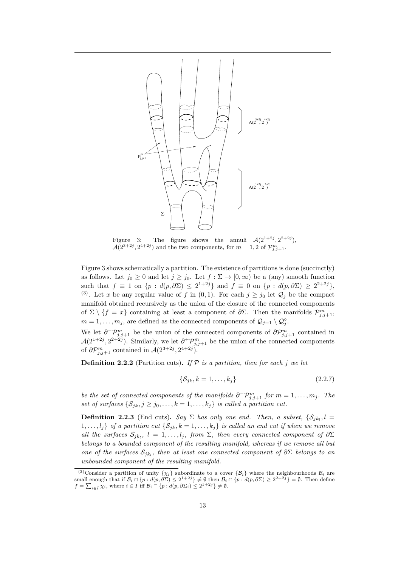

Figure 3: The figure shows the annuli  $\mathcal{A}(2^{1+2j}, 2^{2+2j})$ ,  $\mathcal{A}(2^{3+2j}, 2^{4+2j})$  and the two components, for  $m=1,2$  of  $\mathcal{P}_{j,j+1}^m$ .

Figure 3 shows schematically a partition. The existence of partitions is done (succinctly) as follows. Let  $j_0 \geq 0$  and let  $j \geq j_0$ . Let  $f : \Sigma \to [0, \infty)$  be a (any) smooth function such that  $f \equiv 1$  on  $\{p : d(p, \partial \Sigma) \leq 2^{1+2j}\}\$  and  $f \equiv 0$  on  $\{p : d(p, \partial \Sigma) \geq 2^{2+2j}\}\$ , (3). Let x be any regular value of f in (0, 1). For each  $j \ge j_0$  let  $\mathcal{Q}_j$  be the compact manifold obtained recursively as the union of the closure of the connected components of  $\Sigma \setminus \{f = x\}$  containing at least a component of  $\partial \Sigma$ . Then the manifolds  $\mathcal{P}_{j,j+1}^m$ ,  $m = 1, \ldots, m_j$ , are defined as the connected components of  $\mathcal{Q}_{j+1} \setminus \mathcal{Q}_j^{\circ}$ .

We let  $\partial^{\neg} \mathcal{P}_{j,j+1}^m$  be the union of the connected components of  $\partial \mathcal{P}_{j,j+1}^m$  contained in  $\mathcal{A}(2^{1+2j}, 2^{2+2j})$ . Similarly, we let  $\partial^+\mathcal{P}^m_{j,j+1}$  be the union of the connected components of  $\partial \mathcal{P}_{j,j+1}^m$  contained in  $\mathcal{A}(2^{3+2j}, 2^{4+2j}).$ 

**Definition 2.2.2** (Partition cuts). If  $P$  is a partition, then for each j we let

$$
\{\mathcal{S}_{jk}, k = 1, \dots, k_j\} \tag{2.2.7}
$$

be the set of connected components of the manifolds  $\partial^-\mathcal{P}_{j,j+1}^m$  for  $m=1,\ldots,m_j$ . The set of surfaces  $\{S_{ik}, j \geq j_0, \ldots, k = 1, \ldots, k_j\}$  is called a partition cut.

**Definition 2.2.3** (End cuts). Say  $\Sigma$  has only one end. Then, a subset,  $\{S_{jk_l}, l =$  $1, \ldots, l_j$  of a partition cut  $\{S_{jk}, k = 1, \ldots, k_j\}$  is called an end cut if when we remove all the surfaces  $S_{jk_l}$ ,  $l = 1, ..., l_j$ , from  $\Sigma$ , then every connected component of  $\partial \Sigma$ belongs to a bounded component of the resulting manifold, whereas if we remove all but one of the surfaces  $S_{jk_l}$ , then at least one connected component of  $\partial \Sigma$  belongs to an unbounded component of the resulting manifold.

<sup>&</sup>lt;sup>(3)</sup>Consider a partition of unity  $\{\chi_i\}$  subordinate to a cover  $\{\beta_i\}$  where the neighbourhoods  $\mathcal{B}_i$  are small enough that if  $\mathcal{B}_i \cap \{p : d(p, \partial \Sigma) \leq 2^{1+2j}\} \neq \emptyset$  then  $\mathcal{B}_i \cap \{p : d(p, \partial \Sigma) \geq 2^{2+2j}\} = \emptyset$ . Then define  $f = \sum_{i \in I} \chi_i$ , where  $i \in I$  iff  $\mathcal{B}_i \cap \{p : d(p, \partial \Sigma_i) \leq 2^{1+2j}\} \neq \emptyset$ .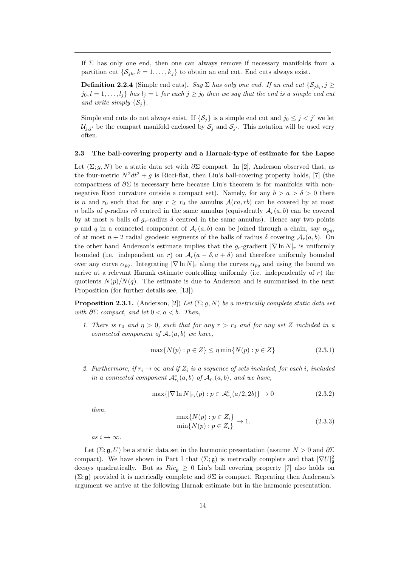If  $\Sigma$  has only one end, then one can always remove if necessary manifolds from a partition cut  $\{\mathcal{S}_{ik}, k = 1, \ldots, k_j\}$  to obtain an end cut. End cuts always exist.

**Definition 2.2.4** (Simple end cuts). Say  $\Sigma$  has only one end. If an end cut  $\{\mathcal{S}_{jk_l}, j \geq 0\}$  $j_0, l = 1, \ldots, l_j$  has  $l_j = 1$  for each  $j \geq j_0$  then we say that the end is a simple end cut and write simply  $\{\mathcal{S}_i\}.$ 

Simple end cuts do not always exist. If  $\{S_i\}$  is a simple end cut and  $j_0 \leq j < j'$  we let  $\mathcal{U}_{j,j'}$  be the compact manifold enclosed by  $\mathcal{S}_j$  and  $\mathcal{S}_{j'}$ . This notation will be used very often.

#### 2.3 The ball-covering property and a Harnak-type of estimate for the Lapse

Let  $(\Sigma; g, N)$  be a static data set with  $\partial \Sigma$  compact. In [2], Anderson observed that, as the four-metric  $N^2dt^2 + q$  is Ricci-flat, then Liu's ball-covering property holds, [7] (the compactness of  $\partial \Sigma$  is necessary here because Liu's theorem is for manifolds with nonnegative Ricci curvature outside a compact set). Namely, for any  $b > a > \delta > 0$  there is n and  $r_0$  such that for any  $r \ge r_0$  the annulus  $\mathcal{A}(ra, rb)$  can be covered by at most n balls of q-radius r $\delta$  centred in the same annulus (equivalently  $\mathcal{A}_r(a, b)$  can be covered by at most n balls of  $g_r$ -radius  $\delta$  centred in the same annulus). Hence any two points p and q in a connected component of  $\mathcal{A}_r(a, b)$  can be joined through a chain, say  $\alpha_{pq}$ , of at most  $n+2$  radial geodesic segments of the balls of radius  $\delta$  covering  $\mathcal{A}_r(a, b)$ . On the other hand Anderson's estimate implies that the  $g_r$ -gradient  $|\nabla \ln N|_r$  is uniformly bounded (i.e. independent on r) on  $\mathcal{A}_r(a - \delta, a + \delta)$  and therefore uniformly bounded over any curve  $\alpha_{pq}$ . Integrating  $|\nabla \ln N|_r$  along the curves  $\alpha_{pq}$  and using the bound we arrive at a relevant Harnak estimate controlling uniformly (i.e. independently of  $r$ ) the quotients  $N(p)/N(q)$ . The estimate is due to Anderson and is summarised in the next Proposition (for further details see, [13]).

**Proposition 2.3.1.** (Anderson, [2]) Let  $(\Sigma; g, N)$  be a metrically complete static data set with  $\partial \Sigma$  compact, and let  $0 < a < b$ . Then,

1. There is  $r_0$  and  $\eta > 0$ , such that for any  $r > r_0$  and for any set Z included in a connected component of  $A_r(a, b)$  we have,

$$
\max\{N(p) : p \in Z\} \le \eta \min\{N(p) : p \in Z\}
$$
\n(2.3.1)

2. Furthermore, if  $r_i \rightarrow \infty$  and if  $Z_i$  is a sequence of sets included, for each i, included in a connected component  $\mathcal{A}_{r_i}^c(a,b)$  of  $\mathcal{A}_{r_i}(a,b)$ , and we have,

$$
\max\{|\nabla \ln N|_{r_i}(p) : p \in \mathcal{A}_{r_i}^c(a/2, 2b)\} \to 0
$$
\n(2.3.2)

then,

$$
\frac{\max\{N(p) : p \in Z_i\}}{\min\{N(p) : p \in Z_i\}} \to 1.
$$
\n(2.3.3)

as  $i \to \infty$ .

Let  $(\Sigma; \mathfrak{g}, U)$  be a static data set in the harmonic presentation (assume  $N > 0$  and  $\partial \Sigma$ compact). We have shown in Part I that  $(\Sigma; \mathfrak{g})$  is metrically complete and that  $|\nabla U|^2_{\mathfrak{g}}$ decays quadratically. But as  $Ric_{\mathfrak{g}} \geq 0$  Liu's ball covering property [7] also holds on  $(\Sigma; \mathfrak{g})$  provided it is metrically complete and  $\partial \Sigma$  is compact. Repeating then Anderson's argument we arrive at the following Harnak estimate but in the harmonic presentation.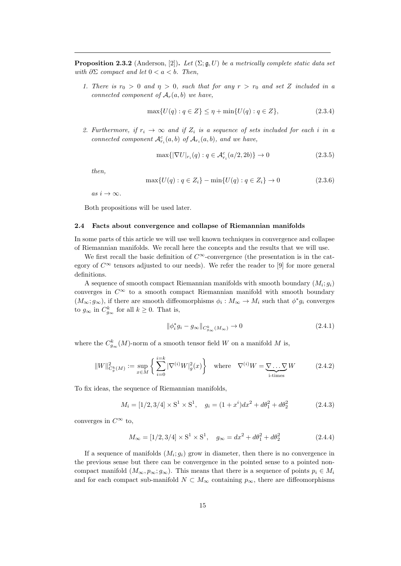**Proposition 2.3.2** (Anderson, [2]). Let  $(\Sigma; \mathfrak{g}, U)$  be a metrically complete static data set with  $\partial \Sigma$  compact and let  $0 < a < b$ . Then,

1. There is  $r_0 > 0$  and  $\eta > 0$ , such that for any  $r > r_0$  and set Z included in a connected component of  $A_r(a, b)$  we have,

$$
\max\{U(q) : q \in Z\} \le \eta + \min\{U(q) : q \in Z\},\tag{2.3.4}
$$

2. Furthermore, if  $r_i \rightarrow \infty$  and if  $Z_i$  is a sequence of sets included for each i in a connected component  $\mathcal{A}_{r_i}^c(a,b)$  of  $\mathcal{A}_{r_i}(a,b)$ , and we have,

$$
\max\{|\nabla U|_{r_i}(q) : q \in \mathcal{A}_{r_i}^c(a/2, 2b)\} \to 0
$$
\n(2.3.5)

then,

$$
\max\{U(q) : q \in Z_i\} - \min\{U(q) : q \in Z_i\} \to 0 \tag{2.3.6}
$$

as  $i \to \infty$ .

Both propositions will be used later.

## 2.4 Facts about convergence and collapse of Riemannian manifolds

In some parts of this article we will use well known techniques in convergence and collapse of Riemannian manifolds. We recall here the concepts and the results that we will use.

We first recall the basic definition of  $C^{\infty}$ -convergence (the presentation is in the category of  $C^{\infty}$  tensors adjusted to our needs). We refer the reader to [9] for more general definitions.

A sequence of smooth compact Riemannian manifolds with smooth boundary  $(M_i; g_i)$ converges in  $C^{\infty}$  to a smooth compact Riemannian manifold with smooth boundary  $(M_{\infty}; g_{\infty})$ , if there are smooth diffeomorphisms  $\phi_i : M_{\infty} \to M_i$  such that  $\phi^* g_i$  converges to  $g_{\infty}$  in  $C_{g_{\infty}}^{k}$  for all  $k \geq 0$ . That is,

$$
\|\phi_i^* g_i - g_\infty\|_{C^k_{g_\infty}(M_\infty)} \to 0 \tag{2.4.1}
$$

where the  $C_{g_{\infty}}^{k}(M)$ -norm of a smooth tensor field W on a manifold M is,

$$
||W||_{C_g^k(M)}^2 := \sup_{x \in M} \left\{ \sum_{i=0}^{i=k} |\nabla^{(i)} W|_g^2(x) \right\} \quad \text{where} \quad \nabla^{(i)} W = \underbrace{\nabla \dots \nabla}_{i \text{-times}} W \tag{2.4.2}
$$

To fix ideas, the sequence of Riemannian manifolds,

$$
M_i = [1/2, 3/4] \times S^1 \times S^1, \quad g_i = (1 + x^i)dx^2 + d\theta_1^2 + d\theta_2^2 \tag{2.4.3}
$$

converges in  $C^{\infty}$  to,

$$
M_{\infty} = [1/2, 3/4] \times S^1 \times S^1, \quad g_{\infty} = dx^2 + d\theta_1^2 + d\theta_2^2 \tag{2.4.4}
$$

If a sequence of manifolds  $(M_i; g_i)$  grow in diameter, then there is no convergence in the previous sense but there can be convergence in the pointed sense to a pointed noncompact manifold  $(M_{\infty}, p_{\infty}; g_{\infty})$ . This means that there is a sequence of points  $p_i \in M_i$ and for each compact sub-manifold  $N \subset M_{\infty}$  containing  $p_{\infty}$ , there are diffeomorphisms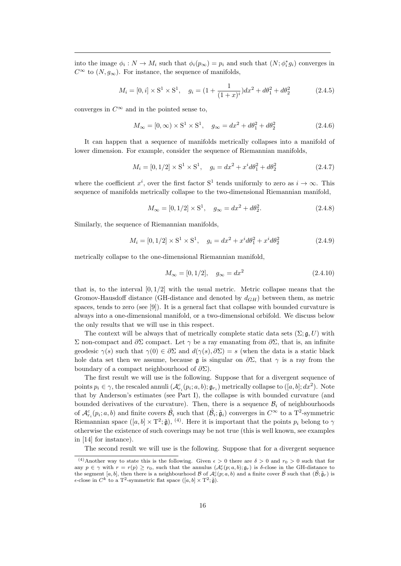into the image  $\phi_i: N \to M_i$  such that  $\phi_i(p_\infty) = p_i$  and such that  $(N; \phi_i^* g_i)$  converges in  $C^{\infty}$  to  $(N, g_{\infty})$ . For instance, the sequence of manifolds,

$$
M_i = [0, i] \times S^1 \times S^1, \quad g_i = (1 + \frac{1}{(1+x)^i})dx^2 + d\theta_1^2 + d\theta_2^2 \tag{2.4.5}
$$

converges in  $C^{\infty}$  and in the pointed sense to,

$$
M_{\infty} = [0, \infty) \times S^{1} \times S^{1}, \quad g_{\infty} = dx^{2} + d\theta_{1}^{2} + d\theta_{2}^{2}
$$
 (2.4.6)

It can happen that a sequence of manifolds metrically collapses into a manifold of lower dimension. For example, consider the sequence of Riemannian manifolds,

$$
M_i = [0, 1/2] \times S^1 \times S^1, \quad g_i = dx^2 + x^i d\theta_1^2 + d\theta_2^2 \tag{2.4.7}
$$

where the coefficient  $x^i$ , over the first factor S<sup>1</sup> tends uniformly to zero as  $i \to \infty$ . This sequence of manifolds metrically collapse to the two-dimensional Riemannian manifold,

$$
M_{\infty} = [0, 1/2] \times S^1, \quad g_{\infty} = dx^2 + d\theta_2^2.
$$
 (2.4.8)

Similarly, the sequence of Riemannian manifolds,

$$
M_i = [0, 1/2] \times S^1 \times S^1, \quad g_i = dx^2 + x^i d\theta_1^2 + x^i d\theta_2^2 \tag{2.4.9}
$$

metrically collapse to the one-dimensional Riemannian manifold,

$$
M_{\infty} = [0, 1/2], \quad g_{\infty} = dx^2
$$
\n(2.4.10)

that is, to the interval  $[0, 1/2]$  with the usual metric. Metric collapse means that the Gromov-Hausdoff distance (GH-distance and denoted by  $d_{GH}$ ) between them, as metric spaces, tends to zero (see [9]). It is a general fact that collapse with bounded curvature is always into a one-dimensional manifold, or a two-dimensional orbifold. We discuss below the only results that we will use in this respect.

The context will be always that of metrically complete static data sets  $(\Sigma; \mathfrak{g}, U)$  with Σ non-compact and  $\partial \Sigma$  compact. Let  $\gamma$  be a ray emanating from  $\partial \Sigma$ , that is, an infinite geodesic  $\gamma(s)$  such that  $\gamma(0) \in \partial \Sigma$  and  $d(\gamma(s), \partial \Sigma) = s$  (when the data is a static black hole data set then we assume, because  $\mathfrak g$  is singular on  $\partial \Sigma$ , that  $\gamma$  is a ray from the boundary of a compact neighbourhood of  $\partial \Sigma$ ).

The first result we will use is the following. Suppose that for a divergent sequence of points  $p_i \in \gamma$ , the rescaled annuli  $(\mathcal{A}_{r_i}^c(p_i; a, b); \mathfrak{g}_{r_i})$  metrically collapse to  $([a, b]; dx^2)$ . Note that by Anderson's estimates (see Part I), the collapse is with bounded curvature (and bounded derivatives of the curvature). Then, there is a sequence  $\mathcal{B}_i$  of neighbourhoods of  $\mathcal{A}_{r_i}^c(p_i; a, b)$  and finite covers  $\tilde{\mathcal{B}}_i$  such that  $(\tilde{\mathcal{B}}_i; \tilde{\mathfrak{g}}_i)$  converges in  $C^{\infty}$  to a T<sup>2</sup>-symmetric Riemannian space  $([a, b] \times T^2; \tilde{\mathfrak{g}}),$  <sup>(4)</sup>. Here it is important that the points  $p_i$  belong to  $\gamma$ otherwise the existence of such coverings may be not true (this is well known, see examples in [14] for instance).

The second result we will use is the following. Suppose that for a divergent sequence

<sup>&</sup>lt;sup>(4)</sup>Another way to state this is the following. Given  $\epsilon > 0$  there are  $\delta > 0$  and  $r_0 > 0$  such that for any  $p \in \gamma$  with  $r = r(p) \ge r_0$ , such that the annulus  $(\mathcal{A}_r^c(p; a, b); \mathfrak{g}_r)$  is  $\delta$ -close in the GH-distance to the segment [a, b], then there is a neighbourhood  $\mathcal B$  of  $\mathcal A_r^c(p;a,b)$  and a finite cover  $\tilde{\mathcal B}$  such that  $(\tilde{\mathcal B},\tilde{\mathfrak g}_r)$  is  $\epsilon$ -close in  $C^k$  to a T<sup>2</sup>-symmetric flat space  $([a, b] \times T^2; \tilde{\mathfrak{g}})$ .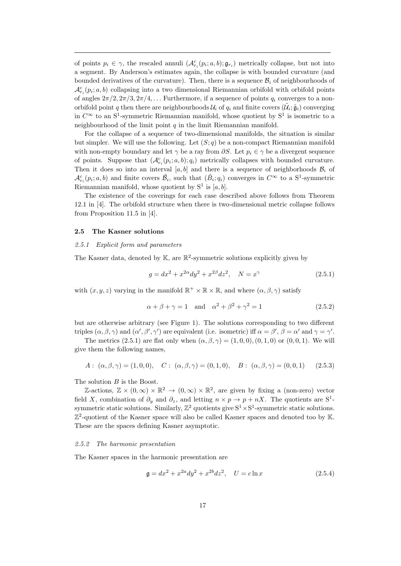of points  $p_i \in \gamma$ , the rescaled annuli  $(\mathcal{A}_{r_i}^c(p_i; a, b); \mathfrak{g}_{r_i})$  metrically collapse, but not into a segment. By Anderson's estimates again, the collapse is with bounded curvature (and bounded derivatives of the curvature). Then, there is a sequence  $\mathcal{B}_i$  of neighbourhoods of  $\mathcal{A}_{r_i}^c(p_i; a, b)$  collapsing into a two dimensional Riemannian orbifold with orbifold points of angles  $2\pi/2$ ,  $2\pi/3$ ,  $2\pi/4$ ,... Furthermore, if a sequence of points  $q_i$  converges to a nonorbifold point q then there are neighbourhoods  $\mathcal{U}_i$  of  $q_i$  and finite covers  $(\tilde{\mathcal{U}}_i;\tilde{\mathfrak{g}}_i)$  converging in  $C^{\infty}$  to an S<sup>1</sup>-symmetric Riemannian manifold, whose quotient by S<sup>1</sup> is isometric to a neighbourhood of the limit point  $q$  in the limit Riemannian manifold.

For the collapse of a sequence of two-dimensional manifolds, the situation is similar but simpler. We will use the following. Let  $(S; q)$  be a non-compact Riemannian manifold with non-empty boundary and let  $\gamma$  be a ray from  $\partial S$ . Let  $p_i \in \gamma$  be a divergent sequence of points. Suppose that  $(\mathcal{A}_{r_i}^c(p_i; a, b); q_i)$  metrically collapses with bounded curvature. Then it does so into an interval [a, b] and there is a sequence of neighborhoods  $\mathcal{B}_i$  of  $\mathcal{A}_{r_i}^c(p_i; a, b)$  and finite covers  $\tilde{\mathcal{B}}_i$ , such that  $(\tilde{B}_i; q_i)$  converges in  $C^{\infty}$  to a S<sup>1</sup>-symmetric Riemannian manifold, whose quotient by  $S^1$  is  $[a, b]$ .

The existence of the coverings for each case described above follows from Theorem 12.1 in [4]. The orbifold structure when there is two-dimensional metric collapse follows from Proposition 11.5 in [4].

#### 2.5 The Kasner solutions

#### 2.5.1 Explicit form and parameters

The Kasner data, denoted by  $\mathbb{K}$ , are  $\mathbb{R}^2$ -symmetric solutions explicitly given by

$$
g = dx^{2} + x^{2\alpha} dy^{2} + x^{2\beta} dz^{2}, \quad N = x^{\gamma}
$$
\n(2.5.1)

with  $(x, y, z)$  varying in the manifold  $\mathbb{R}^+ \times \mathbb{R} \times \mathbb{R}$ , and where  $(\alpha, \beta, \gamma)$  satisfy

$$
\alpha + \beta + \gamma = 1 \quad \text{and} \quad \alpha^2 + \beta^2 + \gamma^2 = 1 \tag{2.5.2}
$$

but are otherwise arbitrary (see Figure 1). The solutions corresponding to two different triples  $(\alpha, \beta, \gamma)$  and  $(\alpha', \beta', \gamma')$  are equivalent (i.e. isometric) iff  $\alpha = \beta', \beta = \alpha'$  and  $\gamma = \gamma'$ .

The metrics (2.5.1) are flat only when  $(\alpha, \beta, \gamma) = (1, 0, 0), (0, 1, 0)$  or  $(0, 0, 1)$ . We will give them the following names,

$$
A: (\alpha, \beta, \gamma) = (1, 0, 0), \quad C: (\alpha, \beta, \gamma) = (0, 1, 0), \quad B: (\alpha, \beta, \gamma) = (0, 0, 1) \quad (2.5.3)
$$

The solution B is the Boost.

Z-actions,  $\mathbb{Z} \times (0, \infty) \times \mathbb{R}^2 \to (0, \infty) \times \mathbb{R}^2$ , are given by fixing a (non-zero) vector field X, combination of  $\partial_y$  and  $\partial_z$ , and letting  $n \times p \to p + nX$ . The quotients are S<sup>1</sup>symmetric static solutions. Similarly,  $\mathbb{Z}^2$  quotients give  $S^1 \times S^1$ -symmetric static solutions.  $\mathbb{Z}^2$ -quotient of the Kasner space will also be called Kasner spaces and denoted too by K. These are the spaces defining Kasner asymptotic.

#### 2.5.2 The harmonic presentation

The Kasner spaces in the harmonic presentation are

$$
\mathfrak{g} = dx^2 + x^{2a} dy^2 + x^{2b} dz^2, \quad U = c \ln x \tag{2.5.4}
$$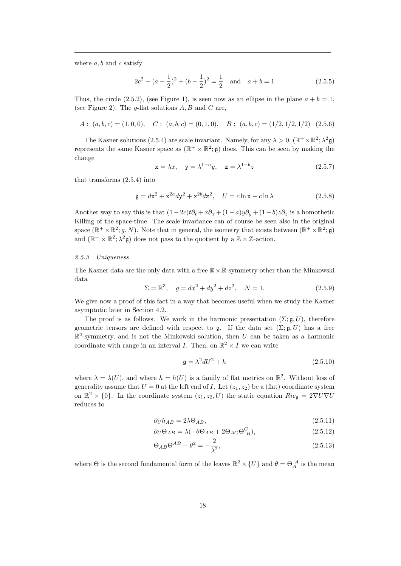where  $a, b$  and  $c$  satisfy

$$
2c2 + (a - \frac{1}{2})2 + (b - \frac{1}{2})2 = \frac{1}{2} \text{ and } a + b = 1
$$
 (2.5.5)

Thus, the circle (2.5.2), (see Figure 1), is seen now as an ellipse in the plane  $a + b = 1$ , (see Figure 2). The  $q$ -flat solutions  $A, B$  and  $C$  are,

$$
A: (a, b, c) = (1, 0, 0), \quad C: (a, b, c) = (0, 1, 0), \quad B: (a, b, c) = (1/2, 1/2, 1/2) \quad (2.5.6)
$$

The Kasner solutions (2.5.4) are scale invariant. Namely, for any  $\lambda > 0$ ,  $(\mathbb{R}^+ \times \mathbb{R}^2; \lambda^2 \mathfrak{g})$ represents the same Kasner space as  $(\mathbb{R}^+ \times \mathbb{R}^2; \mathfrak{g})$  does. This can be seen by making the change

$$
\mathbf{x} = \lambda x, \quad \mathbf{y} = \lambda^{1-a} y, \quad \mathbf{z} = \lambda^{1-b} z \tag{2.5.7}
$$

that transforms (2.5.4) into

$$
\mathfrak{g} = d\mathfrak{x}^2 + \mathfrak{x}^{2a} d\mathfrak{y}^2 + \mathfrak{x}^{2b} d\mathfrak{z}^2, \quad U = c \ln \mathfrak{x} - c \ln \lambda \tag{2.5.8}
$$

Another way to say this is that  $(1-2c)t\partial_t +x\partial_x + (1-a)y\partial_y + (1-b)z\partial_z$  is a homothetic Killing of the space-time. The scale invariance can of course be seen also in the original space  $(\mathbb{R}^+ \times \mathbb{R}^2; g, N)$ . Note that in general, the isometry that exists between  $(\mathbb{R}^+ \times \mathbb{R}^2; \mathfrak{g})$ and  $(\mathbb{R}^+ \times \mathbb{R}^2; \lambda^2 \mathfrak{g})$  does not pass to the quotient by a  $\mathbb{Z} \times \mathbb{Z}$ -action.

#### 2.5.3 Uniqueness

The Kasner data are the only data with a free  $\mathbb{R} \times \mathbb{R}$ -symmetry other than the Minkowski data

$$
\Sigma = \mathbb{R}^3, \quad g = dx^2 + dy^2 + dz^2, \quad N = 1.
$$
 (2.5.9)

We give now a proof of this fact in a way that becomes useful when we study the Kasner asymptotic later in Section 4.2.

The proof is as follows. We work in the harmonic presentation  $(\Sigma; \mathfrak{g}, U)$ , therefore geometric tensors are defined with respect to g. If the data set  $(\Sigma; \mathfrak{g}, U)$  has a free  $\mathbb{R}^2$ -symmetry, and is not the Minkowski solution, then U can be taken as a harmonic coordinate with range in an interval I. Then, on  $\mathbb{R}^2 \times I$  we can write

$$
\mathfrak{g} = \lambda^2 dU^2 + h \tag{2.5.10}
$$

where  $\lambda = \lambda(U)$ , and where  $h = h(U)$  is a family of flat metrics on  $\mathbb{R}^2$ . Without loss of generality assume that  $U = 0$  at the left end of I. Let  $(z_1, z_2)$  be a (flat) coordinate system on  $\mathbb{R}^2 \times \{0\}$ . In the coordinate system  $(z_1, z_2, U)$  the static equation  $Ric_{\mathfrak{g}} = 2\nabla U\nabla U$ reduces to

$$
\partial_U h_{AB} = 2\lambda \Theta_{AB},\tag{2.5.11}
$$

$$
\partial_U \Theta_{AB} = \lambda (-\theta \Theta_{AB} + 2\Theta_{AC} \Theta_{B}^C), \tag{2.5.12}
$$

$$
\Theta_{AB}\Theta^{AB} - \theta^2 = -\frac{2}{\lambda^2},\tag{2.5.13}
$$

where  $\Theta$  is the second fundamental form of the leaves  $\mathbb{R}^2 \times \{U\}$  and  $\theta = \Theta_A^A$  is the mean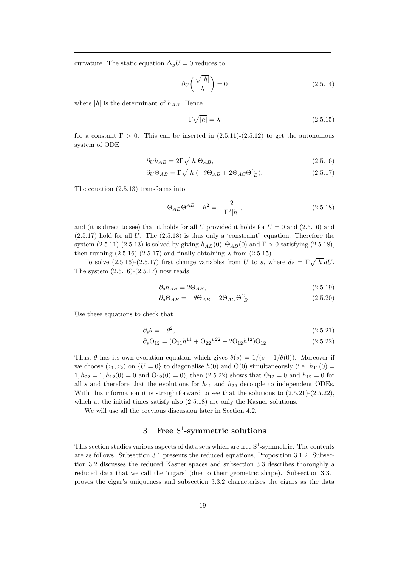curvature. The static equation  $\Delta_{\mathfrak{g}}U = 0$  reduces to

$$
\partial_U \left( \frac{\sqrt{|h|}}{\lambda} \right) = 0 \tag{2.5.14}
$$

where  $|h|$  is the determinant of  $h_{AB}$ . Hence

$$
\Gamma \sqrt{|h|} = \lambda \tag{2.5.15}
$$

for a constant  $\Gamma > 0$ . This can be inserted in  $(2.5.11)-(2.5.12)$  to get the autonomous system of ODE

$$
\partial_U h_{AB} = 2\Gamma \sqrt{|h|} \Theta_{AB},\tag{2.5.16}
$$

$$
\partial_U \Theta_{AB} = \Gamma \sqrt{|h|} (-\theta \Theta_{AB} + 2\Theta_{AC} \Theta_{B}^C), \tag{2.5.17}
$$

The equation (2.5.13) transforms into

$$
\Theta_{AB}\Theta^{AB} - \theta^2 = -\frac{2}{\Gamma^2|h|},\tag{2.5.18}
$$

and (it is direct to see) that it holds for all U provided it holds for  $U = 0$  and  $(2.5.16)$  and  $(2.5.17)$  hold for all U. The  $(2.5.18)$  is thus only a 'constraint" equation. Therefore the system  $(2.5.11)-(2.5.13)$  is solved by giving  $h_{AB}(0), \Theta_{AB}(0)$  and  $\Gamma > 0$  satisfying  $(2.5.18)$ , then running  $(2.5.16)-(2.5.17)$  and finally obtaining  $\lambda$  from  $(2.5.15)$ .

To solve  $(2.5.16)-(2.5.17)$  first change variables from U to s, where  $ds = \Gamma \sqrt{|h|} dU$ . The system  $(2.5.16)-(2.5.17)$  now reads

$$
\partial_s h_{AB} = 2\Theta_{AB},\tag{2.5.19}
$$

$$
\partial_s \Theta_{AB} = -\theta \Theta_{AB} + 2\Theta_{AC} \Theta_{B}^C,
$$
\n(2.5.20)

Use these equations to check that

$$
\partial_s \theta = -\theta^2,\tag{2.5.21}
$$

$$
\partial_s \Theta_{12} = (\Theta_{11}h^{11} + \Theta_{22}h^{22} - 2\Theta_{12}h^{12})\Theta_{12}
$$
\n(2.5.22)

Thus,  $\theta$  has its own evolution equation which gives  $\theta(s) = 1/(s + 1/\theta(0))$ . Moreover if we choose  $(z_1, z_2)$  on  $\{U = 0\}$  to diagonalise  $h(0)$  and  $\Theta(0)$  simultaneously (i.e.  $h_{11}(0)$ )  $1, h_{22} = 1, h_{12}(0) = 0$  and  $\Theta_{12}(0) = 0$ , then  $(2.5.22)$  shows that  $\Theta_{12} = 0$  and  $h_{12} = 0$  for all s and therefore that the evolutions for  $h_{11}$  and  $h_{22}$  decouple to independent ODEs. With this information it is straightforward to see that the solutions to  $(2.5.21)-(2.5.22)$ , which at the initial times satisfy also  $(2.5.18)$  are only the Kasner solutions.

We will use all the previous discussion later in Section 4.2.

## 3 Free S 1 -symmetric solutions

This section studies various aspects of data sets which are free  $S^1$ -symmetric. The contents are as follows. Subsection 3.1 presents the reduced equations, Proposition 3.1.2. Subsection 3.2 discusses the reduced Kasner spaces and subsection 3.3 describes thoroughly a reduced data that we call the 'cigars' (due to their geometric shape). Subsection 3.3.1 proves the cigar's uniqueness and subsection 3.3.2 characterises the cigars as the data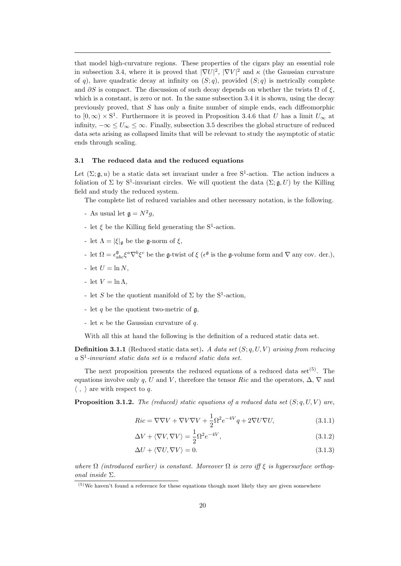that model high-curvature regions. These properties of the cigars play an essential role in subsection 3.4, where it is proved that  $|\nabla U|^2$ ,  $|\nabla V|^2$  and  $\kappa$  (the Gaussian curvature of q), have quadratic decay at infinity on  $(S; q)$ , provided  $(S; q)$  is metrically complete and  $\partial S$  is compact. The discussion of such decay depends on whether the twists  $\Omega$  of  $\xi$ , which is a constant, is zero or not. In the same subsection 3.4 it is shown, using the decay previously proved, that  $S$  has only a finite number of simple ends, each diffeomorphic to  $[0, \infty) \times S^1$ . Furthermore it is proved in Proposition 3.4.6 that U has a limit  $U_{\infty}$  at infinity,  $-\infty \leq U_{\infty} \leq \infty$ . Finally, subsection 3.5 describes the global structure of reduced data sets arising as collapsed limits that will be relevant to study the asymptotic of static ends through scaling.

## 3.1 The reduced data and the reduced equations

Let  $(\Sigma; \mathfrak{g}, u)$  be a static data set invariant under a free S<sup>1</sup>-action. The action induces a foliation of  $\Sigma$  by  $S^1$ -invariant circles. We will quotient the data  $(\Sigma; \mathfrak{g}, U)$  by the Killing field and study the reduced system.

The complete list of reduced variables and other necessary notation, is the following.

- As usual let  $\mathfrak{g} = N^2 g$ ,
- let  $\xi$  be the Killing field generating the  $S^1$ -action.
- let  $\Lambda = |\xi|_{\mathfrak{g}}$  be the g-norm of  $\xi$ ,
- let  $\Omega = \epsilon_{abc}^{\mathfrak{g}} \xi^a \nabla^b \xi^c$  be the **g**-twist of  $\xi$  ( $\epsilon^{\mathfrak{g}}$  is the **g**-volume form and  $\nabla$  any cov. der.),
- let  $U = \ln N$ ,
- let  $V = \ln \Lambda$ ,
- let S be the quotient manifold of  $\Sigma$  by the S<sup>1</sup>-action,
- let q be the quotient two-metric of  $\mathfrak{g}$ ,
- let  $\kappa$  be the Gaussian curvature of q.

With all this at hand the following is the definition of a reduced static data set.

**Definition 3.1.1** (Reduced static data set). A data set  $(S; q, U, V)$  arising from reducing a S 1 -invariant static data set is a reduced static data set.

The next proposition presents the reduced equations of a reduced data set<sup> $(5)$ </sup>. The equations involve only q, U and V, therefore the tensor Ric and the operators,  $\Delta$ ,  $\nabla$  and  $\langle , \rangle$  are with respect to q.

**Proposition 3.1.2.** The (reduced) static equations of a reduced data set  $(S; q, U, V)$  are,

$$
Ric = \nabla \nabla V + \nabla V \nabla V + \frac{1}{2} \Omega^2 e^{-4V} q + 2\nabla U \nabla U,
$$
\n(3.1.1)

$$
\Delta V + \langle \nabla V, \nabla V \rangle = \frac{1}{2} \Omega^2 e^{-4V},\tag{3.1.2}
$$

$$
\Delta U + \langle \nabla U, \nabla V \rangle = 0. \tag{3.1.3}
$$

where  $\Omega$  (introduced earlier) is constant. Moreover  $\Omega$  is zero iff  $\xi$  is hypersurface orthogonal inside Σ.

 $(5)$ We haven't found a reference for these equations though most likely they are given somewhere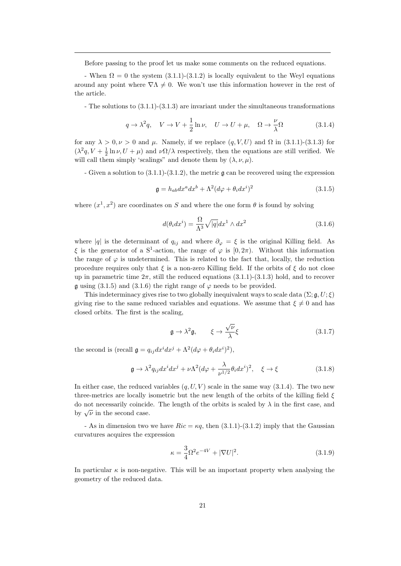Before passing to the proof let us make some comments on the reduced equations.

- When  $\Omega = 0$  the system  $(3.1.1)-(3.1.2)$  is locally equivalent to the Weyl equations around any point where  $\nabla \Lambda \neq 0$ . We won't use this information however in the rest of the article.

- The solutions to (3.1.1)-(3.1.3) are invariant under the simultaneous transformations

$$
q \to \lambda^2 q, \quad V \to V + \frac{1}{2} \ln \nu, \quad U \to U + \mu, \quad \Omega \to \frac{\nu}{\lambda} \Omega \tag{3.1.4}
$$

for any  $\lambda > 0, \nu > 0$  and  $\mu$ . Namely, if we replace  $(q, V, U)$  and  $\Omega$  in (3.1.1)-(3.1.3) for  $(\lambda^2 q, V + \frac{1}{2} \ln \nu, U + \mu)$  and  $\nu \Omega/\lambda$  respectively, then the equations are still verified. We will call them simply 'scalings" and denote them by  $(\lambda, \nu, \mu)$ .

- Given a solution to  $(3.1.1)-(3.1.2)$ , the metric  $\mathfrak g$  can be recovered using the expression

$$
\mathfrak{g} = h_{ab} dx^a dx^b + \Lambda^2 (d\varphi + \theta_i dx^i)^2 \tag{3.1.5}
$$

where  $(x^1, x^2)$  are coordinates on S and where the one form  $\theta$  is found by solving

$$
d(\theta_i dx^i) = \frac{\Omega}{\Lambda^3} \sqrt{|q|} dx^1 \wedge dx^2
$$
\n(3.1.6)

where |q| is the determinant of  $q_{ij}$  and where  $\partial_{\varphi} = \xi$  is the original Killing field. As ξ is the generator of a S<sup>1</sup>-action, the range of  $\varphi$  is [0,2π). Without this information the range of  $\varphi$  is undetermined. This is related to the fact that, locally, the reduction procedure requires only that  $\xi$  is a non-zero Killing field. If the orbits of  $\xi$  do not close up in parametric time  $2\pi$ , still the reduced equations  $(3.1.1)-(3.1.3)$  hold, and to recover g using (3.1.5) and (3.1.6) the right range of  $\varphi$  needs to be provided.

This indeterminacy gives rise to two globally inequivalent ways to scale data ( $\Sigma$ ;  $\mathfrak{g}, U$ ;  $\xi$ ) giving rise to the same reduced variables and equations. We assume that  $\xi \neq 0$  and has closed orbits. The first is the scaling,

$$
\mathfrak{g} \to \lambda^2 \mathfrak{g}, \qquad \xi \to \frac{\sqrt{\nu}}{\lambda} \xi \tag{3.1.7}
$$

the second is (recall  $\mathfrak{g} = q_{ij} dx^i dx^j + \Lambda^2 (d\varphi + \theta_i dx^i)^2$ ),

$$
\mathfrak{g} \to \lambda^2 q_{ij} dx^i dx^j + \nu \Lambda^2 (d\varphi + \frac{\lambda}{\nu^{1/2}} \theta_i dx^i)^2, \quad \xi \to \xi \tag{3.1.8}
$$

In either case, the reduced variables  $(q, U, V)$  scale in the same way (3.1.4). The two new three-metrics are locally isometric but the new length of the orbits of the killing field  $\xi$ do not necessarily coincide. The length of the orbits is scaled by  $\lambda$  in the first case, and by  $\sqrt{\nu}$  in the second case.

- As in dimension two we have  $Ric = \kappa q$ , then  $(3.1.1)-(3.1.2)$  imply that the Gaussian curvatures acquires the expression

$$
\kappa = \frac{3}{4}\Omega^2 e^{-4V} + |\nabla U|^2.
$$
\n(3.1.9)

In particular  $\kappa$  is non-negative. This will be an important property when analysing the geometry of the reduced data.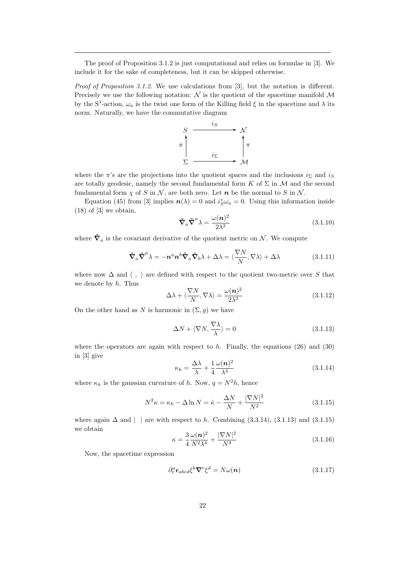The proof of Proposition 3.1.2 is just computational and relies on formulae in [3]. We include it for the sake of completeness, but it can be skipped otherwise.

Proof of Proposition 3.1.2. We use calculations from [3], but the notation is different. Precisely we use the following notation:  $\mathcal N$  is the quotient of the spacetime manifold  $\mathcal M$ by the S<sup>1</sup>-action,  $\omega_a$  is the twist one form of the Killing field  $\xi$  in the spacetime and  $\lambda$  its norm. Naturally, we have the commutative diagram



where the  $\pi$ 's are the projections into the quotient spaces and the inclusions  $i_{\Sigma}$  and  $i_{S}$ are totally geodesic, namely the second fundamental form K of  $\Sigma$  in M and the second fundamental form  $\chi$  of S in N, are both zero. Let n be the normal to S in N.

Equation (45) from [3] implies  $n(\lambda) = 0$  and  $i_S^* \omega_a = 0$ . Using this information inside  $(18)$  of  $[3]$  we obtain,

$$
\tilde{\nabla}_a \tilde{\nabla}^a \lambda = \frac{\omega(n)^2}{2\lambda^3} \tag{3.1.10}
$$

where  $\tilde{\nabla}_a$  is the covariant derivative of the quotient metric on N. We compute

$$
\tilde{\nabla}_a \tilde{\nabla}^a \lambda = -n^a n^b \tilde{\nabla}_a \tilde{\nabla}_b \lambda + \Delta \lambda = \langle \frac{\nabla N}{N}, \nabla \lambda \rangle + \Delta \lambda \tag{3.1.11}
$$

where now  $\Delta$  and  $\langle , \rangle$  are defined with respect to the quotient two-metric over S that we denote by  $h$ . Thus

$$
\Delta\lambda + \langle \frac{\nabla N}{N}, \nabla\lambda \rangle = \frac{\omega(n)^2}{2\lambda^3} \tag{3.1.12}
$$

On the other hand as N is harmonic in  $(\Sigma, g)$  we have

$$
\Delta N + \langle \nabla N, \frac{\nabla \lambda}{\lambda} \rangle = 0 \tag{3.1.13}
$$

where the operators are again with respect to  $h$ . Finally, the equations (26) and (30) in [3] give

$$
\kappa_h = \frac{\Delta\lambda}{\lambda} + \frac{1}{4} \frac{\omega(n)^2}{\lambda^4} \tag{3.1.14}
$$

where  $\kappa_h$  is the gaussian curvature of h. Now,  $q = N^2 h$ , hence

$$
N^2 \kappa = \kappa_h - \Delta \ln N = \hat{\kappa} - \frac{\Delta N}{N} + \frac{|\nabla N|^2}{N^2}
$$
\n(3.1.15)

where again  $\Delta$  and | | are with respect to h. Combining (3.3.14), (3.1.13) and (3.1.15) we obtain

$$
\kappa = \frac{3}{4} \frac{\omega(n)^2}{N^2 \lambda^4} + \frac{|\nabla N|^2}{N^4}
$$
\n(3.1.16)

Now, the spacetime expression

$$
\partial_t^a \epsilon_{abcd} \xi^b \nabla^c \xi^d = N \omega(n) \tag{3.1.17}
$$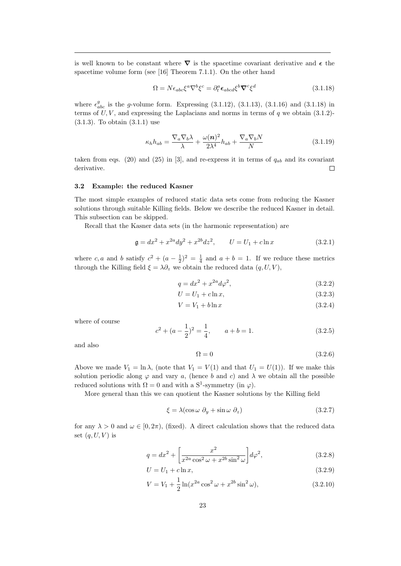is well known to be constant where  $\nabla$  is the spacetime covariant derivative and  $\epsilon$  the spacetime volume form (see [16] Theorem 7.1.1). On the other hand

$$
\Omega = N \epsilon_{abc} \xi^a \nabla^b \xi^c = \partial_t^a \epsilon_{abcd} \xi^b \nabla^c \xi^d \tag{3.1.18}
$$

where  $\epsilon_{abc}^g$  is the g-volume form. Expressing (3.1.12), (3.1.13), (3.1.16) and (3.1.18) in terms of  $U, V$ , and expressing the Laplacians and norms in terms of  $q$  we obtain (3.1.2)-(3.1.3). To obtain (3.1.1) use

$$
\kappa_h h_{ab} = \frac{\nabla_a \nabla_b \lambda}{\lambda} + \frac{\omega(n)^2}{2\lambda^4} h_{ab} + \frac{\nabla_a \nabla_b N}{N}
$$
\n(3.1.19)

taken from eqs. (20) and (25) in [3], and re-express it in terms of  $q_{ab}$  and its covariant derivative.  $\Box$ 

#### 3.2 Example: the reduced Kasner

The most simple examples of reduced static data sets come from reducing the Kasner solutions through suitable Killing fields. Below we describe the reduced Kasner in detail. This subsection can be skipped.

Recall that the Kasner data sets (in the harmonic representation) are

$$
\mathfrak{g} = dx^2 + x^{2a} dy^2 + x^{2b} dz^2, \qquad U = U_1 + c \ln x \tag{3.2.1}
$$

where c, a and b satisfy  $c^2 + (a - \frac{1}{2})^2 = \frac{1}{4}$  and  $a + b = 1$ . If we reduce these metrics through the Killing field  $\xi = \lambda \partial_z$  we obtain the reduced data  $(q, U, V)$ ,

$$
q = dx^2 + x^{2a} d\varphi^2,
$$
\n
$$
(3.2.2)
$$

$$
U = U_1 + c \ln x,\tag{3.2.3}
$$

$$
V = V_1 + b \ln x \tag{3.2.4}
$$

where of course

$$
c2 + (a - \frac{1}{2})2 = \frac{1}{4}, \qquad a + b = 1.
$$
 (3.2.5)

and also

$$
\Omega = 0 \tag{3.2.6}
$$

Above we made  $V_1 = \ln \lambda$ , (note that  $V_1 = V(1)$  and that  $U_1 = U(1)$ ). If we make this solution periodic along  $\varphi$  and vary a, (hence b and c) and  $\lambda$  we obtain all the possible reduced solutions with  $\Omega = 0$  and with a S<sup>1</sup>-symmetry (in  $\varphi$ ).

More general than this we can quotient the Kasner solutions by the Killing field

$$
\xi = \lambda (\cos \omega \ \partial_y + \sin \omega \ \partial_z) \tag{3.2.7}
$$

for any  $\lambda > 0$  and  $\omega \in [0, 2\pi)$ , (fixed). A direct calculation shows that the reduced data set  $(q, U, V)$  is

$$
q = dx^{2} + \left[\frac{x^{2}}{x^{2a}\cos^{2}\omega + x^{2b}\sin^{2}\omega}\right]d\varphi^{2},
$$
\n(3.2.8)

$$
U = U_1 + c \ln x,\tag{3.2.9}
$$

$$
V = V_1 + \frac{1}{2} \ln(x^{2a} \cos^2 \omega + x^{2b} \sin^2 \omega),
$$
 (3.2.10)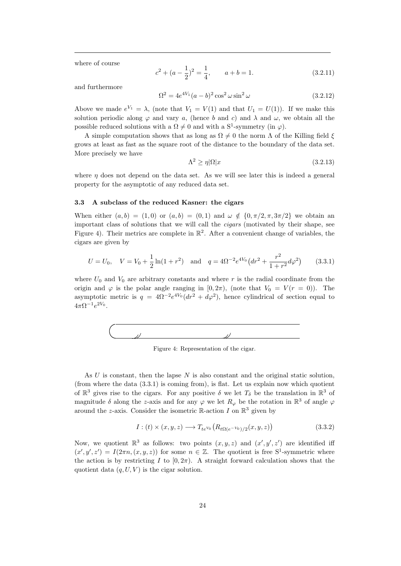where of course

$$
c^{2} + (a - \frac{1}{2})^{2} = \frac{1}{4}, \qquad a + b = 1.
$$
 (3.2.11)

and furthermore

$$
\Omega^2 = 4e^{4V_1}(a-b)^2 \cos^2 \omega \sin^2 \omega \tag{3.2.12}
$$

Above we made  $e^{V_1} = \lambda$ , (note that  $V_1 = V(1)$  and that  $U_1 = U(1)$ ). If we make this solution periodic along  $\varphi$  and vary a, (hence b and c) and  $\lambda$  and  $\omega$ , we obtain all the possible reduced solutions with a  $\Omega \neq 0$  and with a S<sup>1</sup>-symmetry (in  $\varphi$ ).

A simple computation shows that as long as  $\Omega \neq 0$  the norm  $\Lambda$  of the Killing field  $\xi$ grows at least as fast as the square root of the distance to the boundary of the data set. More precisely we have

$$
\Lambda^2 \ge \eta |\Omega| x \tag{3.2.13}
$$

where  $\eta$  does not depend on the data set. As we will see later this is indeed a general property for the asymptotic of any reduced data set.

## 3.3 A subclass of the reduced Kasner: the cigars

When either  $(a, b) = (1, 0)$  or  $(a, b) = (0, 1)$  and  $\omega \notin \{0, \pi/2, \pi, 3\pi/2\}$  we obtain an important class of solutions that we will call the cigars (motivated by their shape, see Figure 4). Their metrics are complete in  $\mathbb{R}^2$ . After a convenient change of variables, the cigars are given by

$$
U = U_0, \quad V = V_0 + \frac{1}{2}\ln(1+r^2) \quad \text{and} \quad q = 4\Omega^{-2}e^{4V_0}\left(dr^2 + \frac{r^2}{1+r^2}d\varphi^2\right) \tag{3.3.1}
$$

where  $U_0$  and  $V_0$  are arbitrary constants and where r is the radial coordinate from the origin and  $\varphi$  is the polar angle ranging in [0, 2π), (note that  $V_0 = V(r = 0)$ ). The asymptotic metric is  $q = 4\Omega^{-2}e^{4V_0}(dr^2 + d\varphi^2)$ , hence cylindrical of section equal to  $4\pi\Omega^{-1}e^{2V_0}.$ 



Figure 4: Representation of the cigar.

As U is constant, then the lapse N is also constant and the original static solution, (from where the data (3.3.1) is coming from), is flat. Let us explain now which quotient of  $\mathbb{R}^3$  gives rise to the cigars. For any positive  $\delta$  we let  $T_{\delta}$  be the translation in  $\mathbb{R}^3$  of magnitude  $\delta$  along the z-axis and for any  $\varphi$  we let  $R_{\varphi}$  be the rotation in  $\mathbb{R}^3$  of angle  $\varphi$ around the *z*-axis. Consider the isometric  $\mathbb{R}$ -action I on  $\mathbb{R}^3$  given by

$$
I: (t) \times (x, y, z) \longrightarrow T_{te^{V_0}}(R_{t\Omega(e^{-V_0})/2}(x, y, z))
$$
\n
$$
(3.3.2)
$$

Now, we quotient  $\mathbb{R}^3$  as follows: two points  $(x, y, z)$  and  $(x', y', z')$  are identified iff  $(x', y', z') = I(2\pi n, (x, y, z))$  for some  $n \in \mathbb{Z}$ . The quotient is free S<sup>1</sup>-symmetric where the action is by restricting I to  $[0, 2\pi)$ . A straight forward calculation shows that the quotient data  $(q, U, V)$  is the cigar solution.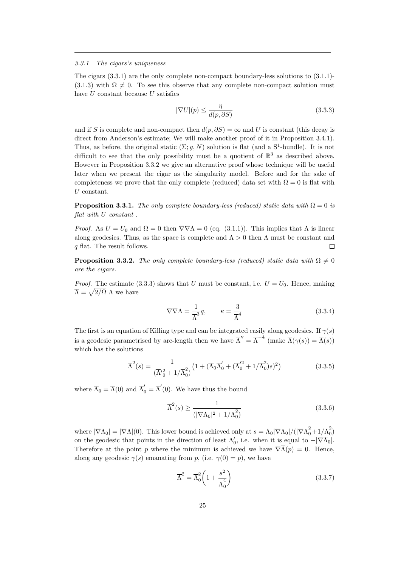#### 3.3.1 The cigars's uniqueness

The cigars (3.3.1) are the only complete non-compact boundary-less solutions to (3.1.1)-  $(3.1.3)$  with  $\Omega \neq 0$ . To see this observe that any complete non-compact solution must have U constant because U satisfies

$$
|\nabla U|(p) \le \frac{\eta}{d(p, \partial S)}
$$
\n(3.3.3)

and if S is complete and non-compact then  $d(p, \partial S) = \infty$  and U is constant (this decay is direct from Anderson's estimate; We will make another proof of it in Proposition 3.4.1). Thus, as before, the original static  $(\Sigma; g, N)$  solution is flat (and a S<sup>1</sup>-bundle). It is not difficult to see that the only possibility must be a quotient of  $\mathbb{R}^3$  as described above. However in Proposition 3.3.2 we give an alternative proof whose technique will be useful later when we present the cigar as the singularity model. Before and for the sake of completeness we prove that the only complete (reduced) data set with  $\Omega = 0$  is flat with U constant.

**Proposition 3.3.1.** The only complete boundary-less (reduced) static data with  $\Omega = 0$  is flat with U constant .

*Proof.* As  $U = U_0$  and  $\Omega = 0$  then  $\nabla \nabla \Lambda = 0$  (eq. (3.1.1)). This implies that  $\Lambda$  is linear along geodesics. Thus, as the space is complete and  $\Lambda > 0$  then  $\Lambda$  must be constant and q flat. The result follows.  $\Box$ 

**Proposition 3.3.2.** The only complete boundary-less (reduced) static data with  $\Omega \neq 0$ are the cigars.

*Proof.* The estimate (3.3.3) shows that U must be constant, i.e.  $U = U_0$ . Hence, making  $\overline{\Lambda} = \sqrt{2/\Omega} \Lambda$  we have

$$
\nabla \nabla \overline{\Lambda} = \frac{1}{\overline{\Lambda}^3} q, \qquad \kappa = \frac{3}{\overline{\Lambda}^4} \tag{3.3.4}
$$

The first is an equation of Killing type and can be integrated easily along geodesics. If  $\gamma(s)$ is a geodesic parametrised by arc-length then we have  $\overline{\Lambda}'' = \overline{\Lambda}^{-4}$  (make  $\overline{\Lambda}(\gamma(s)) = \overline{\Lambda}(s)$ ) which has the solutions

$$
\overline{\Lambda}^2(s) = \frac{1}{(\overline{\Lambda}'_0^2 + 1/\overline{\Lambda}_0^2)} \left( 1 + (\overline{\Lambda}_0 \overline{\Lambda}'_0 + (\overline{\Lambda}'_0^2 + 1/\overline{\Lambda}_0^2)s)^2 \right)
$$
(3.3.5)

where  $\overline{\Lambda}_0 = \overline{\Lambda}(0)$  and  $\overline{\Lambda}'_0 = \overline{\Lambda}'(0)$ . We have thus the bound

$$
\overline{\Lambda}^2(s) \ge \frac{1}{\left(|\nabla \overline{\Lambda}_0|^2 + 1/\overline{\Lambda}_0^2\right)}\tag{3.3.6}
$$

where  $|\nabla \overline{\Lambda}_0| = |\nabla \overline{\Lambda}|(0)$ . This lower bound is achieved only at  $s = \overline{\Lambda}_0 |\nabla \overline{\Lambda}_0| / (|\nabla \overline{\Lambda}_0^2 + 1/\overline{\Lambda}_0^2)$  $\binom{2}{0}$ on the geodesic that points in the direction of least  $\Lambda'_0$ , i.e. when it is equal to  $-|\nabla \overline{\Lambda}_0|$ . Therefore at the point p where the minimum is achieved we have  $\nabla \overline{\Lambda}(p) = 0$ . Hence, along any geodesic  $\gamma(s)$  emanating from p, (i.e.  $\gamma(0) = p$ ), we have

$$
\overline{\Lambda}^2 = \overline{\Lambda}_0^2 \left( 1 + \frac{s^2}{\overline{\Lambda}_0^4} \right) \tag{3.3.7}
$$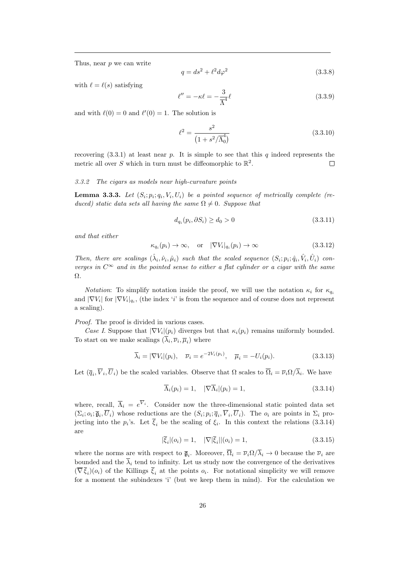Thus, near p we can write

$$
q = ds^2 + \ell^2 d\varphi^2 \tag{3.3.8}
$$

with  $\ell = \ell(s)$  satisfying

$$
\ell'' = -\kappa \ell = -\frac{3}{\overline{\Lambda}^4} \ell \tag{3.3.9}
$$

and with  $\ell(0) = 0$  and  $\ell'(0) = 1$ . The solution is

$$
\ell^2 = \frac{s^2}{\left(1 + s^2 / \overline{\Lambda}_0^4\right)}\tag{3.3.10}
$$

recovering  $(3.3.1)$  at least near p. It is simple to see that this q indeed represents the metric all over S which in turn must be diffeomorphic to  $\mathbb{R}^2$ .  $\Box$ 

## 3.3.2 The cigars as models near high-curvature points

**Lemma 3.3.3.** Let  $(S_i; p_i; q_i, V_i, U_i)$  be a pointed sequence of metrically complete (reduced) static data sets all having the same  $\Omega \neq 0$ . Suppose that

$$
d_{q_i}(p_i, \partial S_i) \ge d_0 > 0 \tag{3.3.11}
$$

and that either

$$
\kappa_{q_i}(p_i) \to \infty, \quad \text{or} \quad |\nabla V_i|_{q_i}(p_i) \to \infty \tag{3.3.12}
$$

Then, there are scalings  $(\hat{\lambda}_i, \hat{\nu}_i, \hat{\mu}_i)$  such that the scaled sequence  $(S_i; p_i; \hat{q}_i, \hat{V}_i, \hat{U}_i)$  converges in  $C^{\infty}$  and in the pointed sense to either a flat cylinder or a cigar with the same Ω.

*Notation*: To simplify notation inside the proof, we will use the notation  $\kappa_i$  for  $\kappa_{q_i}$ and  $|\nabla V_i|$  for  $|\nabla V_i|_{q_i}$ , (the index 'i' is from the sequence and of course does not represent a scaling).

Proof. The proof is divided in various cases.

Case I. Suppose that  $|\nabla V_i|(p_i)$  diverges but that  $\kappa_i(p_i)$  remains uniformly bounded. To start on we make scalings  $(\lambda_i, \overline{\nu}_i, \overline{\mu}_i)$  where

$$
\overline{\lambda}_i = |\nabla V_i|(p_i), \quad \overline{\nu}_i = e^{-2V_i(p_i)}, \quad \overline{\mu}_i = -U_i(p_i). \tag{3.3.13}
$$

Let  $(\overline{q}_i, \overline{V}_i, \overline{U}_i)$  be the scaled variables. Observe that  $\Omega$  scales to  $\overline{\Omega}_i = \overline{\nu}_i \Omega/\lambda_i$ . We have

$$
\overline{\Lambda}_i(p_i) = 1, \quad |\nabla \overline{\Lambda}_i|(p_i) = 1,
$$
\n(3.3.14)

where, recall,  $\overline{\Lambda}_i = e^{V_i}$ . Consider now the three-dimensional static pointed data set  $(\Sigma_i; o_i; \overline{\mathfrak{g}}_i, U_i)$  whose reductions are the  $(S_i; p_i; \overline{q}_i, V_i, U_i)$ . The  $o_i$  are points in  $\Sigma_i$  projecting into the  $p_i$ 's. Let  $\xi_i$  be the scaling of  $\xi_i$ . In this context the relations (3.3.14) are

$$
|\overline{\xi}_i|(o_i) = 1, \quad |\nabla|\overline{\xi}_i||(o_i) = 1,
$$
\n(3.3.15)

where the norms are with respect to  $\bar{\mathfrak{g}}_i$ . Moreover,  $\Omega_i = \bar{\nu}_i \Omega / \lambda_i \to 0$  because the  $\bar{\nu}_i$  are bounded and the  $\overline{\lambda}_i$  tend to infinity. Let us study now the convergence of the derivatives  $(\nabla \xi_i)(o_i)$  of the Killings  $\xi_i$  at the points  $o_i$ . For notational simplicity we will remove for a moment the subindexes 'i' (but we keep them in mind). For the calculation we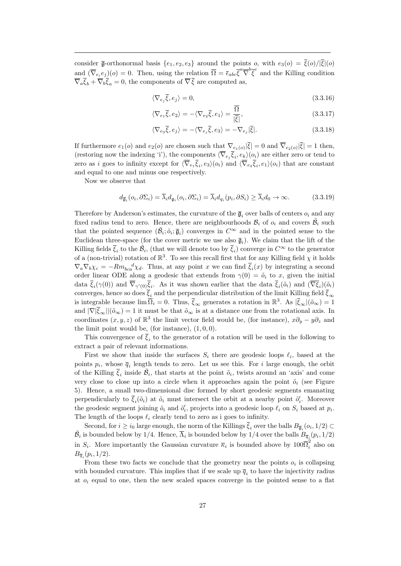consider  $\bar{\mathfrak{g}}$ -orthonormal basis  $\{e_1, e_2, e_3\}$  around the points o, with  $e_3(o) = \bar{\xi}(o)/|\bar{\xi}|(o)$ and  $(\overline{\nabla}_{e_i}e_j)(o) = 0$ . Then, using the relation  $\overline{\Omega} = \overline{\epsilon}_{abc}\overline{\xi}^a\overline{\nabla}^b\overline{\xi}^c$  and the Killing condition  $\overline{\nabla}_a \overline{\xi}_b + \overline{\nabla}_b \overline{\xi}_a = 0$ , the components of  $\overline{\nabla} \overline{\xi}$  are computed as,

$$
\nabla_{e_j} \overline{\xi}, e_j \rangle = 0,\tag{3.3.16}
$$

$$
\langle \nabla_{e_1} \overline{\xi}, e_2 \rangle = -\langle \nabla_{e_2} \overline{\xi}, e_1 \rangle = \frac{\Omega}{|\overline{\xi}|},\tag{3.3.17}
$$

$$
\langle \nabla_{e_3} \overline{\xi}, e_j \rangle = -\langle \nabla_{e_j} \overline{\xi}, e_3 \rangle = -\nabla_{e_j} |\overline{\xi}|.
$$
 (3.3.18)

If furthermore  $e_1(o)$  and  $e_2(o)$  are chosen such that  $\nabla_{e_1(o)}|\xi|=0$  and  $\nabla_{e_2(o)}|\xi|=1$  then, (restoring now the indexing 'i'), the components  $\langle \nabla_{e_j} \xi_i, e_k \rangle (o_i)$  are either zero or tend to zero as i goes to infinity except for  $\langle \nabla_{e_1} \xi_i, e_3 \rangle (o_i)$  and  $\langle \nabla_{e_3} \xi_i, e_1 \rangle (o_i)$  that are constant and equal to one and minus one respectively.

Now we observe that

 $\langle$ 

$$
d_{\overline{\mathfrak{g}}_i}(o_i, \partial \Sigma_i) = \overline{\lambda}_i d_{\mathfrak{g}_i}(o_i, \partial \Sigma_i) = \overline{\lambda}_i d_{q_i}(p_i, \partial S_i) \ge \overline{\lambda}_i d_0 \to \infty.
$$
 (3.3.19)

Therefore by Anderson's estimates, the curvature of the  $\bar{g}_i$  over balls of centers  $o_i$  and any fixed radius tend to zero. Hence, there are neighbourhoods  $\mathcal{B}_i$  of  $o_i$  and covers  $\tilde{\mathcal{B}}_i$  such that the pointed sequence  $(\tilde{\beta}_i; \tilde{o}_i; \bar{\mathfrak{g}}_i)$  converges in  $C^{\infty}$  and in the pointed sense to the Euclidean three-space (for the cover metric we use also  $\bar{\mathfrak{g}}_i$ ). We claim that the lift of the Killing fields  $\bar{\xi}_i$  to the  $\tilde{\mathcal{B}}_i$ , (that we will denote too by  $\bar{\xi}_i$ ) converge in  $C^{\infty}$  to the generator of a (non-trivial) rotation of  $\mathbb{R}^3$ . To see this recall first that for any Killing field  $\chi$  it holds  $\nabla_a \nabla_b \chi_c = -Rm_{bca}^d \chi_d$ . Thus, at any point x we can find  $\bar{\xi}_i(x)$  by integrating a second order linear ODE along a geodesic that extends from  $\gamma(0) = \tilde{o}_i$  to x, given the initial data  $\overline{\xi}_i(\gamma(0))$  and  $\overline{\nabla}_{\gamma'(0)}\overline{\xi}_i$ . As it was shown earlier that the data  $\overline{\xi}_i(\tilde{o}_i)$  and  $(\overline{\nabla}\xi_i)(\tilde{o}_i)$ converges, hence so does  $\bar{\xi}_i$  and the perpendicular distribution of the limit Killing field  $\bar{\xi}_{\infty}$ is integrable because  $\lim \overline{\Omega}_i = 0$ . Thus,  $\overline{\xi}_{\infty}$  generates a rotation in  $\mathbb{R}^3$ . As  $|\overline{\xi}_{\infty}|(\tilde{o}_{\infty}) = 1$ and  $|\nabla|\bar{\xi}_{\infty}||(\tilde{\delta}_{\infty})=1$  it must be that  $\tilde{\delta}_{\infty}$  is at a distance one from the rotational axis. In coordinates  $(x, y, z)$  of  $\mathbb{R}^3$  the limit vector field would be, (for instance),  $x\partial_y - y\partial_z$  and the limit point would be, (for instance),  $(1, 0, 0)$ .

This convergence of  $\xi_i$  to the generator of a rotation will be used in the following to extract a pair of relevant informations.

First we show that inside the surfaces  $S_i$  there are geodesic loops  $\ell_i$ , based at the points  $p_i$ , whose  $\overline{q}_i$  length tends to zero. Let us see this. For i large enough, the orbit of the Killing  $\bar{\xi}_i$  inside  $\tilde{\beta}_i$ , that starts at the point  $\tilde{o}_i$ , twists around an 'axis' and come very close to close up into a circle when it approaches again the point  $\tilde{o}_i$  (see Figure 5). Hence, a small two-dimensional disc formed by short geodesic segments emanating perpendicularly to  $\bar{\xi}_i(\tilde{o}_i)$  at  $\tilde{o}_i$  must intersect the orbit at a nearby point  $\tilde{o}'_i$ . Moreover the geodesic segment joining  $\tilde{o}_i$  and  $\tilde{o}'_i$ , projects into a geodesic loop  $\ell_i$  on  $S_i$  based at  $p_i$ . The length of the loops  $\ell_i$  clearly tend to zero as i goes to infinity.

Second, for  $i \ge i_0$  large enough, the norm of the Killings  $\xi_i$  over the balls  $B_{\overline{\mathfrak{g}}_i}(o_i,1/2) \subset$  $\tilde{B}_i$  is bounded below by 1/4. Hence,  $\overline{\Lambda}_i$  is bounded below by 1/4 over the balls  $B_{\overline{q}_i}(p_i,1/2)$ in  $S_i$ . More importantly the Gaussian curvature  $\overline{\kappa}_i$  is bounded above by  $100\overline{\Omega}_i^2$  also on  $B_{\overline{q}_i}(p_i,1/2).$ 

From these two facts we conclude that the geometry near the points  $o_i$  is collapsing with bounded curvature. This implies that if we scale up  $\overline{q}_i$  to have the injectivity radius at  $o_i$  equal to one, then the new scaled spaces converge in the pointed sense to a flat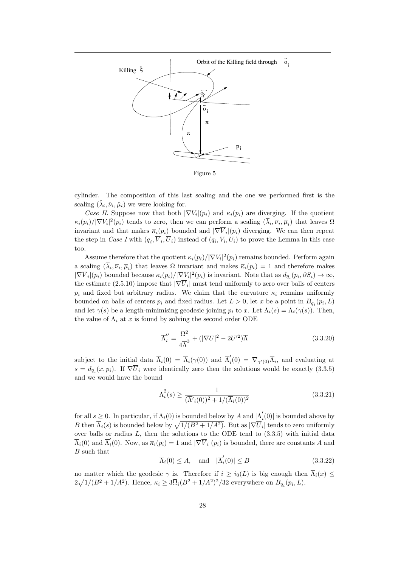

Figure 5

cylinder. The composition of this last scaling and the one we performed first is the scaling  $(\hat{\lambda}_i, \hat{\nu}_i, \hat{\mu}_i)$  we were looking for.

Case II. Suppose now that both  $|\nabla V_i|(p_i)$  and  $\kappa_i(p_i)$  are diverging. If the quotient  $\kappa_i(p_i)/|\nabla V_i|^2(p_i)$  tends to zero, then we can perform a scaling  $(\overline{\lambda}_i, \overline{\nu}_i, \overline{\mu}_i)$  that leaves  $\Omega$ invariant and that makes  $\bar{\kappa}_i(p_i)$  bounded and  $|\nabla V_i|(p_i)$  diverging. We can then repeat the step in *Case I* with  $(\overline{q}_i, \overline{V}_i, \overline{U}_i)$  instead of  $(q_i, V_i, U_i)$  to prove the Lemma in this case too.

Assume therefore that the quotient  $\kappa_i(p_i)/|\nabla V_i|^2(p_i)$  remains bounded. Perform again a scaling  $(\lambda_i, \overline{\nu}_i, \overline{\mu}_i)$  that leaves  $\Omega$  invariant and makes  $\overline{\kappa}_i(p_i) = 1$  and therefore makes  $|\nabla \overline{V}_i|(p_i)$  bounded because  $\kappa_i(p_i)/|\nabla V_i|^2(p_i)$  is invariant. Note that as  $d_{\overline{q}_i}(p_i, \partial S_i) \to \infty$ , the estimate (2.5.10) impose that  $|\nabla \overline{U}_i|$  must tend uniformly to zero over balls of centers  $p_i$  and fixed but arbitrary radius. We claim that the curvature  $\overline{\kappa}_i$  remains uniformly bounded on balls of centers  $p_i$  and fixed radius. Let  $L > 0$ , let x be a point in  $B_{\overline{q}_i}(p_i, L)$ and let  $\gamma(s)$  be a length-minimising geodesic joining  $p_i$  to x. Let  $\overline{\Lambda}_i(s) = \overline{\Lambda}_i(\gamma(s))$ . Then, the value of  $\overline{\Lambda}_i$  at x is found by solving the second order ODE

$$
\overline{\Lambda}''_i = \frac{\Omega^2}{4\overline{\Lambda}^3} + (|\nabla U|^2 - 2U^{\prime 2})\overline{\Lambda}
$$
\n(3.3.20)

subject to the initial data  $\overline{\Lambda}_i(0) = \overline{\Lambda}_i(\gamma(0))$  and  $\overline{\Lambda}'_i$  $\bar{N}_i(0) = \nabla_{\gamma'(0)} \Lambda_i$ , and evaluating at  $s = d_{\overline{q}_i}(x, p_i)$ . If  $\nabla U_i$  were identically zero then the solutions would be exactly (3.3.5) and we would have the bound

$$
\overline{\Lambda}_i^2(s) \ge \frac{1}{(\overline{\Lambda}'_i(0))^2 + 1/(\overline{\Lambda}_i(0))^2}
$$
\n(3.3.21)

for all  $s \geq 0$ . In particular, if  $\overline{\Lambda}_i(0)$  is bounded below by A and  $|\overline{\Lambda}_i$  $\binom{n}{i}(0)$  is bounded above by B then  $\overline{\Lambda}_i(s)$  is bounded below by  $\sqrt{1/(B^2 + 1/A^2)}$ . But as  $|\nabla \overline{U}_i|$  tends to zero uniformly over balls or radius  $L$ , then the solutions to the ODE tend to  $(3.3.5)$  with initial data  $\overline{\Lambda}_i(0)$  and  $\overline{\Lambda}_i'$  $\overline{K}_i(0)$ . Now, as  $\overline{\kappa}_i(p_i) = 1$  and  $|\nabla \overline{V}_i|(p_i)$  is bounded, there are constants A and B such that

$$
\overline{\Lambda}_i(0) \le A, \quad \text{and} \quad |\overline{\Lambda}_i'(0)| \le B \tag{3.3.22}
$$

no matter which the geodesic  $\gamma$  is. Therefore if  $i \geq i_0(L)$  is big enough then  $\overline{\Lambda}_i(x) \leq$  $2\sqrt{1/(B^2+1/A^2)}$ . Hence,  $\overline{\kappa}_i \geq 3\overline{\Omega}_i(B^2+1/A^2)^2/32$  everywhere on  $B_{\overline{q}_i}(p_i, L)$ .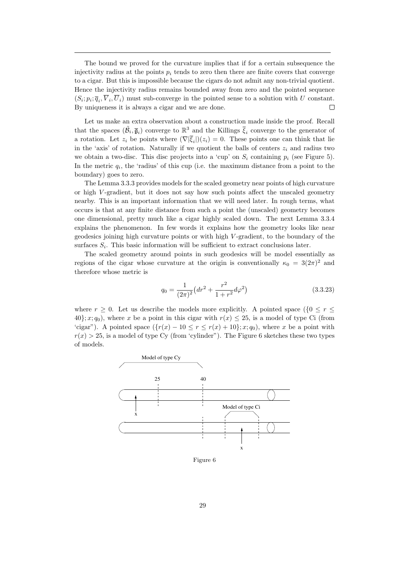The bound we proved for the curvature implies that if for a certain subsequence the injectivity radius at the points  $p_i$  tends to zero then there are finite covers that converge to a cigar. But this is impossible because the cigars do not admit any non-trivial quotient. Hence the injectivity radius remains bounded away from zero and the pointed sequence  $(S_i; p_i; \overline{q}_i, \overline{V}_i, \overline{U}_i)$  must sub-converge in the pointed sense to a solution with U constant. By uniqueness it is always a cigar and we are done.  $\Box$ 

Let us make an extra observation about a construction made inside the proof. Recall that the spaces  $(\tilde{\beta}_i, \bar{\mathfrak{g}}_i)$  converge to  $\mathbb{R}^3$  and the Killings  $\bar{\xi}_i$  converge to the generator of a rotation. Let  $z_i$  be points where  $(\nabla |\xi_i|)(z_i) = 0$ . These points one can think that lie in the 'axis' of rotation. Naturally if we quotient the balls of centers  $z_i$  and radius two we obtain a two-disc. This disc projects into a 'cup' on  $S_i$  containing  $p_i$  (see Figure 5). In the metric  $q_i$ , the 'radius' of this cup (i.e. the maximum distance from a point to the boundary) goes to zero.

The Lemma 3.3.3 provides models for the scaled geometry near points of high curvature or high V -gradient, but it does not say how such points affect the unscaled geometry nearby. This is an important information that we will need later. In rough terms, what occurs is that at any finite distance from such a point the (unscaled) geometry becomes one dimensional, pretty much like a cigar highly scaled down. The next Lemma 3.3.4 explains the phenomenon. In few words it explains how the geometry looks like near geodesics joining high curvature points or with high V -gradient, to the boundary of the surfaces  $S_i$ . This basic information will be sufficient to extract conclusions later.

The scaled geometry around points in such geodesics will be model essentially as regions of the cigar whose curvature at the origin is conventionally  $\kappa_0 = 3(2\pi)^2$  and therefore whose metric is

$$
q_0 = \frac{1}{(2\pi)^2} \left( dr^2 + \frac{r^2}{1+r^2} d\varphi^2 \right) \tag{3.3.23}
$$

where  $r \geq 0$ . Let us describe the models more explicitly. A pointed space  $(\{0 \leq r \leq \}$ 40}; x; q<sub>0</sub>), where x be a point in this cigar with  $r(x) \le 25$ , is a model of type Ci (from 'cigar"). A pointed space  $({r(x) - 10 \le r \le r(x) + 10}; x; q_0)$ , where x be a point with  $r(x) > 25$ , is a model of type Cy (from 'cylinder"). The Figure 6 sketches these two types of models.

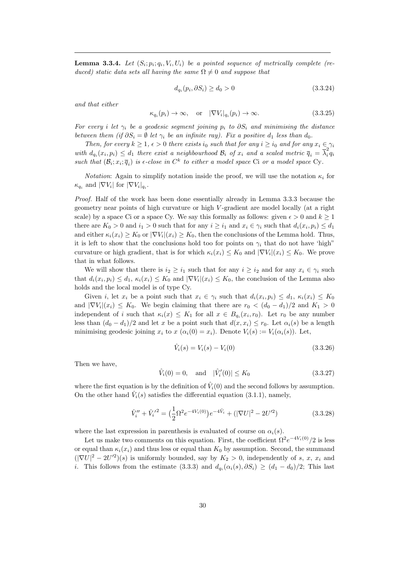**Lemma 3.3.4.** Let  $(S_i; p_i; q_i, V_i, U_i)$  be a pointed sequence of metrically complete (reduced) static data sets all having the same  $\Omega \neq 0$  and suppose that

$$
d_{q_i}(p_i, \partial S_i) \ge d_0 > 0 \tag{3.3.24}
$$

and that either

$$
\kappa_{q_i}(p_i) \to \infty, \quad \text{or} \quad |\nabla V_i|_{q_i}(p_i) \to \infty. \tag{3.3.25}
$$

For every i let  $\gamma_i$  be a geodesic segment joining  $p_i$  to  $\partial S_i$  and minimising the distance between them (if  $\partial S_i = \emptyset$  let  $\gamma_i$  be an infinite ray). Fix a positive  $d_1$  less than  $d_0$ .

Then, for every  $k \geq 1$ ,  $\epsilon > 0$  there exists  $i_0$  such that for any  $i \geq i_0$  and for any  $x_i \in \gamma_i$ with  $d_{q_i}(x_i, p_i) \leq d_1$  there exist a neighbourhood  $\mathcal{B}_i$  of  $x_i$  and a scaled metric  $\overline{q}_i = \overline{\lambda}_i^2$  $\tilde{q}_i$ such that  $(\mathcal{B}_i; x_i; \overline{q}_i)$  is  $\epsilon$ -close in  $C^k$  to either a model space Ci or a model space Cy.

*Notation*: Again to simplify notation inside the proof, we will use the notation  $\kappa_i$  for  $\kappa_{q_i}$  and  $|\nabla V_i|$  for  $|\nabla V_i|_{q_i}$ .

Proof. Half of the work has been done essentially already in Lemma 3.3.3 because the geometry near points of high curvature or high V -gradient are model locally (at a right scale) by a space Ci or a space Cy. We say this formally as follows: given  $\epsilon > 0$  and  $k \ge 1$ there are  $K_0 > 0$  and  $i_1 > 0$  such that for any  $i \geq i_1$  and  $x_i \in \gamma_i$  such that  $d_i(x_i, p_i) \leq d_1$ and either  $\kappa_i(x_i) \geq K_0$  or  $|\nabla V_i|(x_i) \geq K_0$ , then the conclusions of the Lemma hold. Thus, it is left to show that the conclusions hold too for points on  $\gamma_i$  that do not have 'high" curvature or high gradient, that is for which  $\kappa_i(x_i) \leq K_0$  and  $|\nabla V_i|(x_i) \leq K_0$ . We prove that in what follows.

We will show that there is  $i_2 \geq i_1$  such that for any  $i \geq i_2$  and for any  $x_i \in \gamma_i$  such that  $d_i(x_i, p_i) \leq d_1$ ,  $\kappa_i(x_i) \leq K_0$  and  $|\nabla V_i|(x_i) \leq K_0$ , the conclusion of the Lemma also holds and the local model is of type Cy.

Given i, let  $x_i$  be a point such that  $x_i \in \gamma_i$  such that  $d_i(x_i, p_i) \leq d_1$ ,  $\kappa_i(x_i) \leq K_0$ and  $|\nabla V_i|(x_i) \leq K_0$ . We begin claiming that there are  $r_0 < (d_0 - d_1)/2$  and  $K_1 > 0$ independent of i such that  $\kappa_i(x) \leq K_1$  for all  $x \in B_{q_i}(x_i, r_0)$ . Let  $r_0$  be any number less than  $(d_0 - d_1)/2$  and let x be a point such that  $d(x, x_i) \leq r_0$ . Let  $\alpha_i(s)$  be a length minimising geodesic joining  $x_i$  to  $x (\alpha_i(0) = x_i)$ . Denote  $V_i(s) := V_i(\alpha_i(s))$ . Let,

$$
\hat{V}_i(s) = V_i(s) - V_i(0) \tag{3.3.26}
$$

Then we have,

$$
\hat{V}_i(0) = 0, \text{ and } |\hat{V}'_i(0)| \le K_0 \tag{3.3.27}
$$

where the first equation is by the definition of  $\hat{V}_i(0)$  and the second follows by assumption. On the other hand  $\hat{V}_i(s)$  satisfies the differential equation (3.1.1), namely,

$$
\hat{V}_i'' + \hat{V}_i'^2 = \left(\frac{1}{2}\Omega^2 e^{-4V_i(0)}\right) e^{-4\hat{V}_i} + \left(|\nabla U|^2 - 2U'^2\right)
$$
\n(3.3.28)

where the last expression in parenthesis is evaluated of course on  $\alpha_i(s)$ .

Let us make two comments on this equation. First, the coefficient  $\Omega^2 e^{-4V_i(0)}/2$  is less or equal than  $\kappa_i(x_i)$  and thus less or equal than  $K_0$  by assumption. Second, the summand  $(|\nabla U|^2 - 2U^2)(s)$  is uniformly bounded, say by  $K_2 > 0$ , independently of s, x, x<sub>i</sub> and *i*. This follows from the estimate (3.3.3) and  $d_{q_i}(\alpha_i(s), \partial S_i) \geq (d_1 - d_0)/2$ ; This last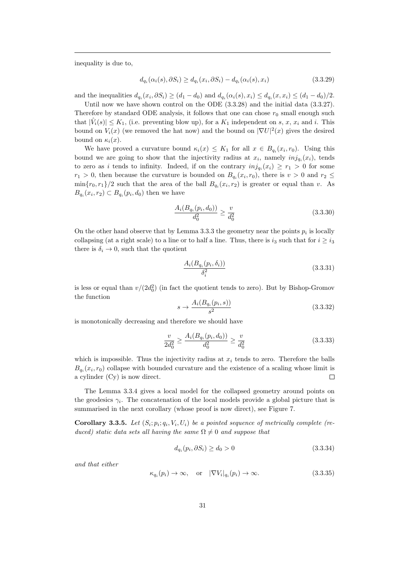inequality is due to,

$$
d_{q_i}(\alpha_i(s), \partial S_i) \ge d_{q_i}(x_i, \partial S_i) - d_{q_i}(\alpha_i(s), x_i)
$$
\n(3.3.29)

and the inequalities  $d_{q_i}(x_i, \partial S_i) \ge (d_1 - d_0)$  and  $d_{q_i}(\alpha_i(s), x_i) \le d_{q_i}(x, x_i) \le (d_1 - d_0)/2$ .

Until now we have shown control on the ODE  $(3.3.28)$  and the initial data  $(3.3.27)$ . Therefore by standard ODE analysis, it follows that one can chose  $r_0$  small enough such that  $|\hat{V}_i(s)| \leq K_1$ , (i.e. preventing blow up), for a  $K_1$  independent on s, x,  $x_i$  and i. This bound on  $V_i(x)$  (we removed the hat now) and the bound on  $|\nabla U|^2(x)$  gives the desired bound on  $\kappa_i(x)$ .

We have proved a curvature bound  $\kappa_i(x) \leq K_1$  for all  $x \in B_{q_i}(x_i, r_0)$ . Using this bound we are going to show that the injectivity radius at  $x_i$ , namely  $inj_{q_i}(x_i)$ , tends to zero as i tends to infinity. Indeed, if on the contrary  $inj_{q_i}(x_i) \geq r_1 > 0$  for some  $r_1 > 0$ , then because the curvature is bounded on  $B_{q_i}(x_i, r_0)$ , there is  $v > 0$  and  $r_2 \leq$  $\min\{r_0, r_1\}/2$  such that the area of the ball  $B_{q_i}(x_i, r_2)$  is greater or equal than v. As  $B_{q_i}(x_i,r_2) \subset B_{q_i}(p_i,d_0)$  then we have

$$
\frac{A_i(B_{q_i}(p_i, d_0))}{d_0^2} \ge \frac{v}{d_0^2} \tag{3.3.30}
$$

On the other hand observe that by Lemma 3.3.3 the geometry near the points  $p_i$  is locally collapsing (at a right scale) to a line or to half a line. Thus, there is  $i_3$  such that for  $i \ge i_3$ there is  $\delta_i \rightarrow 0$ , such that the quotient

$$
\frac{A_i(B_{q_i}(p_i, \delta_i))}{\delta_i^2} \tag{3.3.31}
$$

is less or equal than  $v/(2d_0^2)$  (in fact the quotient tends to zero). But by Bishop-Gromov the function

$$
s \to \frac{A_i(B_{q_i}(p_i, s))}{s^2} \tag{3.3.32}
$$

is monotonically decreasing and therefore we should have

$$
\frac{v}{2d_0^2} \ge \frac{A_i(B_{q_i}(p_i, d_0))}{d_0^2} \ge \frac{v}{d_0^2} \tag{3.3.33}
$$

which is impossible. Thus the injectivity radius at  $x_i$  tends to zero. Therefore the balls  $B_{q_i}(x_i, r_0)$  collapse with bounded curvature and the existence of a scaling whose limit is a cylinder (Cy) is now direct.  $\Box$ 

The Lemma 3.3.4 gives a local model for the collapsed geometry around points on the geodesics  $\gamma_i$ . The concatenation of the local models provide a global picture that is summarised in the next corollary (whose proof is now direct), see Figure 7.

**Corollary 3.3.5.** Let  $(S_i; p_i; q_i, V_i, U_i)$  be a pointed sequence of metrically complete (reduced) static data sets all having the same  $\Omega \neq 0$  and suppose that

$$
d_{q_i}(p_i, \partial S_i) \ge d_0 > 0 \tag{3.3.34}
$$

and that either

$$
\kappa_{q_i}(p_i) \to \infty, \quad \text{or} \quad |\nabla V_i|_{q_i}(p_i) \to \infty. \tag{3.3.35}
$$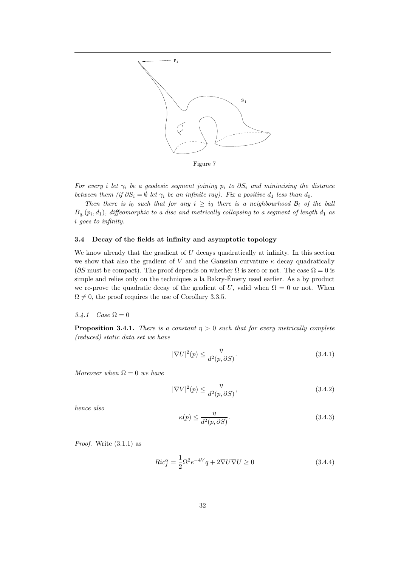

For every i let  $\gamma_i$  be a geodesic segment joining  $p_i$  to  $\partial S_i$  and minimising the distance between them (if  $\partial S_i = \emptyset$  let  $\gamma_i$  be an infinite ray). Fix a positive  $d_1$  less than  $d_0$ .

Then there is  $i_0$  such that for any  $i \geq i_0$  there is a neighbourhood  $\mathcal{B}_i$  of the ball  $B_{q_i}(p_i, d_1)$ , diffeomorphic to a disc and metrically collapsing to a segment of length  $d_1$  as i goes to infinity.

## 3.4 Decay of the fields at infinity and asymptotic topology

We know already that the gradient of  $U$  decays quadratically at infinity. In this section we show that also the gradient of V and the Gaussian curvature  $\kappa$  decay quadratically ( $\partial S$  must be compact). The proof depends on whether  $\Omega$  is zero or not. The case  $\Omega = 0$  is simple and relies only on the techniques a la Bakry-Emery used earlier. As a by product we re-prove the quadratic decay of the gradient of U, valid when  $\Omega = 0$  or not. When  $\Omega \neq 0$ , the proof requires the use of Corollary 3.3.5.

## 3.4.1 Case  $\Omega = 0$

**Proposition 3.4.1.** There is a constant  $\eta > 0$  such that for every metrically complete (reduced) static data set we have

$$
|\nabla U|^2(p) \le \frac{\eta}{d^2(p, \partial S)}.\tag{3.4.1}
$$

Moreover when  $\Omega = 0$  we have

$$
|\nabla V|^2(p) \le \frac{\eta}{d^2(p, \partial S)},\tag{3.4.2}
$$

hence also

$$
\kappa(p) \le \frac{\eta}{d^2(p, \partial S)}.\tag{3.4.3}
$$

*Proof.* Write  $(3.1.1)$  as

$$
Ric_f^{\alpha} = \frac{1}{2}\Omega^2 e^{-4V} q + 2\nabla U \nabla U \ge 0
$$
\n(3.4.4)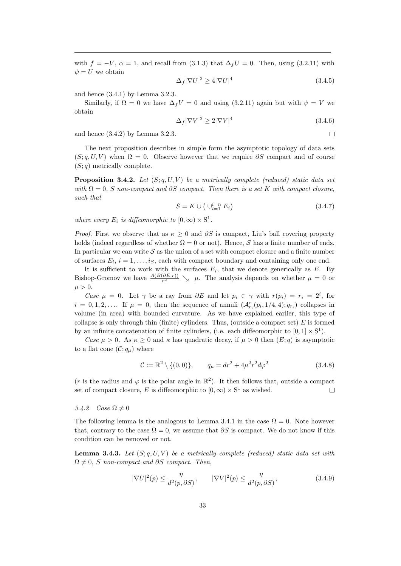with  $f = -V$ ,  $\alpha = 1$ , and recall from (3.1.3) that  $\Delta_f U = 0$ . Then, using (3.2.11) with  $\psi = U$  we obtain

$$
\Delta_f |\nabla U|^2 \ge 4|\nabla U|^4 \tag{3.4.5}
$$

and hence (3.4.1) by Lemma 3.2.3.

Similarly, if  $\Omega = 0$  we have  $\Delta_f V = 0$  and using (3.2.11) again but with  $\psi = V$  we obtain

$$
\Delta_f |\nabla V|^2 \ge 2|\nabla V|^4 \tag{3.4.6}
$$

 $\Box$ 

and hence (3.4.2) by Lemma 3.2.3.

The next proposition describes in simple form the asymptotic topology of data sets  $(S; q, U, V)$  when  $\Omega = 0$ . Observe however that we require  $\partial S$  compact and of course  $(S; q)$  metrically complete.

**Proposition 3.4.2.** Let  $(S; q, U, V)$  be a metrically complete (reduced) static data set with  $\Omega = 0$ , S non-compact and  $\partial S$  compact. Then there is a set K with compact closure, such that

$$
S = K \cup \left(\bigcup_{i=1}^{i=n} E_i\right) \tag{3.4.7}
$$

where every  $E_i$  is diffeomorphic to  $[0, \infty) \times \mathbb{S}^1$ .

*Proof.* First we observe that as  $\kappa \geq 0$  and  $\partial S$  is compact. Liu's ball covering property holds (indeed regardless of whether  $\Omega = 0$  or not). Hence, S has a finite number of ends. In particular we can write  $S$  as the union of a set with compact closure and a finite number of surfaces  $E_i$ ,  $i = 1, \ldots, i_S$ , each with compact boundary and containing only one end.

It is sufficient to work with the surfaces  $E_i$ , that we denote generically as  $E$ . By Bishop-Gromov we have  $\frac{A(B(\partial E,r))}{r^2}$   $\searrow$   $\mu$ . The analysis depends on whether  $\mu = 0$  or  $\mu > 0$ .

Case  $\mu = 0$ . Let  $\gamma$  be a ray from  $\partial E$  and let  $p_i \in \gamma$  with  $r(p_i) = r_i = 2^i$ , for  $i = 0, 1, 2, \ldots$  If  $\mu = 0$ , then the sequence of annuli  $(\mathcal{A}_{r_i}^c(p_i, 1/4, 4); q_{r_i})$  collapses in volume (in area) with bounded curvature. As we have explained earlier, this type of collapse is only through thin (finite) cylinders. Thus, (outside a compact set)  $E$  is formed by an infinite concatenation of finite cylinders, (i.e. each diffeomorphic to  $[0, 1] \times S^1$ ).

Case  $\mu > 0$ . As  $\kappa \geq 0$  and  $\kappa$  has quadratic decay, if  $\mu > 0$  then  $(E; q)$  is asymptotic to a flat cone  $(C; q_\mu)$  where

$$
\mathcal{C} := \mathbb{R}^2 \setminus \{ (0,0) \}, \qquad q_{\mu} = dr^2 + 4\mu^2 r^2 d\varphi^2 \tag{3.4.8}
$$

(r is the radius and  $\varphi$  is the polar angle in  $\mathbb{R}^2$ ). It then follows that, outside a compact set of compact closure, E is diffeomorphic to  $[0, \infty) \times S^1$  as wished.  $\Box$ 

#### 3.4.2 Case  $\Omega \neq 0$

The following lemma is the analogous to Lemma 3.4.1 in the case  $\Omega = 0$ . Note however that, contrary to the case  $\Omega = 0$ , we assume that  $\partial S$  is compact. We do not know if this condition can be removed or not.

**Lemma 3.4.3.** Let  $(S; q, U, V)$  be a metrically complete (reduced) static data set with  $\Omega \neq 0$ , S non-compact and ∂S compact. Then,

$$
|\nabla U|^2(p) \le \frac{\eta}{d^2(p, \partial S)}, \qquad |\nabla V|^2(p) \le \frac{\eta}{d^2(p, \partial S)}, \tag{3.4.9}
$$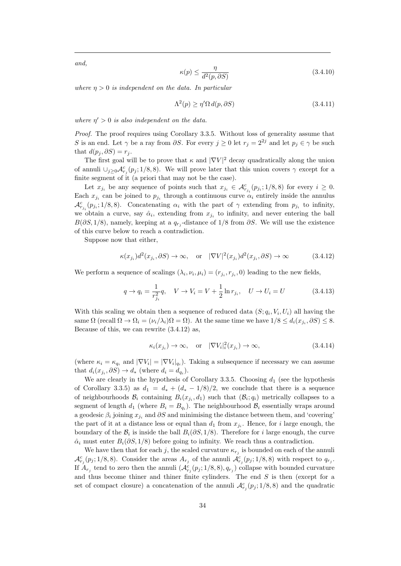and,

$$
\kappa(p) \le \frac{\eta}{d^2(p, \partial S)}\tag{3.4.10}
$$

where  $\eta > 0$  is independent on the data. In particular

$$
\Lambda^2(p) \ge \eta' \Omega \, d(p, \partial S) \tag{3.4.11}
$$

where  $\eta' > 0$  is also independent on the data.

Proof. The proof requires using Corollary 3.3.5. Without loss of generality assume that S is an end. Let  $\gamma$  be a ray from  $\partial S$ . For every  $j \geq 0$  let  $r_j = 2^{2j}$  and let  $p_j \in \gamma$  be such that  $d(p_i, \partial S) = r_i$ .

The first goal will be to prove that  $\kappa$  and  $|\nabla V|^2$  decay quadratically along the union of annuli  $\cup_{j\geq 0} \mathcal{A}_{r_j}^c(p_j;1/8,8)$ . We will prove later that this union covers  $\gamma$  except for a finite segment of it (a priori that may not be the case).

Let  $x_{j_i}$  be any sequence of points such that  $x_{j_i} \in \mathcal{A}_{r_{j_i}}^c(p_{j_i}; 1/8, 8)$  for every  $i \geq 0$ . Each  $x_{j_i}$  can be joined to  $p_{j_i}$  through a continuous curve  $\alpha_i$  entirely inside the annulus  $\mathcal{A}_{r_{j_i}}^c(p_{j_i};1/8,8)$ . Concatenating  $\alpha_i$  with the part of  $\gamma$  extending from  $p_{j_i}$  to infinity, we obtain a curve, say  $\hat{\alpha}_i$ , extending from  $x_{j_i}$  to infinity, and never entering the ball  $B(\partial S, 1/8)$ , namely, keeping at a  $q_{r_j}$ -distance of 1/8 from  $\partial S$ . We will use the existence of this curve below to reach a contradiction.

Suppose now that either,

$$
\kappa(x_{j_i})d^2(x_{j_i}, \partial S) \to \infty, \quad \text{or} \quad |\nabla V|^2(x_{j_i})d^2(x_{j_i}, \partial S) \to \infty \tag{3.4.12}
$$

We perform a sequence of scalings  $(\lambda_i, \nu_i, \mu_i) = (r_{j_i}, r_{j_i}, 0)$  leading to the new fields,

$$
q \to q_i = \frac{1}{r_{j_i}^2} q, \quad V \to V_i = V + \frac{1}{2} \ln r_{j_i}, \quad U \to U_i = U \tag{3.4.13}
$$

With this scaling we obtain then a sequence of reduced data  $(S; q_i, V_i, U_i)$  all having the same  $\Omega$  (recall  $\Omega \to \Omega_i = (\nu_i/\lambda_i)\Omega = \Omega$ ). At the same time we have  $1/8 \leq d_i(x_{j_i}, \partial S) \leq 8$ . Because of this, we can rewrite (3.4.12) as,

$$
\kappa_i(x_{j_i}) \to \infty, \quad \text{or} \quad |\nabla V_i|_i^2(x_{j_i}) \to \infty,
$$
\n(3.4.14)

(where  $\kappa_i = \kappa_{q_i}$  and  $|\nabla V_i| = |\nabla V_i|_{q_i}$ ). Taking a subsequence if necessary we can assume that  $d_i(x_{j_i}, \partial S) \to d_*$  (where  $d_i = d_{q_i}$ ).

We are clearly in the hypothesis of Corollary 3.3.5. Choosing  $d_1$  (see the hypothesis of Corollary 3.3.5) as  $d_1 = d_* + (d_* - 1/8)/2$ , we conclude that there is a sequence of neighbourhoods  $\mathcal{B}_i$  containing  $B_i(x_{j_i}, d_1)$  such that  $(\mathcal{B}_i; q_i)$  metrically collapses to a segment of length  $d_1$  (where  $B_i = B_{q_i}$ ). The neighbourhood  $B_i$  essentially wraps around a geodesic  $\beta_i$  joining  $x_{j_i}$  and  $\partial S$  and minimising the distance between them, and 'covering' the part of it at a distance less or equal than  $d_1$  from  $x_{j_i}$ . Hence, for i large enough, the boundary of the  $\mathcal{B}_i$  is inside the ball  $B_i(\partial S, 1/8)$ . Therefore for i large enough, the curve  $\hat{\alpha}_i$  must enter  $B_i(\partial S, 1/8)$  before going to infinity. We reach thus a contradiction.

We have then that for each j, the scaled curvature  $\kappa_{r_j}$  is bounded on each of the annuli  $\mathcal{A}_{r_j}^c(p_j;1/8,8)$ . Consider the areas  $A_{r_j}$  of the annuli  $\mathcal{A}_{r_j}^c(p_j;1/8,8)$  with respect to  $q_{r_j}$ . If  $A_{r_j}$  tend to zero then the annuli  $(\mathcal{A}_{r_j}^c(p_j; 1/8, 8), q_{r_j})$  collapse with bounded curvature and thus become thiner and thiner finite cylinders. The end  $S$  is then (except for a set of compact closure) a concatenation of the annuli  $\mathcal{A}_{r_j}^c(p_j; 1/8, 8)$  and the quadratic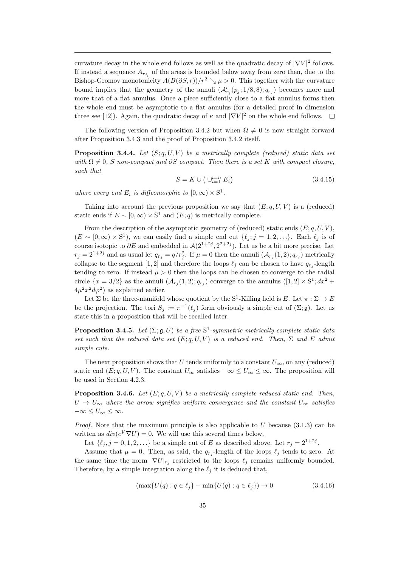curvature decay in the whole end follows as well as the quadratic decay of  $|\nabla V|^2$  follows. If instead a sequence  $A_{r_{j_i}}$  of the areas is bounded below away from zero then, due to the Bishop-Gromov monotonicity  $A(B(\partial S, r))/r^2 \searrow \mu > 0$ . This together with the curvature bound implies that the geometry of the annuli  $(\mathcal{A}_{r_j}^c(p_j; 1/8, 8); q_{r_j})$  becomes more and more that of a flat annulus. Once a piece sufficiently close to a flat annulus forms then the whole end must be asymptotic to a flat annulus (for a detailed proof in dimension three see [12]). Again, the quadratic decay of  $\kappa$  and  $|\nabla V|^2$  on the whole end follows.

The following version of Proposition 3.4.2 but when  $\Omega \neq 0$  is now straight forward after Proposition 3.4.3 and the proof of Proposition 3.4.2 itself.

**Proposition 3.4.4.** Let  $(S; q, U, V)$  be a metrically complete (reduced) static data set with  $\Omega \neq 0$ , S non-compact and ∂S compact. Then there is a set K with compact closure, such that

$$
S = K \cup \left(\bigcup_{i=1}^{i=n} E_i\right) \tag{3.4.15}
$$

where every end  $E_i$  is diffeomorphic to  $[0, \infty) \times S^1$ .

Taking into account the previous proposition we say that  $(E; q, U, V)$  is a (reduced) static ends if  $E \sim [0, \infty) \times S^1$  and  $(E; q)$  is metrically complete.

From the description of the asymptotic geometry of (reduced) static ends  $(E; q, U, V)$ ,  $(E \sim [0, \infty) \times S^1)$ , we can easily find a simple end cut  $\{\ell_j; j = 1, 2, ...\}$ . Each  $\ell_j$  is of course isotopic to  $\partial E$  and embedded in  $\mathcal{A}(2^{1+2j}, 2^{2+2j})$ . Let us be a bit more precise. Let  $r_j = 2^{1+2j}$  and as usual let  $q_{r_j} = q/r_j^2$ . If  $\mu = 0$  then the annuli  $(\mathcal{A}_{r_j}(1,2); q_{r_j})$  metrically collapse to the segment [1, 2] and therefore the loops  $\ell_j$  can be chosen to have  $q_{r_j}$ -length tending to zero. If instead  $\mu > 0$  then the loops can be chosen to converge to the radial circle  $\{x=3/2\}$  as the annuli  $(\mathcal{A}_{r_j}(1,2); q_{r_j})$  converge to the annulus  $([1,2] \times S^1; dx^2 +$  $4\mu^2 x^2 d\varphi^2$  as explained earlier.

Let  $\Sigma$  be the three-manifold whose quotient by the S<sup>1</sup>-Killing field is E. Let  $\pi : \Sigma \to E$ be the projection. The tori  $S_j := \pi^{-1}(\ell_j)$  form obviously a simple cut of  $(\Sigma; \mathfrak{g})$ . Let us state this in a proposition that will be recalled later.

**Proposition 3.4.5.** Let  $(\Sigma; \mathfrak{g}, U)$  be a free  $S^1$ -symmetric metrically complete static data set such that the reduced data set  $(E; q, U, V)$  is a reduced end. Then,  $\Sigma$  and E admit simple cuts.

The next proposition shows that U tends uniformly to a constant  $U_{\infty}$ , on any (reduced) static end  $(E; q, U, V)$ . The constant  $U_{\infty}$  satisfies  $-\infty \leq U_{\infty} \leq \infty$ . The proposition will be used in Section 4.2.3.

**Proposition 3.4.6.** Let  $(E; q, U, V)$  be a metrically complete reduced static end. Then,  $U \rightarrow U_{\infty}$  where the arrow signifies uniform convergence and the constant  $U_{\infty}$  satisfies  $-\infty \leq U_{\infty} \leq \infty$ .

*Proof.* Note that the maximum principle is also applicable to  $U$  because (3.1.3) can be written as  $div(e^V \nabla U) = 0$ . We will use this several times below.

Let  $\{\ell_j, j = 0, 1, 2, \ldots\}$  be a simple cut of E as described above. Let  $r_j = 2^{1+2j}$ .

Assume that  $\mu = 0$ . Then, as said, the  $q_{r_j}$ -length of the loops  $\ell_j$  tends to zero. At the same time the norm  $|\nabla U|_{r_j}$  restricted to the loops  $\ell_j$  remains uniformly bounded. Therefore, by a simple integration along the  $\ell_i$  it is deduced that,

$$
(\max\{U(q) : q \in \ell_j\} - \min\{U(q) : q \in \ell_j\}) \to 0
$$
\n(3.4.16)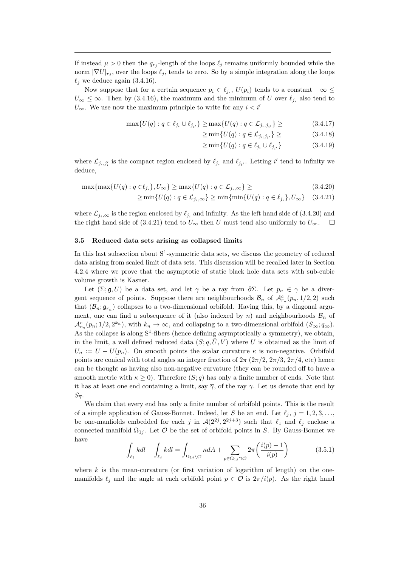If instead  $\mu > 0$  then the  $q_{r_j}$ -length of the loops  $\ell_j$  remains uniformly bounded while the norm  $|\nabla U|_{r_j}$ , over the loops  $\ell_j$ , tends to zero. So by a simple integration along the loops  $\ell_j$  we deduce again (3.4.16).

Now suppose that for a certain sequence  $p_i \in \ell_{j_i}$ ,  $U(p_i)$  tends to a constant  $-\infty \leq$  $U_{\infty} \leq \infty$ . Then by (3.4.16), the maximum and the minimum of U over  $\ell_{j_i}$  also tend to  $U_{\infty}$ . We use now the maximum principle to write for any  $i < i'$ 

$$
\max\{U(q) : q \in \ell_{j_i} \cup \ell_{j_{i'}}\} \ge \max\{U(q) : q \in \mathcal{L}_{j_i, j_{i'}}\} \ge \tag{3.4.17}
$$

 $\geq \min\{U(q): q \in \mathcal{L}_{j_i,j_{i'}}\}\geq$  $(3.4.18)$ 

$$
\geq \min \{ U(q) : q \in \ell_{j_i} \cup \ell_{j_{i'}} \} \tag{3.4.19}
$$

where  $\mathcal{L}_{j_i,j'_i}$  is the compact region enclosed by  $\ell_{j_i}$  and  $\ell_{j_{i'}}$ . Letting i' tend to infinity we deduce,

$$
\max\{\max\{U(q) : q \in \ell_{j_i}\}, U_{\infty}\} \ge \max\{U(q) : q \in \mathcal{L}_{j_i,\infty}\} \ge \tag{3.4.20}
$$

$$
\geq \min\{U(q) : q \in \mathcal{L}_{j_i,\infty}\} \geq \min\{\min\{U(q) : q \in \ell_{j_i}\}, U_{\infty}\}\quad(3.4.21)
$$

where  $\mathcal{L}_{j_i,\infty}$  is the region enclosed by  $\ell_{j_i}$  and infinity. As the left hand side of (3.4.20) and the right hand side of (3.4.21) tend to  $U_{\infty}$  then U must tend also uniformly to  $U_{\infty}$ .  $\Box$ 

#### 3.5 Reduced data sets arising as collapsed limits

In this last subsection about  $S^1$ -symmetric data sets, we discuss the geometry of reduced data arising from scaled limit of data sets. This discussion will be recalled later in Section 4.2.4 where we prove that the asymptotic of static black hole data sets with sub-cubic volume growth is Kasner.

Let  $(\Sigma; \mathfrak{g}, U)$  be a data set, and let  $\gamma$  be a ray from  $\partial \Sigma$ . Let  $p_n \in \gamma$  be a divergent sequence of points. Suppose there are neighbourhoods  $\mathcal{B}_n$  of  $\mathcal{A}_{r_n}^c(p_n, 1/2, 2)$  such that  $(\mathcal{B}_n; \mathfrak{g}_{r_n})$  collapses to a two-dimensional orbifold. Having this, by a diagonal argument, one can find a subsequence of it (also indexed by n) and neighbourhoods  $\mathcal{B}_n$  of  $\mathcal{A}_{r_n}^c(p_n; 1/2, 2^{k_n})$ , with  $k_n \to \infty$ , and collapsing to a two-dimensional orbifold  $(S_{\infty}; q_{\infty})$ . As the collapse is along  $S^1$ -fibers (hence defining asymptotically a symmetry), we obtain, in the limit, a well defined reduced data  $(S; q, \overline{U}, V)$  where  $\overline{U}$  is obtained as the limit of  $U_n := U - U(p_n)$ . On smooth points the scalar curvature  $\kappa$  is non-negative. Orbifold points are conical with total angles an integer fraction of  $2\pi (2\pi/2, 2\pi/3, 2\pi/4,$  etc) hence can be thought as having also non-negative curvature (they can be rounded off to have a smooth metric with  $\kappa \geq 0$ . Therefore  $(S; q)$  has only a finite number of ends. Note that it has at least one end containing a limit, say  $\overline{\gamma}$ , of the ray  $\gamma$ . Let us denote that end by  $S_{\overline{\gamma}}$ .

We claim that every end has only a finite number of orbifold points. This is the result of a simple application of Gauss-Bonnet. Indeed, let S be an end. Let  $\ell_j$ ,  $j = 1, 2, 3, \ldots$ , be one-manfiolds embedded for each j in  $\mathcal{A}(2^{2j}, 2^{2j+3})$  such that  $\ell_1$  and  $\ell_j$  enclose a connected manifold  $\Omega_{1j}$ . Let  $\mathcal O$  be the set of orbifold points in S. By Gauss-Bonnet we have

$$
-\int_{\ell_1} k dl - \int_{\ell_j} k dl = \int_{\Omega_{1j} \backslash \mathcal{O}} \kappa dA + \sum_{p \in \Omega_{1j} \cap \mathcal{O}} 2\pi \left( \frac{i(p) - 1}{i(p)} \right) \tag{3.5.1}
$$

where  $k$  is the mean-curvature (or first variation of logarithm of length) on the onemanifolds  $\ell_j$  and the angle at each orbifold point  $p \in \mathcal{O}$  is  $2\pi/i(p)$ . As the right hand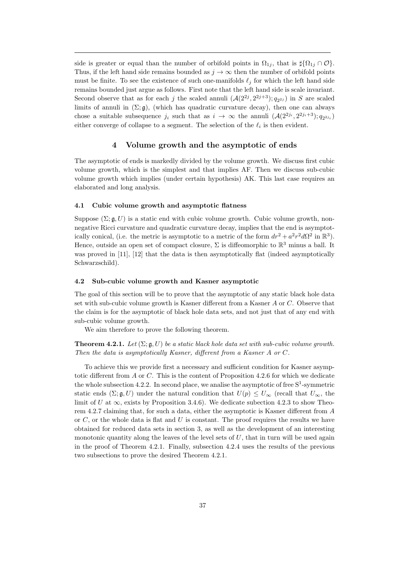side is greater or equal than the number of orbifold points in  $\Omega_{1j}$ , that is  $\sharp {\Omega_{1j} \cap \mathcal{O}}$ . Thus, if the left hand side remains bounded as  $j \to \infty$  then the number of orbifold points must be finite. To see the existence of such one-manifolds  $\ell_j$  for which the left hand side remains bounded just argue as follows. First note that the left hand side is scale invariant. Second observe that as for each j the scaled annuli  $(\mathcal{A}(2^{2j}, 2^{2j+3}); q_{2^{2j}})$  in S are scaled limits of annuli in  $(\Sigma; \mathfrak{g})$ , (which has quadratic curvature decay), then one can always chose a suitable subsequence  $j_i$  such that as  $i \to \infty$  the annuli  $(\mathcal{A}(2^{2j_i}, 2^{2j_i+3}); q_{2^{2j_i}})$ either converge of collapse to a segment. The selection of the  $\ell_i$  is then evident.

## 4 Volume growth and the asymptotic of ends

The asymptotic of ends is markedly divided by the volume growth. We discuss first cubic volume growth, which is the simplest and that implies AF. Then we discuss sub-cubic volume growth which implies (under certain hypothesis) AK. This last case requires an elaborated and long analysis.

#### 4.1 Cubic volume growth and asymptotic flatness

Suppose  $(\Sigma; \mathfrak{a}, U)$  is a static end with cubic volume growth. Cubic volume growth, nonnegative Ricci curvature and quadratic curvature decay, implies that the end is asymptotically conical, (i.e. the metric is asymptotic to a metric of the form  $dr^2 + a^2r^2d\Omega^2$  in  $\mathbb{R}^3$ ). Hence, outside an open set of compact closure,  $\Sigma$  is diffeomorphic to  $\mathbb{R}^3$  minus a ball. It was proved in [11], [12] that the data is then asymptotically flat (indeed asymptotically Schwarzschild).

## 4.2 Sub-cubic volume growth and Kasner asymptotic

The goal of this section will be to prove that the asymptotic of any static black hole data set with sub-cubic volume growth is Kasner different from a Kasner A or C. Observe that the claim is for the asymptotic of black hole data sets, and not just that of any end with sub-cubic volume growth.

We aim therefore to prove the following theorem.

**Theorem 4.2.1.** Let  $(\Sigma; \mathfrak{g}, U)$  be a static black hole data set with sub-cubic volume growth. Then the data is asymptotically Kasner, different from a Kasner A or C.

To achieve this we provide first a necessary and sufficient condition for Kasner asymptotic different from A or C. This is the content of Proposition 4.2.6 for which we dedicate the whole subsection 4.2.2. In second place, we analise the asymptotic of free  $S^1$ -symmetric static ends  $(\Sigma; \mathfrak{g}, U)$  under the natural condition that  $U(p) \leq U_{\infty}$  (recall that  $U_{\infty}$ , the limit of U at  $\infty$ , exists by Proposition 3.4.6). We dedicate subection 4.2.3 to show Theorem 4.2.7 claiming that, for such a data, either the asymptotic is Kasner different from A or  $C$ , or the whole data is flat and U is constant. The proof requires the results we have obtained for reduced data sets in section 3, as well as the development of an interesting monotonic quantity along the leaves of the level sets of  $U$ , that in turn will be used again in the proof of Theorem 4.2.1. Finally, subsection 4.2.4 uses the results of the previous two subsections to prove the desired Theorem 4.2.1.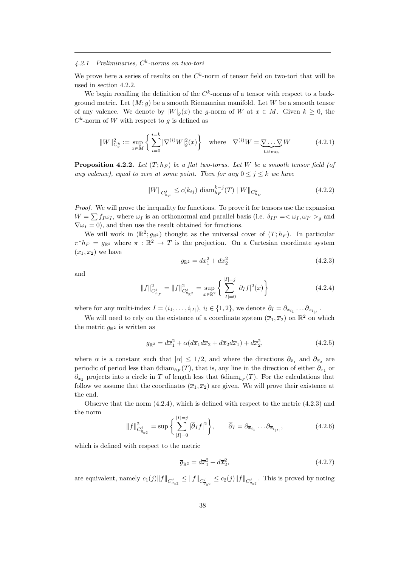## 4.2.1 Preliminaries,  $C<sup>k</sup>$ -norms on two-tori

We prove here a series of results on the  $C<sup>k</sup>$ -norm of tensor field on two-tori that will be used in section 4.2.2.

We begin recalling the definition of the  $C<sup>k</sup>$ -norms of a tensor with respect to a background metric. Let  $(M; q)$  be a smooth Riemannian manifold. Let W be a smooth tensor of any valence. We denote by  $|W|_q(x)$  the g-norm of W at  $x \in M$ . Given  $k \geq 0$ , the  $C<sup>k</sup>$ -norm of W with respect to g is defined as

$$
||W||_{C_g^k}^2 := \sup_{x \in M} \left\{ \sum_{i=0}^{i=k} |\nabla^{(i)} W|_g^2(x) \right\} \quad \text{where} \quad \nabla^{(i)} W = \underbrace{\nabla \dots \nabla}_{i \text{-times}} W \tag{4.2.1}
$$

**Proposition 4.2.2.** Let  $(T; h_F)$  be a flat two-torus. Let W be a smooth tensor field (of any valence), equal to zero at some point. Then for any  $0 \le j \le k$  we have

$$
||W||_{C_{h_F}^j} \le c(k_{ij}) \text{ diam}_{h_F}^{k-j}(T) ||W||_{C_{h_F}^k}
$$
\n(4.2.2)

Proof. We will prove the inequality for functions. To prove it for tensors use the expansion  $W = \sum f_I \omega_I$ , where  $\omega_I$  is an orthonormal and parallel basis (i.e.  $\delta_{II'} = \langle \omega_I, \omega_{I'} \rangle_g$  and  $\nabla \omega_I = 0$ , and then use the result obtained for functions.

We will work in  $(\mathbb{R}^2; g_{\mathbb{R}^2})$  thought as the universal cover of  $(T; h_F)$ . In particular  $\pi^* h_F = g_{\mathbb{R}^2}$  where  $\pi : \mathbb{R}^2 \to T$  is the projection. On a Cartesian coordinate system  $(x_1, x_2)$  we have

$$
g_{\mathbb{R}^2} = dx_1^2 + dx_2^2 \tag{4.2.3}
$$

and

$$
||f||_{C_{h_F}^j}^2 = ||f||_{C_{g_{\mathbb{R}^2}}^j}^2 = \sup_{x \in \mathbb{R}^2} \left\{ \sum_{|I|=0}^{|I|=j} |\partial_I f|^2(x) \right\} \tag{4.2.4}
$$

where for any multi-index  $I = (i_1, \ldots, i_{|I|}), i_l \in \{1, 2\}$ , we denote  $\partial_I = \partial_{x_{i_1}} \ldots \partial_{x_{i_{|I|}}}.$ 

We will need to rely on the existence of a coordinate system  $(\overline{x}_1, \overline{x}_2)$  on  $\mathbb{R}^2$  on which the metric  $g_{\mathbb{R}^2}$  is written as

$$
g_{\mathbb{R}^2} = d\overline{x}_1^2 + \alpha (d\overline{x}_1 d\overline{x}_2 + d\overline{x}_2 d\overline{x}_1) + d\overline{x}_2^2, \tag{4.2.5}
$$

where  $\alpha$  is a constant such that  $|\alpha| \leq 1/2$ , and where the directions  $\partial_{\overline{x}_1}$  and  $\partial_{\overline{x}_2}$  are periodic of period less than 6diam<sub>hF</sub> $(T)$ , that is, any line in the direction of either  $\partial_{x_1}$  or  $\partial_{x_2}$  projects into a circle in T of length less that 6diam<sub>hF</sub>(T). For the calculations that follow we assume that the coordinates  $(\overline{x}_1, \overline{x}_2)$  are given. We will prove their existence at the end.

Observe that the norm (4.2.4), which is defined with respect to the metric (4.2.3) and the norm  $\frac{1}{2}$ 

$$
||f||_{C_{\overline{g}_{\mathbb{R}^2}}^2}^2 = \sup \left\{ \sum_{|I|=0}^{|I|=j} |\overline{\partial}_I f|^2 \right\}, \qquad \overline{\partial}_I = \partial_{\overline{x}_{i_1}} \dots \partial_{\overline{x}_{i_{|I|}}}, \tag{4.2.6}
$$

which is defined with respect to the metric

$$
\overline{g}_{\mathbb{R}^2} = d\overline{x}_1^2 + d\overline{x}_2^2, \tag{4.2.7}
$$

are equivalent, namely  $c_1(j) \|f\|_{C_{g_{\mathbb{R}^2}}^j} \leq \|f\|_{C_{g_{\mathbb{R}^2}}^j} \leq c_2(j) \|f\|_{C_{g_{\mathbb{R}^2}}^j}$ . This is proved by noting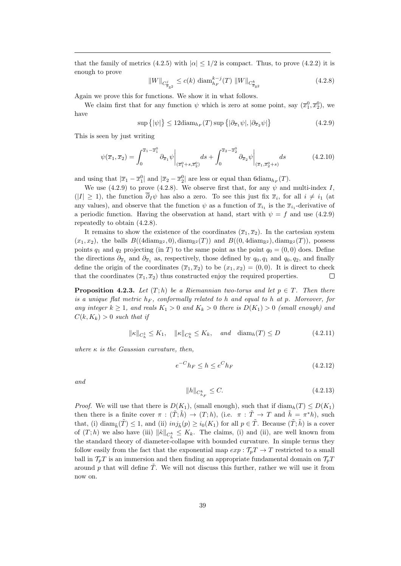that the family of metrics (4.2.5) with  $|\alpha| \leq 1/2$  is compact. Thus, to prove (4.2.2) it is enough to prove

$$
||W||_{C_{\overline{g}_{\mathbb{R}^2}}^j} \le c(k) \operatorname{diam}_{h_F}^{k-j}(T) ||W||_{C_{\overline{g}_{\mathbb{R}^2}}^k}
$$
\n(4.2.8)

Again we prove this for functions. We show it in what follows.

We claim first that for any function  $\psi$  which is zero at some point, say  $(\overline{x}_1^0, \overline{x}_2^0)$ , we have

$$
\sup\left\{|\psi|\right\} \le 12 \text{diam}_{h_F}(T) \sup\left\{|\partial_{\overline{x}_1}\psi|, |\partial_{\overline{x}_2}\psi|\right\} \tag{4.2.9}
$$

This is seen by just writing

$$
\psi(\overline{x}_1, \overline{x}_2) = \int_0^{\overline{x}_1 - \overline{x}_1^0} \partial_{\overline{x}_1} \psi \bigg|_{(\overline{x}_1^0 + s, \overline{x}_2^0)} ds + \int_0^{\overline{x}_2 - \overline{x}_2^0} \partial_{\overline{x}_2} \psi \bigg|_{(\overline{x}_1, \overline{x}_2^0 + s)} ds \tag{4.2.10}
$$

and using that  $|\overline{x}_1 - \overline{x}_1^0|$  and  $|\overline{x}_2 - \overline{x}_2^0|$  are less or equal than 6diam $h_F(T)$ .

We use (4.2.9) to prove (4.2.8). We observe first that, for any  $\psi$  and multi-index I,  $(|I| \geq 1)$ , the function  $\partial_I \psi$  has also a zero. To see this just fix  $\bar{x}_i$ , for all  $i \neq i_1$  (at any values), and observe that the function  $\psi$  as a function of  $\overline{x}_{i_1}$  is the  $\overline{x}_{i_1}$ -derivative of a periodic function. Having the observation at hand, start with  $\psi = f$  and use (4.2.9) repeatedly to obtain (4.2.8).

It remains to show the existence of the coordinates  $(\bar{x}_1, \bar{x}_2)$ . In the cartesian system  $(x_1, x_2)$ , the balls  $B((4\text{diam}_{\mathbb{R}^2}, 0), \text{diam}_{\mathbb{R}^2}(T))$  and  $B((0, 4\text{diam}_{\mathbb{R}^2}), \text{diam}_{\mathbb{R}^2}(T))$ , possess points  $q_1$  and  $q_2$  projecting (in T) to the same point as the point  $q_0 = (0, 0)$  does. Define the directions  $\partial_{\overline{x}_1}$  and  $\partial_{\overline{x}_1}$  as, respectively, those defined by  $q_0, q_1$  and  $q_0, q_2$ , and finally define the origin of the coordinates  $(\overline{x}_1, \overline{x}_2)$  to be  $(x_1, x_2) = (0, 0)$ . It is direct to check that the coordinates  $(\overline{x}_1, \overline{x}_2)$  thus constructed enjoy the required properties.  $\Box$ 

**Proposition 4.2.3.** Let  $(T; h)$  be a Riemannian two-torus and let  $p \in T$ . Then there is a unique flat metric  $h_F$ , conformally related to h and equal to h at p. Moreover, for any integer  $k \geq 1$ , and reals  $K_1 > 0$  and  $K_k > 0$  there is  $D(K_1) > 0$  (small enough) and  $C(k, K_k) > 0$  such that if

$$
\|\kappa\|_{C_h^1} \le K_1, \quad \|\kappa\|_{C_h^k} \le K_k, \quad \text{and} \quad \text{diam}_h(T) \le D \tag{4.2.11}
$$

where  $\kappa$  is the Gaussian curvature, then,

$$
e^{-C}h_F \le h \le e^C h_F \tag{4.2.12}
$$

and

$$
||h||_{C_{h_F}^k} \le C. \tag{4.2.13}
$$

*Proof.* We will use that there is  $D(K_1)$ , (small enough), such that if  $\text{diam}_h(T) \leq D(K_1)$ then there is a finite cover  $\pi : (\tilde{T}; \tilde{h}) \to (T; h)$ , (i.e.  $\pi : \tilde{T} \to T$  and  $\tilde{h} = \pi^* h$ ), such that, (i) diam<sub> $\tilde{h}(\tilde{T}) \leq 1$ , and (ii)  $inj_{\tilde{h}}(p) \geq i_0(K_1)$  for all  $p \in \tilde{T}$ . Because  $(\tilde{T}; \tilde{h})$  is a cover</sub> of  $(T; h)$  we also have (iii)  $\|\tilde{\kappa}\|_{C_{\tilde{h}}^k} \leq K_k$ . The claims, (i) and (ii), are well known from the standard theory of diameter-collapse with bounded curvature. In simple terms they follow easily from the fact that the exponential map  $exp: \mathcal{T}_p T \to T$  restricted to a small ball in  $\mathcal{T}_pT$  is an immersion and then finding an appropriate fundamental domain on  $\mathcal{T}_pT$ around p that will define  $\tilde{T}$ . We will not discuss this further, rather we will use it from now on.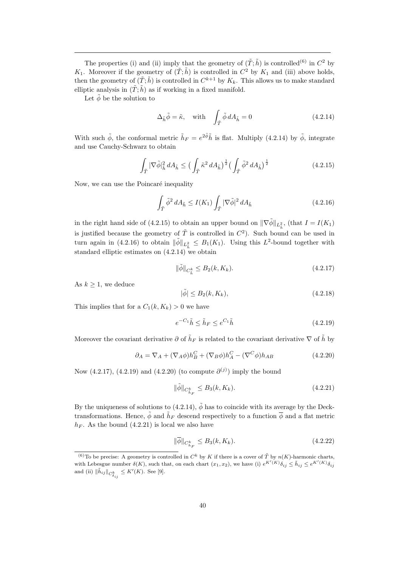The properties (i) and (ii) imply that the geometry of  $(\tilde{T}; \tilde{h})$  is controlled<sup>(6)</sup> in  $C^2$  by  $K_1$ . Moreover if the geometry of  $(\tilde{T}; \tilde{h})$  is controlled in  $C^2$  by  $K_1$  and (iii) above holds, then the geometry of  $(\tilde{T}; \tilde{h})$  is controlled in  $C^{k+1}$  by  $K_k$ . This allows us to make standard elliptic analysis in  $(\tilde{T}; \tilde{h})$  as if working in a fixed manifold.

Let  $\tilde{\phi}$  be the solution to

$$
\Delta_{\tilde{h}} \tilde{\phi} = \tilde{\kappa}, \quad \text{with} \quad \int_{\tilde{T}} \tilde{\phi} \, dA_{\tilde{h}} = 0 \tag{4.2.14}
$$

With such  $\tilde{\phi}$ , the conformal metric  $\tilde{h}_F = e^{2\tilde{\phi}}\tilde{h}$  is flat. Multiply (4.2.14) by  $\tilde{\phi}$ , integrate and use Cauchy-Schwarz to obtain

$$
\int_{\tilde{T}} |\nabla \tilde{\phi}|_{\tilde{h}}^2 dA_{\tilde{h}} \le \left( \int_{\tilde{T}} \tilde{\kappa}^2 dA_{\tilde{h}} \right)^{\frac{1}{2}} \left( \int_{\tilde{T}} \tilde{\phi}^2 dA_{\tilde{h}} \right)^{\frac{1}{2}} \tag{4.2.15}
$$

Now, we can use the Poincaré inequality

$$
\int_{\tilde{T}} \tilde{\phi}^2 dA_{\tilde{h}} \le I(K_1) \int_{\tilde{T}} |\nabla \tilde{\phi}|^2 dA_{\tilde{h}} \tag{4.2.16}
$$

in the right hand side of (4.2.15) to obtain an upper bound on  $\|\nabla \tilde{\phi}\|_{L^2_{\tilde{h}}}$ , (that  $I = I(K_1)$ ) is justified because the geometry of  $\tilde{T}$  is controlled in  $C^2$ ). Such bound can be used in turn again in (4.2.16) to obtain  $\|\tilde{\phi}\|_{L^2_{\tilde{h}}} \leq B_1(K_1)$ . Using this  $L^2$ -bound together with standard elliptic estimates on (4.2.14) we obtain

$$
\|\tilde{\phi}\|_{C_{\tilde{h}}^k} \le B_2(k, K_k). \tag{4.2.17}
$$

As  $k \geq 1$ , we deduce

$$
|\tilde{\phi}| \le B_2(k, K_k),\tag{4.2.18}
$$

This implies that for a  $C_1(k, K_k) > 0$  we have

$$
e^{-C_1}\tilde{h} \le \tilde{h}_F \le e^{C_1}\tilde{h} \tag{4.2.19}
$$

Moreover the covariant derivative  $\partial$  of  $\tilde{h}_F$  is related to the covariant derivative  $\nabla$  of  $\tilde{h}$  by

$$
\partial_A = \nabla_A + (\nabla_A \phi) h_B^C + (\nabla_B \phi) h_A^C - (\nabla^C \phi) h_{AB}
$$
\n(4.2.20)

Now  $(4.2.17)$ ,  $(4.2.19)$  and  $(4.2.20)$  (to compute  $\partial^{(j)}$ ) imply the bound

$$
\|\tilde{\phi}\|_{C_{\tilde{h}_F}^k} \le B_3(k, K_k). \tag{4.2.21}
$$

By the uniqueness of solutions to (4.2.14),  $\tilde{\phi}$  has to coincide with its average by the Decktransformations. Hence,  $\tilde{\phi}$  and  $\tilde{h}_F$  descend respectively to a function  $\overline{\phi}$  and a flat metric  $h_F$ . As the bound (4.2.21) is local we also have

$$
\|\overline{\phi}\|_{C_{h_F}^k} \le B_3(k, K_k). \tag{4.2.22}
$$

<sup>(6)</sup>To be precise: A geometry is controlled in  $C^k$  by K if there is a cover of  $\tilde{T}$  by  $n(K)$ -harmonic charts, with Lebesgue number  $\delta(K)$ , such that, on each chart  $(x_1, x_2)$ , we have (i)  $e^{K'(K)}\delta_{ij} \leq \tilde{h}_{ij} \leq e^{K'(K)}\delta_{ij}$ and (ii)  $\|\tilde{h}_{ij}\|_{C_{\delta_{ij}}^k} \leq K'(K)$ . See [9].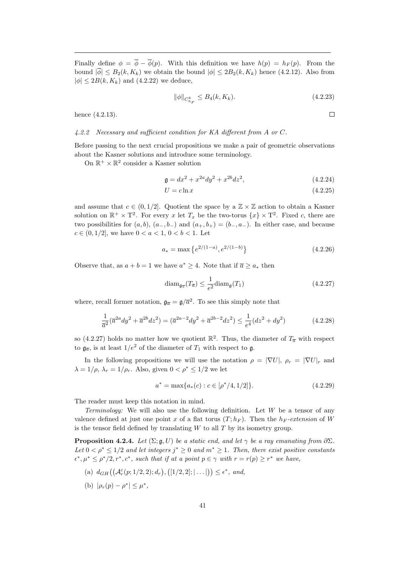Finally define  $\phi = \overline{\phi} - \overline{\phi}(p)$ . With this definition we have  $h(p) = h_F(p)$ . From the bound  $|\overline{\phi}| \leq B_2(k, K_k)$  we obtain the bound  $|\phi| \leq 2B_2(k, K_k)$  hence (4.2.12). Also from  $|\phi| \leq 2B(k, K_k)$  and  $(4.2.22)$  we deduce,

$$
\|\phi\|_{C_{h_F}^k} \le B_4(k, K_k). \tag{4.2.23}
$$

hence (4.2.13).

 $\Box$ 

## 4.2.2 Necessary and sufficient condition for KA different from A or C.

Before passing to the next crucial propositions we make a pair of geometric observations about the Kasner solutions and introduce some terminology.

On  $\mathbb{R}^+ \times \mathbb{R}^2$  consider a Kasner solution

$$
\mathfrak{g} = dx^2 + x^{2a} dy^2 + x^{2b} dz^2, \tag{4.2.24}
$$

$$
U = c \ln x \tag{4.2.25}
$$

and assume that  $c \in (0, 1/2]$ . Quotient the space by a  $\mathbb{Z} \times \mathbb{Z}$  action to obtain a Kasner solution on  $\mathbb{R}^+ \times T^2$ . For every x let  $T_x$  be the two-torus  $\{x\} \times T^2$ . Fixed c, there are two possibilities for  $(a, b)$ ,  $(a_-, b_-)$  and  $(a_+, b_+) = (b_-, a_-)$ . In either case, and because  $c \in (0, 1/2]$ , we have  $0 < a < 1, 0 < b < 1$ . Let

$$
a_* = \max\left\{e^{2/(1-a)}, e^{2/(1-b)}\right\} \tag{4.2.26}
$$

Observe that, as  $a + b = 1$  we have  $a^* \geq 4$ . Note that if  $\overline{a} \geq a_*$  then

$$
\text{diam}_{\mathfrak{g}_{\overline{a}}}(T_{\overline{a}}) \le \frac{1}{e^2} \text{diam}_{\mathfrak{g}}(T_1)
$$
\n(4.2.27)

where, recall former notation,  $\mathfrak{g}_{\overline{a}} = \mathfrak{g}/\overline{a}^2$ . To see this simply note that

$$
\frac{1}{\overline{a}^2}(\overline{a}^{2a}dy^2 + \overline{a}^{2b}dz^2) = (\overline{a}^{2a-2}dy^2 + \overline{a}^{2b-2}dz^2) \le \frac{1}{e^4}(dz^2 + dy^2)
$$
(4.2.28)

so (4.2.27) holds no matter how we quotient  $\mathbb{R}^2$ . Thus, the diameter of  $T_{\overline{a}}$  with respect to  $\mathfrak{g}_{\overline{a}}$ , is at least  $1/e^2$  of the diameter of  $T_1$  with respect to  $\mathfrak{g}$ .

In the following propositions we will use the notation  $\rho = |\nabla U|, \rho_r = |\nabla U|_r$  and  $\lambda = 1/\rho$ ,  $\lambda_r = 1/\rho_r$ . Also, given  $0 < \rho^* \leq 1/2$  we let

$$
a^* = \max\{a_*(c) : c \in [\rho^*/4, 1/2]\}.
$$
\n(4.2.29)

The reader must keep this notation in mind.

Terminology: We will also use the following definition. Let  $W$  be a tensor of any valence defined at just one point x of a flat torus  $(T; h_F)$ . Then the  $h_F$ -extension of W is the tensor field defined by translating  $W$  to all  $T$  by its isometry group.

**Proposition 4.2.4.** Let  $(\Sigma; \mathfrak{g}, U)$  be a static end, and let  $\gamma$  be a ray emanating from  $\partial \Sigma$ . Let  $0 < \rho^* \leq 1/2$  and let integers  $j^* \geq 0$  and  $m^* \geq 1$ . Then, there exist positive constants  $\epsilon^*, \mu^* \leq \rho^*/2, r^*, c^*,$  such that if at a point  $p \in \gamma$  with  $r = r(p) \geq r^*$  we have,

- (a)  $d_{GH}((\mathcal{A}_{r}^{c}(p;1/2,2); d_{r}), ([1/2,2]; | \dots |)) \leq \epsilon^{*}, \text{ and,}$
- (b)  $|\rho_r(p) \rho^*| \leq \mu^*$ ,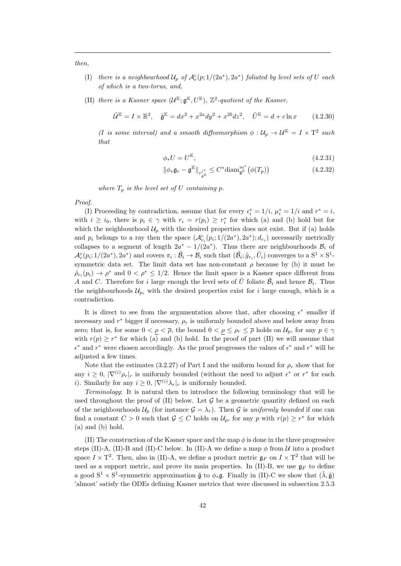then,

- (I) there is a neighbourhood  $\mathcal{U}_p$  of  $\mathcal{A}_r^c(p;1/(2a^*),2a^*)$  foliated by level sets of U each of which is a two-torus, and,
- (II) there is a Kasner space  $(\mathcal{U}^{\mathbb{K}}; \mathfrak{g}^{\mathbb{K}}, U^{\mathbb{K}})$ ,  $\mathbb{Z}^2$ -quotient of the Kasner,

$$
\tilde{\mathcal{U}}^{\mathbb{K}} = I \times \mathbb{R}^2, \quad \tilde{\mathfrak{g}}^{\mathbb{K}} = dx^2 + x^{2a} dy^2 + x^{2b} dz^2, \quad \tilde{U}^{\mathbb{K}} = d + c \ln x \tag{4.2.30}
$$

(I is some interval) and a smooth diffeomorphism  $\phi: \mathcal{U}_p \to \mathcal{U}^{\mathbb{K}} = I \times T^2$  such that

$$
\phi_* U = U^{\mathbb{K}},\tag{4.2.31}
$$

$$
\|\phi_*\mathfrak{g}_r - \mathfrak{g}^{\mathbb{K}}\|_{c_{\mathfrak{g}^{\mathbb{K}}}^{\jmath^*}} \leq C^* \text{diam}_{\mathfrak{g}^{\mathbb{K}}}^{m^*} \big(\phi(T_p)\big) \tag{4.2.32}
$$

where  $T_p$  is the level set of U containing p.

Proof.

(I) Proceeding by contradiction, assume that for every  $\epsilon_i^* = 1/i$ ,  $\mu_i^* = 1/i$  and  $r^* = i$ , with  $i \geq i_0$ , there is  $p_i \in \gamma$  with  $r_i = r(p_i) \geq r_i^*$  for which (a) and (b) hold but for which the neighbourhood  $\mathcal{U}_p$  with the desired properties does not exist. But if (a) holds and  $p_i$  belongs to a ray then the space  $(\mathcal{A}_{r_i}^c(p_i; 1/(2a^*), 2a^*); d_{r_i})$  necessarily metrically collapses to a segment of length  $2a^* - 1/(2a^*)$ . Thus there are neighbourhoods  $\mathcal{B}_i$  of  $\mathcal{A}_{r}^{c}(p_{i};1/(2a^{\ast}),2a^{\ast})$  and covers  $\pi_{i}:\tilde{\mathcal{B}}_{i}\to\mathcal{B}_{i}$  such that  $(\tilde{\mathcal{B}}_{i};\tilde{g}_{r_{i}},\tilde{U}_{i})$  converges to a  $S^{1}\times S^{1}$ symmetric data set. The limit data set has non-constant  $\rho$  because by (b) it must be  $\tilde{\rho}_{r_i}(p_i) \to \rho^*$  and  $0 < \rho^* \leq 1/2$ . Hence the limit space is a Kasner space different from A and C. Therefore for i large enough the level sets of  $\tilde{U}$  foliate  $\tilde{\mathcal{B}}_i$  and hence  $\mathcal{B}_i$ . Thus the neighbourhoods  $\mathcal{U}_{p_i}$  with the desired properties exist for i large enough, which is a contradiction.

It is direct to see from the argumentation above that, after choosing  $\epsilon^*$  smaller if necessary and  $r^*$  bigger if necessary,  $\rho_r$  is uniformly bounded above and below away from zero; that is, for some  $0 < \rho < \overline{\rho}$ , the bound  $0 < \rho \leq \rho_r \leq \overline{\rho}$  holds on  $\mathcal{U}_p$ , for any  $p \in \gamma$ with  $r(p) \geq r^*$  for which (a) and (b) hold. In the proof of part (II) we will assume that  $\epsilon^*$  and  $r^*$  were chosen accordingly. As the proof progresses the values of  $\epsilon^*$  and  $r^*$  will be adjusted a few times.

Note that the estimates (3.2.27) of Part I and the uniform bound for  $\rho_r$  show that for any  $i \geq 0$ ,  $|\nabla^{(i)} \rho_r|_r$  is uniformly bounded (without the need to adjust  $\epsilon^*$  or  $r^*$  for each i). Similarly for any  $i \geq 0$ ,  $|\nabla^{(i)}\lambda_r|_r$  is uniformly bounded.

Terminology: It is natural then to introduce the following terminology that will be used throughout the proof of  $(II)$  below. Let  $\mathcal G$  be a geometric quantity defined on each of the neighbourhoods  $\mathcal{U}_p$  (for instance  $\mathcal{G} = \lambda_r$ ). Then G is uniformly bounded if one can find a constant  $C > 0$  such that  $\mathcal{G} \leq C$  holds on  $\mathcal{U}_p$ , for any p with  $r(p) \geq r^*$  for which (a) and (b) hold.

(II) The construction of the Kasner space and the map  $\phi$  is done in the three progressive steps (II)-A, (II)-B and (II)-C below. In (II)-A we define a map  $\phi$  from U into a product space  $I \times T^2$ . Then, also in (II)-A, we define a product metric  $\mathfrak{g}_F$  on  $I \times T^2$  that will be used as a support metric, and prove its main properties. In (II)-B, we use  $\mathfrak{g}_F$  to define a good  $S^1 \times S^1$ -symmetric approximation  $\check{\mathfrak{g}}$  to  $\phi_*\mathfrak{g}$ . Finally in (II)-C we show that  $(\check{\lambda}, \check{\mathfrak{g}})$ 'almost' satisfy the ODEs defining Kasner metrics that were discussed in subsection 2.5.3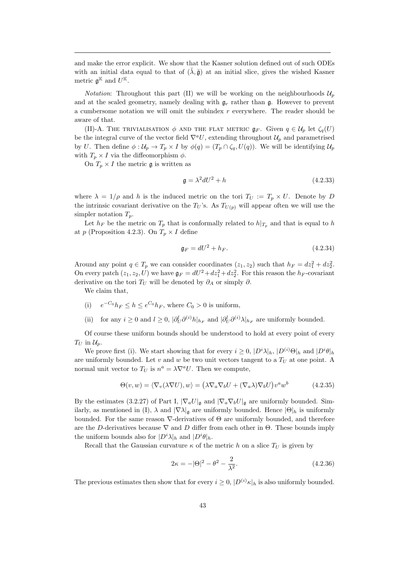and make the error explicit. We show that the Kasner solution defined out of such ODEs with an initial data equal to that of  $(\lambda, \tilde{g})$  at an initial slice, gives the wished Kasner metric  $\mathfrak{g}^{\mathbb{K}}$  and  $U^{\mathbb{K}}$ .

*Notation*: Throughout this part (II) we will be working on the neighbourhoods  $\mathcal{U}_n$ and at the scaled geometry, namely dealing with  $\mathfrak{g}_r$  rather than  $\mathfrak{g}$ . However to prevent a cumbersome notation we will omit the subindex  $r$  everywhere. The reader should be aware of that.

(II)-A. THE TRIVIALISATION  $\phi$  and the flat metric  $\mathfrak{g}_F$ . Given  $q \in \mathcal{U}_p$  let  $\zeta_q(U)$ be the integral curve of the vector field  $\nabla^a U$ , extending throughout  $\mathcal{U}_p$  and parametrised by U. Then define  $\phi: \mathcal{U}_p \to T_p \times I$  by  $\phi(q) = (T_p \cap \zeta_q, U(q))$ . We will be identifying  $\mathcal{U}_p$ with  $T_p \times I$  via the diffeomorphism  $\phi$ .

On  $T_p \times I$  the metric  $\mathfrak g$  is written as

$$
\mathfrak{g} = \lambda^2 dU^2 + h \tag{4.2.33}
$$

where  $\lambda = 1/\rho$  and h is the induced metric on the tori  $T_U := T_p \times U$ . Denote by D the intrinsic covariant derivative on the  $T_U$ 's. As  $T_{U(p)}$  will appear often we will use the simpler notation  $T_p$ .

Let  $h_F$  be the metric on  $T_p$  that is conformally related to  $h|_{T_p}$  and that is equal to h at p (Proposition 4.2.3). On  $T_p \times I$  define

$$
\mathfrak{g}_F = dU^2 + h_F. \tag{4.2.34}
$$

Around any point  $q \in T_p$  we can consider coordinates  $(z_1, z_2)$  such that  $h_F = dz_1^2 + dz_2^2$ . On every patch  $(z_1, z_2, U)$  we have  $\mathfrak{g}_F = dU^2 + dz_1^2 + dz_2^2$ . For this reason the  $h_F$ -covariant derivative on the tori  $T_U$  will be denoted by  $\partial_A$  or simply  $\partial$ .

We claim that,

- (i)  $e^{-C_0}h_F \leq h \leq e^{C_0}h_F$ , where  $C_0 > 0$  is uniform,
- (ii) for any  $i \geq 0$  and  $l \geq 0$ ,  $|\partial_U^l \partial^{(i)} h|_{h_F}$  and  $|\partial_U^l \partial^{(i)} \lambda|_{h_F}$  are uniformly bounded.

Of course these uniform bounds should be understood to hold at every point of every  $T_U$  in  $\mathcal{U}_p$ .

We prove first (i). We start showing that for every  $i \geq 0$ ,  $|D^i \lambda|_h$ ,  $|D^{(i)} \Theta|_h$  and  $|D^i \theta|_h$ are uniformly bounded. Let v and w be two unit vectors tangent to a  $T_U$  at one point. A normal unit vector to  $T_U$  is  $n^a = \lambda \nabla^a U$ . Then we compute,

$$
\Theta(v, w) = \langle \nabla_v(\lambda \nabla U), w \rangle = (\lambda \nabla_a \nabla_b U + (\nabla_a \lambda) \nabla_b U) v^a w^b \qquad (4.2.35)
$$

By the estimates (3.2.27) of Part I,  $|\nabla_a U|_{\mathfrak{g}}$  and  $|\nabla_a \nabla_b U|_{\mathfrak{g}}$  are uniformly bounded. Similarly, as mentioned in (I),  $\lambda$  and  $|\nabla \lambda|_{\mathfrak{a}}$  are uniformly bounded. Hence  $|\Theta|_h$  is uniformly bounded. For the same reason ∇-derivatives of Θ are uniformly bounded, and therefore are the D-derivatives because  $\nabla$  and D differ from each other in  $\Theta$ . These bounds imply the uniform bounds also for  $|D^i \lambda|_h$  and  $|D^i \theta|_h$ .

Recall that the Gaussian curvature  $\kappa$  of the metric h on a slice  $T_U$  is given by

$$
2\kappa = -|\Theta|^2 - \theta^2 - \frac{2}{\lambda^2}.
$$
\n(4.2.36)

The previous estimates then show that for every  $i \geq 0$ ,  $|D^{(i)}\kappa|_h$  is also uniformly bounded.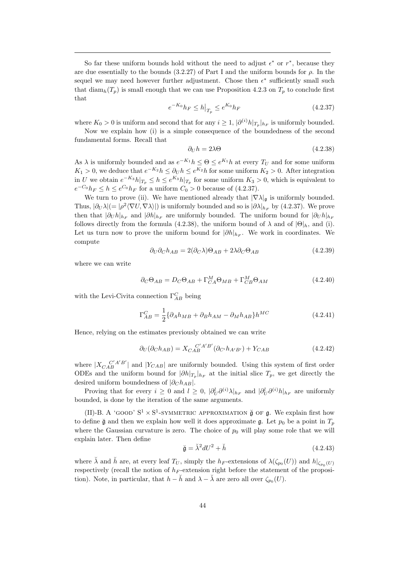So far these uniform bounds hold without the need to adjust  $\epsilon^*$  or  $r^*$ , because they are due essentially to the bounds (3.2.27) of Part I and the uniform bounds for  $\rho$ . In the sequel we may need however further adjustment. Chose then  $\epsilon^*$  sufficiently small such that diam<sub>h</sub> $(T_p)$  is small enough that we can use Proposition 4.2.3 on  $T_p$  to conclude first that

$$
e^{-K_0}h_F \le h\big|_{T_p} \le e^{K_0}h_F \tag{4.2.37}
$$

where  $K_0 > 0$  is uniform and second that for any  $i \geq 1$ ,  $|\partial^{(i)}h|_{T_p}|_{h_F}$  is uniformly bounded.

Now we explain how (i) is a simple consequence of the boundedness of the second fundamental forms. Recall that

$$
\partial_U h = 2\lambda \Theta \tag{4.2.38}
$$

As  $\lambda$  is uniformly bounded and as  $e^{-K_1}h \leq \Theta \leq e^{K_1}h$  at every  $T_U$  and for some uniform  $K_1 > 0$ , we deduce that  $e^{-K_2} h \leq \partial_U h \leq e^{K_2} h$  for some uniform  $K_2 > 0$ . After integration in U we obtain  $e^{-K_3}h|_{T_p} \leq h \leq e^{K_3}h|_{T_p}$  for some uniform  $K_3 > 0$ , which is equivalent to  $e^{-C_0}h_F \leq h \leq e^{C_0}h_F$  for a uniform  $C_0 > 0$  because of (4.2.37).

We turn to prove (ii). We have mentioned already that  $|\nabla \lambda|_{\mathfrak{g}}$  is uniformly bounded. Thus,  $|\partial_U \lambda| = |\rho^2 \langle \nabla U, \nabla \lambda \rangle|$  is uniformly bounded and so is  $|\partial \lambda|_{h_F}$  by (4.2.37). We prove then that  $|\partial_U h|_{h_F}$  and  $|\partial h|_{h_F}$  are uniformly bounded. The uniform bound for  $|\partial_U h|_{h_F}$ follows directly from the formula (4.2.38), the uniform bound of  $\lambda$  and of  $|\Theta|_h$ , and (i). Let us turn now to prove the uniform bound for  $|\partial h|_{h_F}$ . We work in coordinates. We compute

$$
\partial_U \partial_C h_{AB} = 2(\partial_C \lambda) \Theta_{AB} + 2\lambda \partial_C \Theta_{AB} \tag{4.2.39}
$$

where we can write

$$
\partial_C \Theta_{AB} = D_C \Theta_{AB} + \Gamma_{CA}^M \Theta_{MB} + \Gamma_{CB}^M \Theta_{AM}
$$
(4.2.40)

with the Levi-Civita connection  $\Gamma^C_{AB}$  being

$$
\Gamma_{AB}^C = \frac{1}{2} \{ \partial_A h_{MB} + \partial_B h_{AM} - \partial_M h_{AB} \} h^{MC}
$$
\n(4.2.41)

Hence, relying on the estimates previously obtained we can write

$$
\partial_U(\partial_C h_{AB}) = X_{CAB}^{C'A'B'}(\partial_{C'} h_{A'B'}) + Y_{CAB}
$$
\n(4.2.42)

where  $|X_{CAB}^{C'A'B'}|$  and  $|Y_{CAB}|$  are uniformly bounded. Using this system of first order ODEs and the uniform bound for  $|\partial h|_{T_p}|_{h_F}$  at the initial slice  $T_p$ , we get directly the desired uniform boundedness of  $|\partial_C h_{AB}|$ .

Proving that for every  $i \geq 0$  and  $l \geq 0$ ,  $|\partial_U^l \partial^{(i)} \lambda|_{h_F}$  and  $|\partial_U^l \partial^{(i)} h|_{h_F}$  are uniformly bounded, is done by the iteration of the same arguments.

(II)-B. A 'GOOD'  $S^1 \times S^1$ -SYMMETRIC APPROXIMATION  $\check{g}$  OF  $g$ . We explain first how to define  $\check{\mathfrak{g}}$  and then we explain how well it does approximate g. Let  $p_0$  be a point in  $T_p$ where the Gaussian curvature is zero. The choice of  $p_0$  will play some role that we will explain later. Then define

$$
\breve{\mathfrak{g}} = \breve{\lambda}^2 dU^2 + \breve{h} \tag{4.2.43}
$$

where  $\breve{\lambda}$  and  $\breve{h}$  are, at every leaf  $T_U$ , simply the  $h_F$ -extensions of  $\lambda(\zeta_{p_0}(U))$  and  $h|_{\zeta_{p_0}(U)}$ respectively (recall the notion of  $h_F$ -extension right before the statement of the proposition). Note, in particular, that  $h - \check{h}$  and  $\lambda - \check{\lambda}$  are zero all over  $\zeta_{p_0}(U)$ .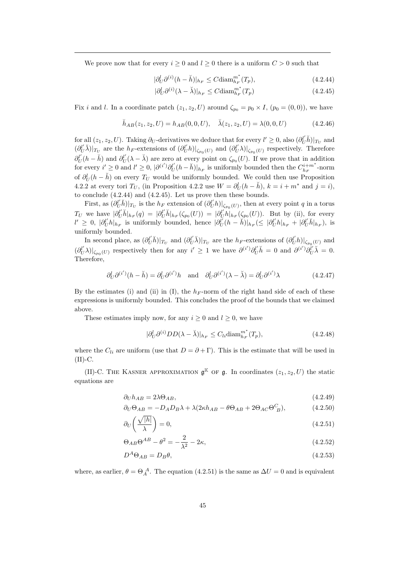We prove now that for every  $i \geq 0$  and  $l \geq 0$  there is a uniform  $C > 0$  such that

$$
|\partial_U^l \partial^{(i)} (h - \breve{h})|_{h_F} \le C \text{diam}_{h_F}^{m^*}(T_p),\tag{4.2.44}
$$

$$
|\partial_U^l \partial^{(i)} (\lambda - \breve{\lambda})|_{h_F} \le C \text{diam}_{h_F}^{m^*}(T_p)
$$
\n(4.2.45)

Fix i and l. In a coordinate patch  $(z_1, z_2, U)$  around  $\zeta_{p_0} = p_0 \times I$ ,  $(p_0 = (0, 0))$ , we have

$$
\breve{h}_{AB}(z_1, z_2, U) = h_{AB}(0, 0, U), \quad \breve{\lambda}(z_1, z_2, U) = \lambda(0, 0, U)
$$
\n(4.2.46)

for all  $(z_1, z_2, U)$ . Taking  $\partial_U$ -derivatives we deduce that for every  $l' \geq 0$ , also  $(\partial_U^{l'} \check{h})|_{T_U}$  and  $(\partial_U^{l'}\check{\lambda})|_{T_U}$  are the  $h_F$ -extensions of  $(\partial_U^{l'}h)|_{\zeta_{p_0}(U)}$  and  $(\partial_U^{l'}\lambda)|_{\zeta_{p_0}(U)}$  respectively. Therefore  $\partial_U^{l'}(h-\check{h})$  and  $\partial_U^{l'}(\lambda-\check{\lambda})$  are zero at every point on  $\zeta_{p_0}(U)$ . If we prove that in addition for every  $i' \geq 0$  and  $l' \geq 0$ ,  $|\partial^{(i')} \partial_U^{l'}(h - \breve{h})|_{h_F}$  is uniformly bounded then the  $C_{h_F}^{i+m^*}$ -norm of  $\partial_U^l(h - \check{h})$  on every  $T_U$  would be uniformly bounded. We could then use Proposition 4.2.2 at every tori  $T_U$ , (in Proposition 4.2.2 use  $W = \partial_U^l(h - \breve{h}), k = i + m^*$  and  $j = i$ ), to conclude (4.2.44) and (4.2.45). Let us prove then these bounds.

First, as  $(\partial_U^{l'}\check{h})|_{T_U}$  is the  $h_F$  extension of  $(\partial_U^{l'}h)|_{\zeta_{p_0}(U)}$ , then at every point q in a torus  $T_U$  we have  $|\partial_U^{l'}\check{h}|_{h_F}(q) = |\partial_U^{l'}\check{h}|_{h_F}(\zeta_{p_0}(U)) = |\partial_U^{l'}h|_{h_F}(\zeta_{p_0}(U)).$  But by (ii), for every  $l' \geq 0$ ,  $|\partial_U^{l'}h|_{h_F}$  is uniformly bounded, hence  $|\partial_U^{l'}(h - \breve{h})|_{h_F} \leq |\partial_U^{l'}h|_{h_F} + |\partial_U^{l'}\breve{h}|_{h_F}$ , is uniformly bounded.

In second place, as  $(\partial_U^{l'} \check{h})|_{T_U}$  and  $(\partial_U^{l'} \check{\lambda})|_{T_U}$  are the  $h_F$ -extensions of  $(\partial_U^{l'} h)|_{\zeta_{p_0}(U)}$  and  $(\partial_U^{l'}\lambda)|_{\zeta_{p_0}(U)}$  respectively then for any  $i' \geq 1$  we have  $\partial^{(i')} \partial_U^{l'} \check{h} = 0$  and  $\partial^{(i')} \partial_U^{l'} \check{\lambda} = 0$ . Therefore,

$$
\partial_U^l \partial^{(i')} (h - \breve{h}) = \partial_U^l \partial^{(i')} h \quad \text{and} \quad \partial_U^l \partial^{(i')} (\lambda - \breve{\lambda}) = \partial_U^l \partial^{(i')} \lambda \tag{4.2.47}
$$

By the estimates (i) and (ii) in (I), the  $h_F$ -norm of the right hand side of each of these expressions is uniformly bounded. This concludes the proof of the bounds that we claimed above.

These estimates imply now, for any  $i \geq 0$  and  $l \geq 0$ , we have

$$
|\partial_U^l \partial^{(i)} DD(\lambda - \breve{\lambda})|_{h_F} \le C_{li} \text{diam}_{h_F}^{m^*}(T_p), \tag{4.2.48}
$$

where the  $C_{li}$  are uniform (use that  $D = \partial + \Gamma$ ). This is the estimate that will be used in  $(II)$ -C.

(II)-C. THE KASNER APPROXIMATION  $\mathfrak{g}^{\mathbb{K}}$  of  $\mathfrak{g}$ . In coordinates  $(z_1, z_2, U)$  the static equations are

$$
\partial_U h_{AB} = 2\lambda \Theta_{AB},\tag{4.2.49}
$$

$$
\partial_U \Theta_{AB} = -D_A D_B \lambda + \lambda (2\kappa h_{AB} - \theta \Theta_{AB} + 2\Theta_{AC} \Theta_{B}^C), \tag{4.2.50}
$$

$$
\partial_U \left( \frac{\sqrt{|h|}}{\lambda} \right) = 0,\tag{4.2.51}
$$

$$
\Theta_{AB}\Theta^{AB} - \theta^2 = -\frac{2}{\lambda^2} - 2\kappa,\tag{4.2.52}
$$

$$
D^A \Theta_{AB} = D_B \theta, \tag{4.2.53}
$$

where, as earlier,  $\theta = \Theta_A^A$ . The equation (4.2.51) is the same as  $\Delta U = 0$  and is equivalent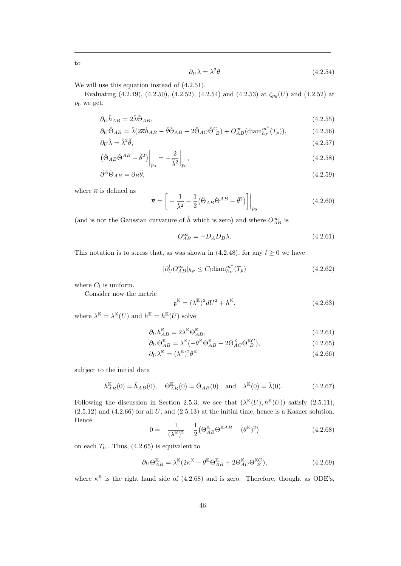$$
\partial_U \lambda = \lambda^2 \theta \tag{4.2.54}
$$

We will use this equation instead of  $(4.2.51)$ .

Evaluating  $(4.2.49)$ ,  $(4.2.50)$ ,  $(4.2.52)$ ,  $(4.2.54)$  and  $(4.2.53)$  at  $\zeta_{p_0}(U)$  and  $(4.2.52)$  at  $p_0$  we get,

$$
\partial_U \breve{h}_{AB} = 2\breve{\lambda} \breve{\Theta}_{AB},\tag{4.2.55}
$$

$$
\partial_U \breve{\Theta}_{AB} = \breve{\lambda} (2\overline{\kappa}\breve{h}_{AB} - \breve{\theta}\breve{\Theta}_{AB} + 2\breve{\Theta}_{AC} \breve{\Theta}_{B}^C) + O_{AB}^{\infty} (\text{diam}_{h_F}^{m^*}(T_p)),\tag{4.2.56}
$$

$$
\partial_U \breve{\lambda} = \breve{\lambda}^2 \breve{\theta}, \tag{4.2.57}
$$

$$
\left(\check{\Theta}_{AB}\check{\Theta}^{AB}-\check{\theta}^{2}\right)\bigg|_{p_{0}} = -\frac{2}{\check{\lambda}^{2}}\bigg|_{p_{0}},\tag{4.2.58}
$$

$$
\check{\partial}^A \check{\Theta}_{AB} = \partial_B \check{\theta},\tag{4.2.59}
$$

where  $\overline{\kappa}$  is defined as

$$
\overline{\kappa} = \left[ -\frac{1}{\breve{\lambda}^2} - \frac{1}{2} (\breve{\Theta}_{AB} \breve{\Theta}^{AB} - \breve{\theta}^2) \right] \Big|_{p_0}
$$
(4.2.60)

(and is not the Gaussian curvature of  $\check{h}$  which is zero) and where  $O_{AB}^{\infty}$  is

$$
O_{AB}^{\infty} = -D_A D_B \lambda. \tag{4.2.61}
$$

This notation is to stress that, as was shown in (4.2.48), for any  $l \geq 0$  we have

$$
|\partial_U^l O_{AB}^{\infty}|_{h_F} \le C_l \text{diam}_{h_F}^{m^*}(T_p)
$$
\n(4.2.62)

where  $C_l$  is uniform.

Consider now the metric

$$
\mathfrak{g}^{\mathbb{K}} = (\lambda^{\mathbb{K}})^2 dU^2 + h^{\mathbb{K}},\tag{4.2.63}
$$

where  $\lambda^{\mathbb{K}} = \lambda^{\mathbb{K}}(U)$  and  $h^{\mathbb{K}} = h^{\mathbb{K}}(U)$  solve

$$
\partial_U h_{AB}^{\mathbb{K}} = 2\lambda^{\mathbb{K}} \Theta_{AB}^{\mathbb{K}},\tag{4.2.64}
$$

$$
\partial_U \Theta_{AB}^{\mathbb{K}} = \lambda^{\mathbb{K}} (-\theta^{\mathbb{K}} \Theta_{AB}^{\mathbb{K}} + 2\Theta_{AC}^{\mathbb{K}} \Theta_{B}^{\mathbb{K}C}),\tag{4.2.65}
$$

$$
\partial_U \lambda^{\mathbb{K}} = (\lambda^{\mathbb{K}})^2 \theta^{\mathbb{K}} \tag{4.2.66}
$$

subject to the initial data

$$
h_{AB}^{\mathbb{K}}(0) = \check{h}_{AB}(0), \quad \Theta_{AB}^{\mathbb{K}}(0) = \check{\Theta}_{AB}(0) \quad \text{and} \quad \lambda^{\mathbb{K}}(0) = \check{\lambda}(0). \tag{4.2.67}
$$

Following the discussion in Section 2.5.3, we see that  $(\lambda^{\mathbb{K}}(U), h^{\mathbb{K}}(U))$  satisfy  $(2.5.11)$ ,  $(2.5.12)$  and  $(4.2.66)$  for all U, and  $(2.5.13)$  at the initial time, hence is a Kasner solution. Hence

$$
0 = -\frac{1}{(\lambda^{\mathbb{K}})^2} - \frac{1}{2} \left( \Theta_{AB}^{\mathbb{K}} \Theta^{\mathbb{K}AB} - (\theta^{\mathbb{K}})^2 \right)
$$
(4.2.68)

on each  $T_U$ . Thus, (4.2.65) is equivalent to

$$
\partial_U \Theta_{AB}^{\mathbb{K}} = \lambda^{\mathbb{K}} (2\overline{\kappa}^{\mathbb{K}} - \theta^{\mathbb{K}} \Theta_{AB}^{\mathbb{K}} + 2\Theta_{AC}^{\mathbb{K}} \Theta_{B}^{\mathbb{K}C}), \tag{4.2.69}
$$

where  $\overline{\kappa}^{\mathbb{K}}$  is the right hand side of (4.2.68) and is zero. Therefore, thought as ODE's,

to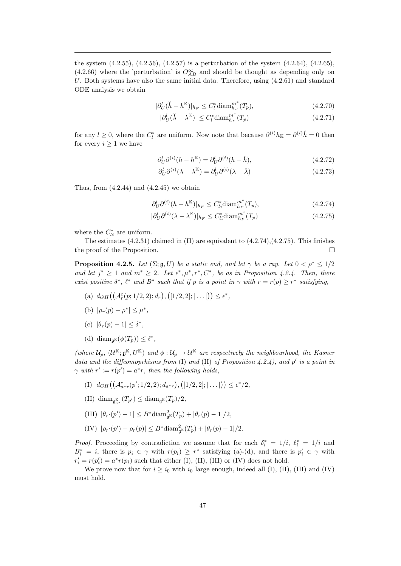the system (4.2.55), (4.2.56), (4.2.57) is a perturbation of the system (4.2.64), (4.2.65), (4.2.66) where the 'perturbation' is  $O_{AB}^{\infty}$  and should be thought as depending only on U. Both systems have also the same initial data. Therefore, using  $(4.2.61)$  and standard ODE analysis we obtain

$$
|\partial_U^l(\check{h} - h^{\mathbb{K}})|_{h_F} \le C_l^* \operatorname{diam}_{h_F}^{m^*}(T_p),\tag{4.2.70}
$$

$$
|\partial_U^l(\breve{\lambda} - \lambda^{\mathbb{K}})| \le C_l^* \text{diam}_{h_F}^{m^*}(T_p)
$$
\n(4.2.71)

for any  $l \geq 0$ , where the  $C_l^*$  are uniform. Now note that because  $\partial^{(i)} h_{\mathbb{K}} = \partial^{(i)} \check{h} = 0$  then for every  $i \geq 1$  we have

$$
\partial_U^l \partial^{(i)}(h - h^{\mathbb{K}}) = \partial_U^l \partial^{(i)}(h - \breve{h}), \qquad (4.2.72)
$$

$$
\partial_U^l \partial^{(i)} (\lambda - \lambda^{\mathbb{K}}) = \partial_U^l \partial^{(i)} (\lambda - \breve{\lambda}) \tag{4.2.73}
$$

Thus, from  $(4.2.44)$  and  $(4.2.45)$  we obtain

$$
|\partial_U^l \partial^{(i)} (h - h^{\mathbb{K}})|_{h_F} \le C_{li}^* \text{diam}_{h_F}^{m^*}(T_p),
$$
\n(4.2.74)

$$
|\partial_U^l \partial^{(i)} (\lambda - \lambda^{\mathbb{K}})|_{h_F} \le C_{li}^* \text{diam}_{h_F}^{m^*}(T_p)
$$
\n(4.2.75)

where the  $C_{li}^*$  are uniform.

The estimates  $(4.2.31)$  claimed in  $(II)$  are equivalent to  $(4.2.74),(4.2.75)$ . This finishes the proof of the Proposition.  $\Box$ 

**Proposition 4.2.5.** Let  $(\Sigma; \mathfrak{g}, U)$  be a static end, and let  $\gamma$  be a ray. Let  $0 < \rho^* \leq 1/2$ and let  $j^* \geq 1$  and  $m^* \geq 2$ . Let  $\epsilon^*, \mu^*, r^*, C^*$ , be as in Proposition 4.2.4. Then, there exist positive  $\delta^*$ ,  $\ell^*$  and  $B^*$  such that if p is a point in  $\gamma$  with  $r = r(p) \geq r^*$  satisfying,

- (a)  $d_{GH}((\mathcal{A}_r^c(p; 1/2, 2); d_r), ([1/2, 2]; | \dots |)) \leq \epsilon^*,$
- (b)  $|\rho_r(p) \rho^*| \leq \mu^*$ ,
- (c)  $|\theta_r(p)-1| \leq \delta^*$ ,
- (d)  $\text{diam}_{\mathfrak{g}^{\mathbb{K}}}(\phi(T_p)) \leq \ell^*,$

(where  $\mathcal{U}_p$ ,  $(\mathcal{U}^{\mathbb{K}}; \mathfrak{g}^{\mathbb{K}}, U^{\mathbb{K}})$  and  $\phi: \mathcal{U}_p \to \mathcal{U}^{\mathbb{K}}$  are respectively the neighbourhood, the Kasner data and the diffeomoprhisms from  $(I)$  and  $(II)$  of Proposition 4.2.4), and p' is a point in  $\gamma$  with  $r' := r(p') = a^*r$ , then the following holds,

- (I)  $d_{GH}((\mathcal{A}_{a^*r}^c(p';1/2,2); d_{a^*r}), ([1/2,2]; | \dots |)) \leq \epsilon^*/2,$
- (II) diam<sub>g<sup>K</sup><sub>a</sub></sub> $(T_{p'}) \leq$  diam<sub>g</sub>K $(T_p)/2$ ,
- (III)  $|\theta_{r'}(p') 1| \leq B^* \text{diam}_{\mathfrak{g}^{\mathbb{K}}}^2(T_p) + |\theta_r(p) 1|/2,$
- (IV)  $|\rho_{r'}(p') \rho_r(p)| \leq B^* \text{diam}_{\mathfrak{g}^{\mathbb{K}}}(T_p) + |\theta_r(p) 1|/2.$

*Proof.* Proceeding by contradiction we assume that for each  $\delta_i^* = 1/i$ ,  $\ell_i^* = 1/i$  and  $B_i^* = i$ , there is  $p_i \in \gamma$  with  $r(p_i) \geq r^*$  satisfying (a)-(d), and there is  $p'_i \in \gamma$  with  $r'_{i} = r(p'_{i}) = a^{*}r(p_{i})$  such that either (I), (II), (III) or (IV) does not hold.

We prove now that for  $i \geq i_0$  with  $i_0$  large enough, indeed all (I), (II), (III) and (IV) must hold.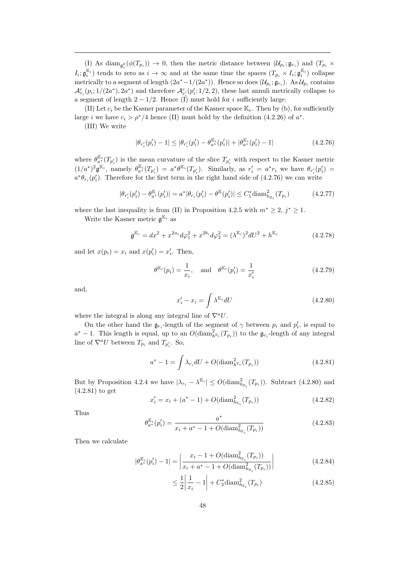(I) As  $\text{diam}_{\mathfrak{g}_i^{\mathbb{K}}}(\phi(T_{p_i})) \to 0$ , then the metric distance between  $(\mathcal{U}_{p_i}; \mathfrak{g}_{r_i})$  and  $(T_{p_i} \times$  $I_i$ ;  $\mathfrak{g}_i^{\mathbb{K}_i}$ ) tends to zero as  $i \to \infty$  and at the same time the spaces  $(T_{p_i} \times I_i; \mathfrak{g}_i^{\mathbb{K}_i})$  collapse metrically to a segment of length  $(2a^* - 1/(2a^*))$ . Hence so does  $(\mathcal{U}_{p_i}; \mathfrak{g}_{r_i})$ . As  $\mathcal{U}_{p_i}$  contains  $\mathcal{A}_{r_i}^c(p_i;1/(2a^*),2a^*)$  and therefore  $\mathcal{A}_{r_i}^c(p_i';1/2,2)$ , these last annuli metrically collapse to a segment of length  $2 - 1/2$ . Hence (I) must hold for *i* sufficiently large.

(II) Let  $c_i$  be the Kasner parameter of the Kasner space  $\mathbb{K}_i$ . Then by (b), for sufficiently large *i* we have  $c_i > \rho^*/4$  hence (II) must hold by the definition (4.2.26) of  $a^*$ .

(III) We write

$$
|\theta_{r'_i}(p'_i) - 1| \le |\theta_{r'_i}(p'_i) - \theta_{a^*}^{\mathbb{K}_i}(p'_i)| + |\theta_{a^*}^{\mathbb{K}_i}(p'_i) - 1| \tag{4.2.76}
$$

where  $\theta_{a^*}^{\mathbb{K}_i}(T_{p'_i})$  is the mean curvature of the slice  $T_{p'_i}$  with respect to the Kasner metric  $(1/a^*)^2 \mathfrak{g}^{\mathbb{K}_i}$ , namely  $\theta_{a^*}^{\mathbb{K}_i}(T_{p'_i}) = a^* \theta^{\mathbb{K}_i}(T_{p'_i})$ . Similarly, as  $r'_i = a^* r_i$  we have  $\theta_{r'_i}(p'_i) =$  $a^*\theta_{r_i}(p'_i)$ . Therefore for the first term in the right hand side of (4.2.76) we can write

$$
|\theta_{r'_i}(p'_i) - \theta_{a^*}^{\mathbb{K}}(p'_i)| = a^*|\theta_{r_i}(p'_i) - \theta^{\mathbb{K}}(p'_i)| \le C_1^* \text{diam}_{h_{\mathbb{K}_i}}^2(T_{p_i})
$$
\n(4.2.77)

where the last inequality is from (II) in Proposition 4.2.5 with  $m^* \geq 2$ ,  $j^* \geq 1$ .

Write the Kasner metric  $\mathfrak{g}^{\mathbb{K}_i}$  as

$$
\mathfrak{g}^{\mathbb{K}_i} = dx^2 + x^{2a_i} d\varphi_1^2 + x^{2b_i} d\varphi_2^2 = (\lambda^{\mathbb{K}_i})^2 dU^2 + h^{\mathbb{K}_i}
$$
(4.2.78)

and let  $x(p_i) = x_i$  and  $x(p'_i) = x'_i$ . Then,

$$
\theta^{\mathbb{K}_i}(p_i) = \frac{1}{x_i}, \text{ and } \theta^{\mathbb{K}_i}(p'_i) = \frac{1}{x'_i}
$$
\n(4.2.79)

and,

$$
x_i' - x_i = \int \lambda^{\mathbb{K}_i} dU \tag{4.2.80}
$$

where the integral is along any integral line of  $\nabla^a U$ .

On the other hand the  $\mathfrak{g}_{r_i}$ -length of the segment of  $\gamma$  between  $p_i$  and  $p'_i$ , is equal to  $a^* - 1$ . This length is equal, up to an  $O(\text{diam}_{h^{\mathbb{K}_i}}^2(T_{p_i}))$  to the  $\mathfrak{g}_{r_i}$ -length of any integral line of  $\nabla^a U$  between  $T_{p_i}$  and  $T_{p'_i}$ . So,

$$
a^* - 1 = \int \lambda_{r_i} dU + O(\text{diam}_{h^{K_i}}^2(T_{p_i}))
$$
\n(4.2.81)

But by Proposition 4.2.4 we have  $|\lambda_{r_i} - \lambda^{K_i}| \leq O(\text{diam}_{h_{K_i}}^2(T_{p_i}))$ . Subtract (4.2.80) and (4.2.81) to get

$$
x'_{i} = x_{i} + (a^{*} - 1) + O(\text{diam}_{h_{\mathbb{K}_{i}}}(T_{p_{i}}))
$$
\n(4.2.82)

Thus

$$
\theta_{a^*}^{\mathbb{K}_i}(p_i') = \frac{a^*}{x_i + a^* - 1 + O(\text{diam}_{h_{\mathbb{K}_i}}^2(T_{p_i}))}
$$
(4.2.83)

Then we calculate

$$
|\theta_{a^*}^{\mathbb{K}_i}(p_i') - 1| = \left| \frac{x_i - 1 + O(\text{diam}_{h_{\mathbb{K}_i}}^2(T_{p_i}))}{x_i + a^* - 1 + O(\text{diam}_{h_{\mathbb{K}_i}}^2(T_{p_i}))} \right|
$$
(4.2.84)

$$
\leq \frac{1}{2} \left| \frac{1}{x_i} - 1 \right| + C_3^* \text{diam}_{h_{\mathbb{K}_i}}^2(T_{p_i}) \tag{4.2.85}
$$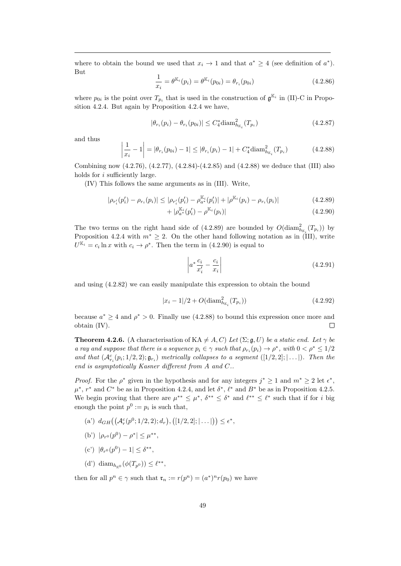where to obtain the bound we used that  $x_i \to 1$  and that  $a^* \geq 4$  (see definition of  $a^*$ ). But

$$
\frac{1}{x_i} = \theta^{\mathbb{K}_i}(p_i) = \theta^{\mathbb{K}_i}(p_{0i}) = \theta_{r_i}(p_{0i})
$$
\n(4.2.86)

where  $p_{0i}$  is the point over  $T_{p_i}$  that is used in the construction of  $\mathfrak{g}^{\mathbb{K}_i}$  in (II)-C in Proposition 4.2.4. But again by Proposition 4.2.4 we have,

$$
|\theta_{r_i}(p_i) - \theta_{r_i}(p_{0i})| \le C_4^* \text{diam}_{h_{K_i}}^2(T_{p_i})
$$
\n(4.2.87)

and thus

$$
\left|\frac{1}{x_i} - 1\right| = |\theta_{r_i}(p_{0i}) - 1| \le |\theta_{r_i}(p_i) - 1| + C_4^* \text{diam}_{h_{\mathbb{K}_i}}^2(T_{p_i}) \tag{4.2.88}
$$

Combining now (4.2.76), (4.2.77), (4.2.84)-(4.2.85) and (4.2.88) we deduce that (III) also holds for *i* sufficiently large.

(IV) This follows the same arguments as in (III). Write,

$$
|\rho_{r'_i}(p'_i) - \rho_{r_i}(p_i)| \le |\rho_{r'_i}(p'_i) - \rho_{a^*}^{\mathbb{K}_i}(p'_i)| + |\rho^{\mathbb{K}_i}(p_i) - \rho_{r_i}(p_i)| \tag{4.2.89}
$$

$$
+ |\rho_{a^*}^{\mathbb{K}_i}(p_i') - \rho^{\mathbb{K}_i}(p_i)| \tag{4.2.90}
$$

The two terms on the right hand side of (4.2.89) are bounded by  $O(\text{diam}_{h_{\mathbb{K}_i}}^2(T_{p_i}))$  by Proposition 4.2.4 with  $m^* \geq 2$ . On the other hand following notation as in (III), write  $U^{\mathbb{K}_i} = c_i \ln x$  with  $c_i \to \rho^*$ . Then the term in (4.2.90) is equal to

$$
\left| a^* \frac{c_i}{x_i'} - \frac{c_i}{x_i} \right| \tag{4.2.91}
$$

and using (4.2.82) we can easily manipulate this expression to obtain the bound

$$
|x_i - 1|/2 + O(\text{diam}_{h_{\mathbb{K}_i}}^2(T_{p_i}))
$$
\n(4.2.92)

because  $a^* \geq 4$  and  $\rho^* > 0$ . Finally use (4.2.88) to bound this expression once more and obtain (IV).  $\Box$ 

**Theorem 4.2.6.** (A characterisation of KA  $\neq A$ , C) Let ( $\Sigma$ ; g, U) be a static end. Let  $\gamma$  be a ray and suppose that there is a sequence  $p_i \in \gamma$  such that  $\rho_{r_i}(p_i) \to \rho^*$ , with  $0 < \rho^* \leq 1/2$ and that  $(\mathcal{A}_{r_i}^c(p_i; 1/2, 2); \mathfrak{g}_{r_i})$  metrically collapses to a segment  $([1/2, 2]; \ldots)$ . Then the end is asymptotically Kasner different from A and C..

*Proof.* For the  $\rho^*$  given in the hypothesis and for any integers  $j^* \geq 1$  and  $m^* \geq 2$  let  $\epsilon^*$ ,  $\mu^*, r^*$  and  $C^*$  be as in Proposition 4.2.4, and let  $\delta^*, \ell^*$  and  $B^*$  be as in Proposition 4.2.5. We begin proving that there are  $\mu^{**} \leq \mu^*, \delta^{**} \leq \delta^*$  and  $\ell^{**} \leq \ell^*$  such that if for i big enough the point  $p^0 := p_i$  is such that,

- (a')  $d_{GH}((\mathcal{A}_r^c(p^0; 1/2, 2); d_r), ([1/2, 2]; | \dots |)) \leq \epsilon^*,$
- (b')  $|\rho_{r^0}(p^0) \rho^*| \leq \mu^{**},$
- (c')  $|\theta_{r^0}(p^0) 1| \leq \delta^{**},$
- (d') diam<sub> $h_{\mathbb{K}^0}(\phi(T_{p^0})) \leq \ell^{**}$ ,</sub>

then for all  $p^n \in \gamma$  such that  $\mathfrak{r}_n := r(p^n) = (a^*)^n r(p_0)$  we have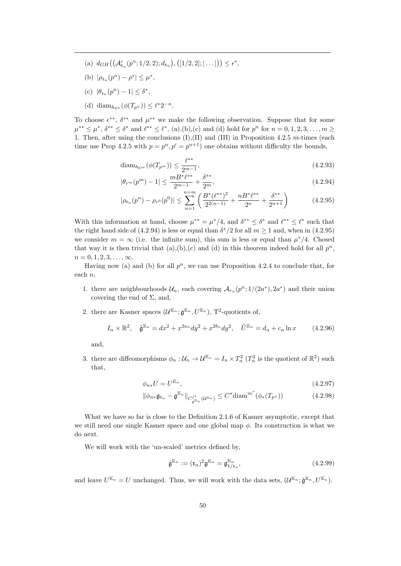- (a)  $d_{GH}((\mathcal{A}_{\mathfrak{r}_n}^c(p^n; 1/2, 2); d_{\mathfrak{r}_n}), ([1/2, 2]; | \dots |)) \leq \epsilon^*,$
- (b)  $|\rho_{\mathfrak{r}_n}(p^n) \rho^*| \leq \mu^*,$
- (c)  $|\theta_{\mathfrak{r}_n}(p^n) 1| \leq \delta^*,$
- (d) diam<sub> $h_{\mathbb{K}^n}(\phi(T_{p^n})) \leq \ell^* 2^{-n}$ .</sub>

To choose  $\epsilon^{**}$ ,  $\delta^{**}$  and  $\mu^{**}$  we make the following observation. Suppose that for some  $\mu^{**} \leq \mu^*, \ \delta^{**} \leq \delta^*$  and  $\ell^{**} \leq \ell^*, \ (a), (b), (c)$  and (d) hold for  $p^n$  for  $n = 0, 1, 2, 3, \ldots, m \geq 0$ 1. Then, after using the conclusions  $(I), (II)$  and  $(III)$  in Proposition 4.2.5 m-times (each time use Prop 4.2.5 with  $p = p^n, p' = p^{n+1}$  one obtains without difficulty the bounds,

$$
diam_{h_{\mathbb{K}^m}}(\phi(T_{p^m})) \le \frac{\ell^{**}}{2^{m-1}},
$$
\n(4.2.93)

$$
|\theta_{r^m}(p^m) - 1| \le \frac{m B^* \ell^{**}}{2^{m-1}} + \frac{\delta^{**}}{2^m},\tag{4.2.94}
$$

$$
|\rho_{\mathfrak{r}_n}(p^n) - \rho_{r^0}(p^0)| \le \sum_{n=1}^{n=m} \left( \frac{B^*(\ell^{**})^2}{2^{2(n-1)}} + \frac{n B^* \ell^{**}}{2^n} + \frac{\delta^{**}}{2^{n+1}} \right) \tag{4.2.95}
$$

With this information at hand, choose  $\mu^{**} = \mu^*/4$ , and  $\delta^{**} \leq \delta^*$  and  $\ell^{**} \leq \ell^*$  such that the right hand side of (4.2.94) is less or equal than  $\delta^*/2$  for all  $m \ge 1$  and, when in (4.2.95) we consider  $m = \infty$  (i.e. the infinite sum), this sum is less or equal than  $\mu^*/4$ . Chosed that way it is then trivial that  $(a),(b),(c)$  and  $(d)$  in this theorem indeed hold for all  $p^n$ ,  $n = 0, 1, 2, 3, \ldots, \infty$ .

Having now (a) and (b) for all  $p^n$ , we can use Proposition 4.2.4 to conclude that, for each n,

- 1. there are neighbourhoods  $\mathcal{U}_n$ , each covering  $\mathcal{A}_{r_n}(p^n;1/(2a^*),2a^*)$  and their union covering the end of  $\Sigma$ , and,
- 2. there are Kasner spaces  $(\mathcal{U}^{\mathbb{K}_n}; \mathfrak{g}^{\mathbb{K}_n}, U^{\mathbb{K}_n})$ , T<sup>2</sup>-quotients of,

$$
I_n \times \mathbb{R}^2, \quad \tilde{\mathfrak{g}}^{\mathbb{K}_n} = dx^2 + x^{2a_n} dy^2 + x^{2b_n} dy^2, \quad \tilde{U}^{\mathbb{K}_n} = d_n + c_n \ln x \tag{4.2.96}
$$

and,

3. there are diffeomorphisms  $\phi_n: \mathcal{U}_n \to \mathcal{U}^{\mathbb{K}_n} = I_n \times T_n^2$  ( $T_n^2$  is the quotient of  $\mathbb{R}^2$ ) such that,

$$
\phi_{n*}U = U^{\mathbb{K}_n},\tag{4.2.97}
$$

$$
\|\phi_{n*}\mathfrak{g}_{\mathfrak{r}_n} - \mathfrak{g}^{\mathbb{K}_n}\|_{C^{j^*}_{\mathfrak{g}^{\mathbb{K}_n}}(\mathcal{U}^{\mathbb{K}_n})} \leq C^* \text{diam}^{m^*}(\phi_*(T_{p^n}))\tag{4.2.98}
$$

What we have so far is close to the Definition 2.1.6 of Kasner asymptotic, except that we still need one single Kasner space and one global map  $\phi$ . Its construction is what we do next.

We will work with the 'un-scaled' metrics defined by,

$$
\hat{\mathfrak{g}}^{\mathbb{K}_n} := (\mathfrak{r}_n)^2 \mathfrak{g}^{\mathbb{K}_n} = \mathfrak{g}_{1/\mathfrak{r}_n}^{\mathbb{K}_n},\tag{4.2.99}
$$

and leave  $U^{\mathbb{K}_n} = U$  unchanged. Thus, we will work with the data sets,  $(\mathcal{U}^{\mathbb{K}_n}; \hat{\mathfrak{g}}^{\mathbb{K}_n}, U^{\mathbb{K}_n})$ .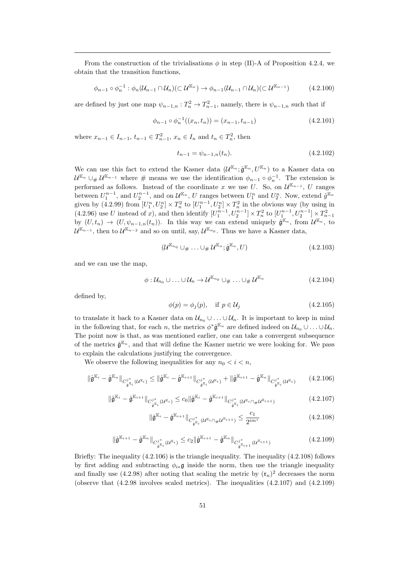From the construction of the trivialisations  $\phi$  in step (II)-A of Proposition 4.2.4, we obtain that the transition functions,

$$
\phi_{n-1} \circ \phi_n^{-1} : \phi_n(\mathcal{U}_{n-1} \cap \mathcal{U}_n) (\subset \mathcal{U}^{\mathbb{K}_n}) \to \phi_{n-1}(\mathcal{U}_{n-1} \cap \mathcal{U}_n) (\subset \mathcal{U}^{\mathbb{K}_{n-1}})
$$
(4.2.100)

are defined by just one map  $\psi_{n-1,n}: T_n^2 \to T_{n-1}^2$ , namely, there is  $\psi_{n-1,n}$  such that if

$$
\phi_{n-1} \circ \phi_n^{-1}((x_n, t_n)) = (x_{n-1}, t_{n-1})
$$
\n(4.2.101)

where  $x_{n-1} \in I_{n-1}$ ,  $t_{n-1} \in T_{n-1}^2$ ,  $x_n \in I_n$  and  $t_n \in T_n^2$ , then

$$
t_{n-1} = \psi_{n-1,n}(t_n). \tag{4.2.102}
$$

We can use this fact to extend the Kasner data  $(\mathcal{U}^{\mathbb{K}_n};\hat{\mathfrak{g}}^{\mathbb{K}_n},U^{\mathbb{K}_n})$  to a Kasner data on  $\mathcal{U}^{\mathbb{K}_n} \cup_{\#} \mathcal{U}^{\mathbb{K}_{n-1}}$  where  $\#$  means we use the identification  $\phi_{n-1} \circ \phi_n^{-1}$ . The extension is performed as follows. Instead of the coordinate x we use U. So, on  $\mathcal{U}^{\mathbb{K}_{n-1}}, U$  ranges between  $U_1^{n-1}$ , and  $U_2^{n-1}$ , and on  $\mathcal{U}^{\mathbb{K}_n}$ , U ranges between  $U_1^n$  and  $U_2^n$ . Now, extend  $\hat{g}^{\mathbb{K}_n}$ given by (4.2.99) from  $[U_1^n, U_2^n] \times T_n^2$  to  $[U_1^{n-1}, U_2^n] \times T_n^2$  in the obvious way (by using in (4.2.96) use U instead of x), and then identify  $[U_1^{n-1}, U_2^{n-1}] \times T_n^2$  to  $[U_1^{n-1}, U_2^{n-1}] \times T_{n-1}^2$ <br>by  $(U, t_n) \to (U, \psi_{n-1,n}(t_n))$ . In this way we can extend uniquely  $\hat{\mathfrak{g}}^{\mathbb{K}_n}$ , from  $\mathcal{U}^{\mathbb{K}_n}$ , to  $\mathcal{U}^{\mathbb{K}_{n-1}}$ , then to  $\mathcal{U}^{\mathbb{K}_{n-2}}$  and so on until, say,  $\mathcal{U}^{\mathbb{K}_{n_0}}$ . Thus we have a Kasner data,

$$
(\mathcal{U}^{\mathbb{K}_{n_0}} \cup_{\#} \ldots \cup_{\#} \mathcal{U}^{\mathbb{K}_n}; \hat{\mathfrak{g}}^{\mathbb{K}_n}, U) \tag{4.2.103}
$$

and we can use the map,

$$
\phi: \mathcal{U}_{n_0} \cup \ldots \cup \mathcal{U}_n \to \mathcal{U}^{\mathbb{K}_{n_0}} \cup_{\#} \ldots \cup_{\#} \mathcal{U}^{\mathbb{K}_n}
$$
\n
$$
(4.2.104)
$$

defined by,

$$
\phi(p) = \phi_j(p), \quad \text{if } p \in \mathcal{U}_j \tag{4.2.105}
$$

to translate it back to a Kasner data on  $\mathcal{U}_{n_0} \cup \ldots \cup \mathcal{U}_n$ . It is important to keep in mind in the following that, for each n, the metrics  $\phi^* \hat{\mathfrak{g}}^{\mathbb{K}_n}$  are defined indeed on  $\mathcal{U}_{n_0} \cup \ldots \cup \mathcal{U}_n$ . The point now is that, as was mentioned earlier, one can take a convergent subsequence of the metrics  $\hat{\mathfrak{g}}^{\mathbb{K}_n}$ , and that will define the Kasner metric we were looking for. We pass to explain the calculations justifying the convergence.

We observe the following inequalities for any  $n_0 < i < n$ ,

$$
\|\hat{\mathfrak{g}}^{\mathbb{K}_{i}} - \hat{\mathfrak{g}}^{\mathbb{K}_{n}}\|_{C^{j*}_{\hat{\mathfrak{g}}^{\mathbb{K}_{i}}}(\mathcal{U}^{\mathbb{K}_{i}})} \leq \|\hat{\mathfrak{g}}^{\mathbb{K}_{i}} - \hat{\mathfrak{g}}^{\mathbb{K}_{i+1}}\|_{C^{j*}_{\hat{\mathfrak{g}}^{\mathbb{K}_{i}}}(\mathcal{U}^{\mathbb{K}_{i}})} + \|\hat{\mathfrak{g}}^{\mathbb{K}_{i+1}} - \hat{\mathfrak{g}}^{\mathbb{K}_{n}}\|_{C^{j*}_{\hat{\mathfrak{g}}^{\mathbb{K}_{i}}}(\mathcal{U}^{\mathbb{K}_{i}})}\tag{4.2.106}
$$

$$
\|\hat{\mathfrak{g}}^{\mathbb{K}_{i}} - \hat{\mathfrak{g}}^{\mathbb{K}_{i+1}}\|_{C^{j^*}_{\hat{\mathfrak{g}}^{\mathbb{K}_{i}}}(\mathcal{U}^{\mathbb{K}_{i}})} \leq c_{0} \|\hat{\mathfrak{g}}^{\mathbb{K}_{i}} - \hat{\mathfrak{g}}^{\mathbb{K}_{i+1}}\|_{C^{j^*}_{\hat{\mathfrak{g}}^{\mathbb{K}_{i}}}(\mathcal{U}^{\mathbb{K}_{i}} \cap \mu \mathcal{U}^{\mathbb{K}_{i+1}})}\tag{4.2.107}
$$

$$
\|\hat{\mathfrak{g}}^{\mathbb{K}_i} - \hat{\mathfrak{g}}^{\mathbb{K}_{i+1}}\|_{C^{j^*}_{\hat{\mathfrak{g}}^{\mathbb{K}_i}}(\mathcal{U}^{\mathbb{K}_i} \cap \mathcal{H}^{\mathbb{K}_{i+1}})} \leq \frac{c_1}{2^{im^*}}
$$
(4.2.108)

$$
\|\hat{\mathfrak{g}}^{\mathbb{K}_{i+1}} - \hat{\mathfrak{g}}^{\mathbb{K}_n}\|_{C^{j^*}_{\hat{\mathfrak{g}}^{\mathbb{K}_i}}(\mathcal{U}^{\mathbb{K}_i})} \leq c_2 \|\hat{\mathfrak{g}}^{\mathbb{K}_{i+1}} - \hat{\mathfrak{g}}^{\mathbb{K}_n}\|_{C^{j^*}_{\hat{\mathfrak{g}}^{\mathbb{K}_{i+1}}(\mathcal{U}^{\mathbb{K}_{i+1}})}}\tag{4.2.109}
$$

Briefly: The inequality  $(4.2.106)$  is the triangle inequality. The inequality  $(4.2.108)$  follows by first adding and subtracting  $\phi_{i*}$ **g** inside the norm, then use the triangle inequality and finally use (4.2.98) after noting that scaling the metric by  $(\mathfrak{r}_n)^2$  decreases the norm (observe that  $(4.2.98$  involves scaled metrics). The inequalities  $(4.2.107)$  and  $(4.2.109)$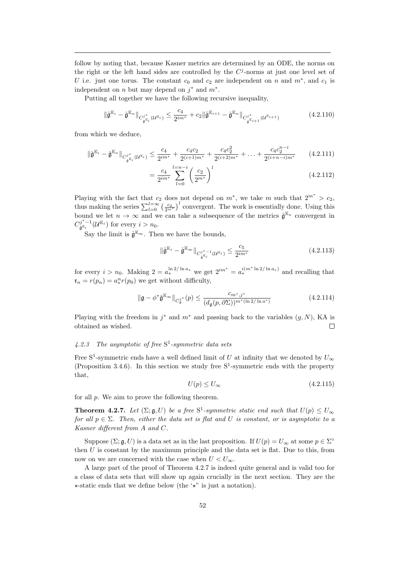follow by noting that, because Kasner metrics are determined by an ODE, the norms on the right or the left hand sides are controlled by the  $C<sup>j</sup>$ -norms at just one level set of U i.e. just one torus. The constant  $c_0$  and  $c_2$  are independent on n and  $m^*$ , and  $c_1$  is independent on n but may depend on  $j^*$  and  $m^*$ .

Putting all together we have the following recursive inequality,

$$
\|\hat{\mathfrak{g}}^{\mathbb{K}_i} - \hat{\mathfrak{g}}^{\mathbb{K}_n}\|_{C^{j^*}_{\hat{\mathfrak{g}}^{\mathbb{K}_i}}(\mathcal{U}^{\mathbb{K}_i})} \leq \frac{c_4}{2^{im^*}} + c_2 \|\hat{\mathfrak{g}}^{\mathbb{K}_{i+1}} - \hat{\mathfrak{g}}^{\mathbb{K}_n}\|_{C^{j^*}_{\hat{\mathfrak{g}}^{\mathbb{K}_{i+1}}}}(\mathcal{U}^{\mathbb{K}_{i+1}})
$$
(4.2.110)

from which we deduce,

$$
\|\hat{\mathfrak{g}}^{\mathbb{K}_i} - \hat{\mathfrak{g}}^{\mathbb{K}_n}\|_{C^{j^*}_{\hat{\mathfrak{g}}^{\mathbb{K}_i}}(\mathcal{U}^{\mathbb{K}_i})} \leq \frac{c_4}{2^{im^*}} + \frac{c_4c_2}{2^{(i+1)m^*}} + \frac{c_4c_2^2}{2^{(i+2)m^*}} + \ldots + \frac{c_4c_2^{n-i}}{2^{(i+n-i)m^*}} \tag{4.2.111}
$$

$$
=\frac{c_4}{2^{im^*}}\sum_{l=0}^{l=n-i}\left(\frac{c_2}{2^{m^*}}\right)^l
$$
\n(4.2.112)

Playing with the fact that  $c_2$  does not depend on  $m^*$ , we take m such that  $2^{m^*} > c_2$ , thus making the series  $\sum_{l=0}^{l=\infty} \left(\frac{c_2}{2^{m^*}}\right)^l$  convergent. The work is essentially done. Using this bound we let  $n \to \infty$  and we can take a subsequence of the metrics  $\hat{\mathfrak{g}}^{\mathbb{K}_n}$  convergent in  $C^{j^*-1}_{\hat{\mathbf{a}}^{\mathbb{K}_i}}$  $g^{j^* - 1}(\mathcal{U}^{\mathbb{K}_i})$  for every  $i > n_0$ .

Say the limit is  $\hat{\mathfrak{g}}^{\mathbb{K}_{\infty}}$ . Then we have the bounds,

$$
\|\hat{\mathfrak{g}}^{\mathbb{K}_i} - \hat{\mathfrak{g}}^{\mathbb{K}_\infty}\|_{C^{j^*-1}_{\hat{\mathfrak{g}}^{\mathbb{K}_i}}(\mathcal{U}^{\mathbb{K}_i})} \le \frac{c_5}{2^{im^*}}\tag{4.2.113}
$$

for every  $i > n_0$ . Making  $2 = a_*^{\ln 2/\ln a_*}$  we get  $2^{im^*} = a_*^{i(m^* \ln 2/\ln a_*)}$  and recalling that  $\mathfrak{r}_n = r(p_n) = a_*^n r(p_0)$  we get without difficulty,

$$
\|\mathfrak{g} - \phi^* \hat{\mathfrak{g}}^{\mathbb{K}_{\infty}}\|_{C_{\mathfrak{g}}^{j^*}}(p) \le \frac{c_{m^*,j^*}}{(d_{\mathfrak{g}}(p,\partial\Sigma))^{m^*(\ln 2/\ln a^*)}}
$$
(4.2.114)

Playing with the freedom in  $j^*$  and  $m^*$  and passing back to the variables  $(g, N)$ , KA is obtained as wished.  $\Box$ 

## 4.2.3 The asymptotic of free  $S^1$ -symmetric data sets

Free S<sup>1</sup>-symmetric ends have a well defined limit of U at infinity that we denoted by  $U_{\infty}$ (Proposition 3.4.6). In this section we study free  $S^1$ -symmetric ends with the property that,

$$
U(p) \le U_{\infty} \tag{4.2.115}
$$

for all p. We aim to prove the following theorem.

**Theorem 4.2.7.** Let  $(\Sigma; \mathfrak{g}, U)$  be a free  $S^1$ -symmetric static end such that  $U(p) \leq U_{\infty}$ for all  $p \in \Sigma$ . Then, either the data set is flat and U is constant, or is asymptotic to a Kasner different from A and C.

Suppose  $(\Sigma; \mathfrak{g}, U)$  is a data set as in the last proposition. If  $U(p) = U_{\infty}$  at some  $p \in \Sigma^{\circ}$ then  $U$  is constant by the maximum principle and the data set is flat. Due to this, from now on we are concerned with the case when  $U < U_{\infty}$ .

A large part of the proof of Theorem 4.2.7 is indeed quite general and is valid too for a class of data sets that will show up again crucially in the next section. They are the  $\star$ -static ends that we define below (the ' $\star$ " is just a notation).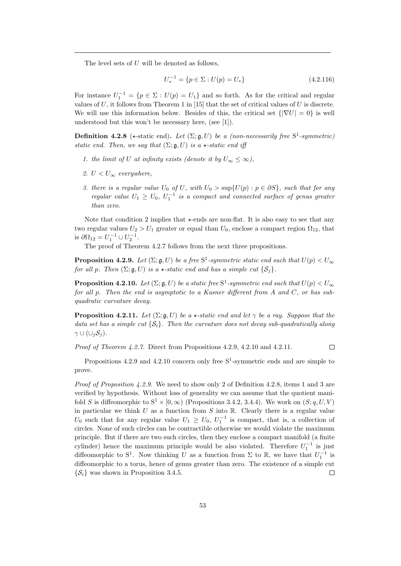The level sets of U will be denoted as follows,

$$
U_*^{-1} = \{ p \in \Sigma : U(p) = U_* \}
$$
\n(4.2.116)

For instance  $U_1^{-1} = \{p \in \Sigma : U(p) = U_1\}$  and so forth. As for the critical and regular values of U, it follows from Theorem 1 in [15] that the set of critical values of U is discrete. We will use this information below. Besides of this, the critical set  $\{|\nabla U| = 0\}$  is well understood but this won't be necessary here, (see [1]).

**Definition 4.2.8** ( $\star$ -static end). Let  $(\Sigma; \mathfrak{g}, U)$  be a (non-necessarily free  $S^1$ -symmetric) static end. Then, we say that  $(\Sigma; \mathfrak{g}, U)$  is a  $\star$ -static end iff

- 1. the limit of U at infinity exists (denote it by  $U_{\infty} \leq \infty$ ),
- 2.  $U < U_{\infty}$  everywhere,
- 3. there is a regular value  $U_0$  of U, with  $U_0 > \sup\{U(p) : p \in \partial S\}$ , such that for any regular value  $U_1 \geq U_0$ ,  $U_1^{-1}$  is a compact and connected surface of genus greater than zero.

Note that condition 2 implies that  $\star$ -ends are non-flat. It is also easy to see that any two regular values  $U_2 > U_1$  greater or equal than  $U_0$ , enclose a compact region  $\Omega_{12}$ , that is  $\partial \Omega_{12} = U_1^{-1} \cup U_2^{-1}$ .

The proof of Theorem 4.2.7 follows from the next three propositions.

**Proposition 4.2.9.** Let  $(\Sigma; \mathfrak{g}, U)$  be a free  $S^1$ -symmetric static end such that  $U(p) < U_{\infty}$ for all p. Then  $(\Sigma; \mathfrak{g}, U)$  is a  $\star$ -static end and has a simple cut  $\{S_i\}$ .

**Proposition 4.2.10.** Let  $(\Sigma; \mathfrak{g}, U)$  be a static free  $S^1$ -symmetric end such that  $U(p) < U_{\infty}$ for all p. Then the end is asymptotic to a Kasner different from A and C, or has subquadratic curvature decay.

**Proposition 4.2.11.** Let  $(\Sigma; \mathfrak{g}, U)$  be a  $\star$ -static end and let  $\gamma$  be a ray. Suppose that the data set has a simple cut  $\{S_i\}$ . Then the curvature does not decay sub-quadratically along  $\gamma\cup(\cup_i\mathcal{S}_j).$ 

*Proof of Theorem 4.2.7.* Direct from Propositions  $4.2.9, 4.2.10$  and  $4.2.11$ .  $\Box$ 

Propositions 4.2.9 and 4.2.10 concern only free S<sup>1</sup>-symmetric ends and are simple to prove.

*Proof of Proposition 4.2.9.* We need to show only 2 of Definition 4.2.8, items 1 and 3 are verified by hypothesis. Without loss of generality we can assume that the quotient manifold S is diffeomorphic to  $S^1 \times [0, \infty)$  (Propositions 3.4.2, 3.4.4). We work on  $(S; q, U, V)$ in particular we think U as a function from S into  $\mathbb R$ . Clearly there is a regular value  $U_0$  such that for any regular value  $U_1 \geq U_0$ ,  $U_1^{-1}$  is compact, that is, a collection of circles. None of such circles can be contractible otherwise we would violate the maximum principle. But if there are two such circles, then they enclose a compact manifold (a finite cylinder) hence the maximum principle would be also violated. Therefore  $U_1^{-1}$  is just diffeomorphic to S<sup>1</sup>. Now thinking U as a function from  $\Sigma$  to R, we have that  $U_1^{-1}$  is diffeomorphic to a torus, hence of genus greater than zero. The existence of a simple cut  $\{\mathcal{S}_i\}$  was shown in Proposition 3.4.5.  $\Box$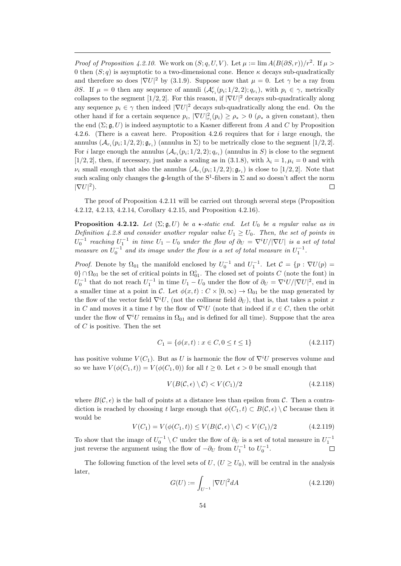*Proof of Proposition 4.2.10.* We work on  $(S; q, U, V)$ . Let  $\mu := \lim_{A \to 0} A(B(\partial S, r))/r^2$ . If  $\mu >$ 0 then  $(S; q)$  is asymptotic to a two-dimensional cone. Hence  $\kappa$  decays sub-quadratically and therefore so does  $|\nabla U|^2$  by (3.1.9). Suppose now that  $\mu = 0$ . Let  $\gamma$  be a ray from ∂S. If  $\mu = 0$  then any sequence of annuli  $(\mathcal{A}_{r_i}^c(p_i; 1/2, 2); q_{r_i})$ , with  $p_i \in \gamma$ , metrically collapses to the segment [1/2, 2]. For this reason, if  $|\nabla U|^2$  decays sub-quadratically along any sequence  $p_i \in \gamma$  then indeed  $|\nabla U|^2$  decays sub-quadratically along the end. On the other hand if for a certain sequence  $p_i$ ,  $|\nabla U|^2_{r_i}(p_i) \geq \rho_* > 0$  ( $\rho_*$  a given constant), then the end  $(\Sigma; \mathfrak{g}, U)$  is indeed asymptotic to a Kasner different from A and C by Proposition 4.2.6. (There is a caveat here. Proposition 4.2.6 requires that for i large enough, the annulus  $(\mathcal{A}_{r_i}(p_i; 1/2, 2); \mathfrak{g}_{r_i})$  (annulus in  $\Sigma$ ) to be metrically close to the segment  $[1/2, 2]$ . For *i* large enough the annulus  $(\mathcal{A}_{r_i}(p_i; 1/2, 2); q_{r_i})$  (annulus in S) is close to the segment [1/2, 2], then, if necessary, just make a scaling as in (3.1.8), with  $\lambda_i = 1, \mu_i = 0$  and with  $\nu_i$  small enough that also the annulus  $(\mathcal{A}_{r_i}(p_i; 1/2, 2); \mathfrak{g}_{r_i})$  is close to [1/2, 2]. Note that such scaling only changes the  $\mathfrak{g}$ -length of the S<sup>1</sup>-fibers in  $\Sigma$  and so doesn't affect the norm  $|\nabla U|^2$ ).  $\Box$ 

The proof of Proposition 4.2.11 will be carried out through several steps (Proposition 4.2.12, 4.2.13, 4.2.14, Corollary 4.2.15, and Proposition 4.2.16).

**Proposition 4.2.12.** Let  $(\Sigma; \mathfrak{g}, U)$  be a  $\star$ -static end. Let  $U_0$  be a regular value as in Definition 4.2.8 and consider another regular value  $U_1 \geq U_0$ . Then, the set of points in  $U_0^{-1}$  reaching  $U_1^{-1}$  in time  $U_1 - U_0$  under the flow of  $\partial_U = \nabla^i U / |\nabla U|$  is a set of total measure on  $U_0^{-1}$  and its image under the flow is a set of total measure in  $U_1^{-1}$ .

*Proof.* Denote by  $\Omega_{01}$  the manifold enclosed by  $U_0^{-1}$  and  $U_1^{-1}$ . Let  $\mathcal{C} = \{p : \nabla U(p) =$  $0$ } ∩  $\Omega_{01}$  be the set of critical points in  $\Omega_{01}^{\circ}$ . The closed set of points C (note the font) in  $U_0^{-1}$  that do not reach  $U_1^{-1}$  in time  $U_1 - U_0$  under the flow of  $\partial_U = \nabla^i U / |\nabla U|^2$ , end in a smaller time at a point in C. Let  $\phi(x, t) : C \times [0, \infty) \to \Omega_{01}$  be the map generated by the flow of the vector field  $\nabla^i U$ , (not the collinear field  $\partial_U$ ), that is, that takes a point x in C and moves it a time t by the flow of  $\nabla^{i}U$  (note that indeed if  $x \in C$ , then the orbit under the flow of  $\nabla^i U$  remains in  $\Omega_{01}$  and is defined for all time). Suppose that the area of  $C$  is positive. Then the set

$$
C_1 = \{ \phi(x, t) : x \in C, 0 \le t \le 1 \}
$$
\n
$$
(4.2.117)
$$

has positive volume  $V(C_1)$ . But as U is harmonic the flow of  $\nabla^i U$  preserves volume and so we have  $V(\phi(C_1,t)) = V(\phi(C_1,0))$  for all  $t \geq 0$ . Let  $\epsilon > 0$  be small enough that

$$
V(B(\mathcal{C}, \epsilon) \setminus \mathcal{C}) < V(C_1)/2 \tag{4.2.118}
$$

where  $B(C, \epsilon)$  is the ball of points at a distance less than epsilon from C. Then a contradiction is reached by choosing t large enough that  $\phi(C_1, t) \subset B(C, \epsilon) \setminus C$  because then it would be

$$
V(C_1) = V(\phi(C_1, t)) \le V(B(C, \epsilon) \setminus C) < V(C_1)/2 \tag{4.2.119}
$$

To show that the image of  $U_0^{-1} \setminus C$  under the flow of  $\partial_U$  is a set of total measure in  $U_1^{-1}$ just reverse the argument using the flow of  $-\partial_U$  from  $U_1^{-1}$  to  $U_0^{-1}$ .  $\Box$ 

The following function of the level sets of  $U, (U \ge U_0)$ , will be central in the analysis later,

$$
G(U) := \int_{U^{-1}} |\nabla U|^2 dA \tag{4.2.120}
$$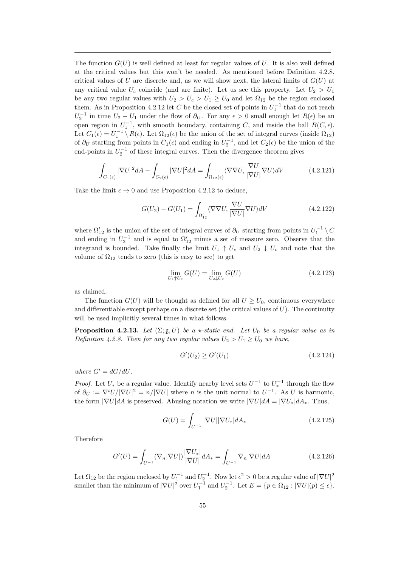The function  $G(U)$  is well defined at least for regular values of U. It is also well defined at the critical values but this won't be needed. As mentioned before Definition 4.2.8, critical values of U are discrete and, as we will show next, the lateral limits of  $G(U)$  at any critical value  $U_c$  coincide (and are finite). Let us see this property. Let  $U_2 > U_1$ be any two regular values with  $U_2 > U_c > U_1 \geq U_0$  and let  $\Omega_{12}$  be the region enclosed them. As in Proposition 4.2.12 let C be the closed set of points in  $U_1^{-1}$  that do not reach  $U_2^{-1}$  in time  $U_2 - U_1$  under the flow of  $\partial_U$ . For any  $\epsilon > 0$  small enough let  $R(\epsilon)$  be an open region in  $U_1^{-1}$ , with smooth boundary, containing C, and inside the ball  $B(C, \epsilon)$ . Let  $C_1(\epsilon) = U_1^{-1} \setminus R(\epsilon)$ . Let  $\Omega_{12}(\epsilon)$  be the union of the set of integral curves (inside  $\Omega_{12}$ ) of  $\partial_U$  starting from points in  $C_1(\epsilon)$  and ending in  $U_2^{-1}$ , and let  $C_2(\epsilon)$  be the union of the end-points in  $U_2^{-1}$  of these integral curves. Then the divergence theorem gives

$$
\int_{C_1(\epsilon)} |\nabla U|^2 dA - \int_{C_2(\epsilon)} |\nabla U|^2 dA = \int_{\Omega_{12}(\epsilon)} \langle \nabla \nabla U, \frac{\nabla U}{|\nabla U|} \nabla U \rangle dV \tag{4.2.121}
$$

Take the limit  $\epsilon \to 0$  and use Proposition 4.2.12 to deduce.

$$
G(U_2) - G(U_1) = \int_{\Omega'_{12}} \langle \nabla \nabla U, \frac{\nabla U}{|\nabla U|} \nabla U \rangle dV
$$
\n(4.2.122)

where  $\Omega'_{12}$  is the union of the set of integral curves of  $\partial_U$  starting from points in  $U_1^{-1} \setminus C$ and ending in  $U_2^{-1}$  and is equal to  $\Omega'_{12}$  minus a set of measure zero. Observe that the integrand is bounded. Take finally the limit  $U_1 \uparrow U_c$  and  $U_2 \downarrow U_c$  and note that the volume of  $\Omega_{12}$  tends to zero (this is easy to see) to get

$$
\lim_{U_1 \uparrow U_c} G(U) = \lim_{U_2 \downarrow U_c} G(U) \tag{4.2.123}
$$

as claimed.

The function  $G(U)$  will be thought as defined for all  $U \ge U_0$ , continuous everywhere and differentiable except perhaps on a discrete set (the critical values of  $U$ ). The continuity will be used implicitly several times in what follows.

**Proposition 4.2.13.** Let  $(\Sigma; \mathfrak{g}, U)$  be a  $\star$ -static end. Let  $U_0$  be a regular value as in Definition 4.2.8. Then for any two regular values  $U_2 > U_1 \geq U_0$  we have,

$$
G'(U_2) \ge G'(U_1) \tag{4.2.124}
$$

where  $G' = dG/dU$ .

*Proof.* Let  $U_*$  be a regular value. Identify nearby level sets  $U^{-1}$  to  $U_*^{-1}$  through the flow of  $\partial_U := \nabla^i U / |\nabla U|^2 = n / |\nabla U|$  where *n* is the unit normal to  $U^{-1}$ . As U is harmonic, the form  $|\nabla U|dA$  is preserved. Abusing notation we write  $|\nabla U|dA = |\nabla U_*|dA_*$ . Thus,

$$
G(U) = \int_{U^{-1}} |\nabla U| |\nabla U_*| dA_* \tag{4.2.125}
$$

Therefore

$$
G'(U) = \int_{U^{-1}} (\nabla_n |\nabla U|) \frac{|\nabla U_*|}{|\nabla U|} dA_* = \int_{U^{-1}} \nabla_n |\nabla U| dA \qquad (4.2.126)
$$

Let  $\Omega_{12}$  be the region enclosed by  $U_1^{-1}$  and  $U_2^{-1}$ . Now let  $\epsilon^2 > 0$  be a regular value of  $|\nabla U|^2$ smaller than the minimum of  $|\nabla U|^2$  over  $U_1^{-1}$  and  $U_2^{-1}$ . Let  $E = \{p \in \Omega_{12} : |\nabla U|(p) \le \epsilon\}.$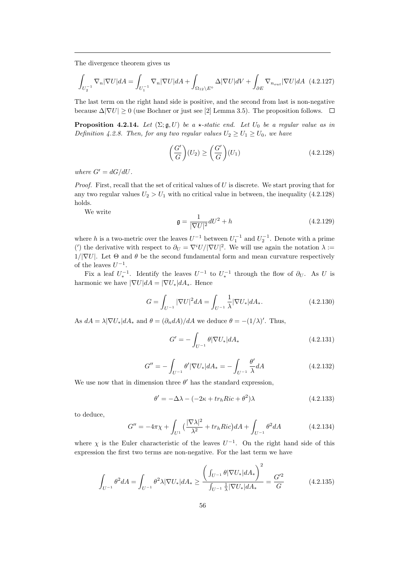The divergence theorem gives us

$$
\int_{U_2^{-1}} \nabla_n |\nabla U| dA = \int_{U_1^{-1}} \nabla_n |\nabla U| dA + \int_{\Omega_{12} \setminus E^\circ} \Delta |\nabla U| dV + \int_{\partial E} \nabla_{n_{out}} |\nabla U| dA \tag{4.2.127}
$$

The last term on the right hand side is positive, and the second from last is non-negative because  $\Delta|\nabla U| \ge 0$  (use Bochner or just see [2] Lemma 3.5). The proposition follows.  $\Box$ 

**Proposition 4.2.14.** Let  $(\Sigma; \mathfrak{g}, U)$  be a  $\star$ -static end. Let  $U_0$  be a regular value as in Definition 4.2.8. Then, for any two regular values  $U_2 \geq U_1 \geq U_0$ , we have

$$
\left(\frac{G'}{G}\right)(U_2) \ge \left(\frac{G'}{G}\right)(U_1) \tag{4.2.128}
$$

where  $G' = dG/dU$ .

*Proof.* First, recall that the set of critical values of  $U$  is discrete. We start proving that for any two regular values  $U_2 > U_1$  with no critical value in between, the inequality (4.2.128) holds.

We write

$$
\mathfrak{g} = \frac{1}{|\nabla U|^2} dU^2 + h \tag{4.2.129}
$$

where h is a two-metric over the leaves  $U^{-1}$  between  $U_1^{-1}$  and  $U_2^{-1}$ . Denote with a prime (') the derivative with respect to  $\partial_U = \nabla^i U/|\nabla U|^2$ . We will use again the notation  $\lambda :=$  $1/|\nabla U|$ . Let  $\Theta$  and  $\theta$  be the second fundamental form and mean curvature respectively of the leaves  $U^{-1}$ .

Fix a leaf  $U_*^{-1}$ . Identify the leaves  $U^{-1}$  to  $U_*^{-1}$  through the flow of  $\partial_U$ . As U is harmonic we have  $|\nabla U|dA = |\nabla U_*|dA_*$ . Hence

$$
G = \int_{U^{-1}} |\nabla U|^2 dA = \int_{U^{-1}} \frac{1}{\lambda} |\nabla U_*| dA_*.
$$
 (4.2.130)

As  $dA = \lambda |\nabla U_*| dA_*$  and  $\theta = (\partial_n dA)/dA$  we deduce  $\theta = -(1/\lambda)'$ . Thus,

$$
G' = -\int_{U^{-1}} \theta |\nabla U_*| dA_* \tag{4.2.131}
$$

$$
G'' = -\int_{U^{-1}} \theta' |\nabla U_*| dA_* = -\int_{U^{-1}} \frac{\theta'}{\lambda} dA \qquad (4.2.132)
$$

We use now that in dimension three  $\theta'$  has the standard expression,

$$
\theta' = -\Delta\lambda - (-2\kappa + tr_h Ric + \theta^2)\lambda \tag{4.2.133}
$$

to deduce,

$$
G'' = -4\pi\chi + \int_{U^1} \left(\frac{|\nabla\lambda|^2}{\lambda^2} + tr_h Ric\right) dA + \int_{U^{-1}} \theta^2 dA \tag{4.2.134}
$$

where  $\chi$  is the Euler characteristic of the leaves  $U^{-1}$ . On the right hand side of this expression the first two terms are non-negative. For the last term we have

$$
\int_{U^{-1}} \theta^2 dA = \int_{U^{-1}} \theta^2 \lambda |\nabla U_*| dA_* \ge \frac{\left(\int_{U^{-1}} \theta |\nabla U_*| dA_*\right)^2}{\int_{U^{-1}} \frac{1}{\lambda} |\nabla U_*| dA_*} = \frac{G'^2}{G} \tag{4.2.135}
$$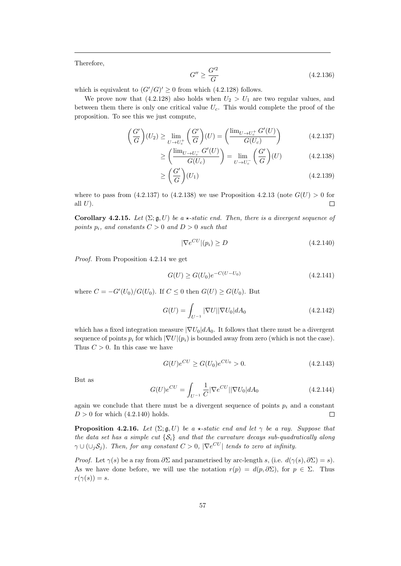Therefore,

$$
G'' \ge \frac{G'^2}{G} \tag{4.2.136}
$$

which is equivalent to  $(G'/G)' \geq 0$  from which (4.2.128) follows.

We prove now that  $(4.2.128)$  also holds when  $U_2 > U_1$  are two regular values, and between them there is only one critical value  $U_c$ . This would complete the proof of the proposition. To see this we just compute,

$$
\left(\frac{G'}{G}\right)(U_2) \ge \lim_{U \to U_c^+} \left(\frac{G'}{G}\right)(U) = \left(\frac{\lim_{U \to U_c^+} G'(U)}{G(U_c)}\right) \tag{4.2.137}
$$

$$
\geq \left(\frac{\lim_{U \to U_c^-} G'(U)}{G(U_c)}\right) = \lim_{U \to U_c^-} \left(\frac{G'}{G}\right)(U) \tag{4.2.138}
$$

$$
\geq \left(\frac{G'}{G}\right)(U_1) \tag{4.2.139}
$$

where to pass from  $(4.2.137)$  to  $(4.2.138)$  we use Proposition 4.2.13 (note  $G(U) > 0$  for all  $U$ ).  $\Box$ 

Corollary 4.2.15. Let  $(\Sigma; \mathfrak{g}, U)$  be a  $\star$ -static end. Then, there is a divergent sequence of points  $p_i$ , and constants  $C > 0$  and  $D > 0$  such that

$$
|\nabla e^{CU}|(p_i) \ge D \tag{4.2.140}
$$

Proof. From Proposition 4.2.14 we get

$$
G(U) \ge G(U_0)e^{-C(U-U_0)}\tag{4.2.141}
$$

where  $C = -G'(U_0)/G(U_0)$ . If  $C \le 0$  then  $G(U) \ge G(U_0)$ . But

$$
G(U) = \int_{U^{-1}} |\nabla U| |\nabla U_0| dA_0 \qquad (4.2.142)
$$

which has a fixed integration measure  $|\nabla U_0| dA_0$ . It follows that there must be a divergent sequence of points  $p_i$  for which  $|\nabla U|(p_i)$  is bounded away from zero (which is not the case). Thus  $C > 0$ . In this case we have

$$
G(U)e^{CU} \ge G(U_0)e^{CU_0} > 0.
$$
\n(4.2.143)

But as

$$
G(U)e^{CU} = \int_{U^{-1}} \frac{1}{C} |\nabla e^{CU}| |\nabla U_0| dA_0 \qquad (4.2.144)
$$

again we conclude that there must be a divergent sequence of points  $p_i$  and a constant  $D > 0$  for which  $(4.2.140)$  holds.  $\Box$ 

**Proposition 4.2.16.** Let  $(\Sigma; \mathfrak{g}, U)$  be a  $\star$ -static end and let  $\gamma$  be a ray. Suppose that the data set has a simple cut  $\{S_i\}$  and that the curvature decays sub-quadratically along  $\gamma \cup (\cup_j \mathcal{S}_j)$ . Then, for any constant  $C > 0$ ,  $|\nabla e^{CU}|$  tends to zero at infinity.

*Proof.* Let  $\gamma(s)$  be a ray from  $\partial \Sigma$  and parametrised by arc-length s, (i.e.  $d(\gamma(s), \partial \Sigma) = s$ ). As we have done before, we will use the notation  $r(p) = d(p, \partial \Sigma)$ , for  $p \in \Sigma$ . Thus  $r(\gamma(s)) = s.$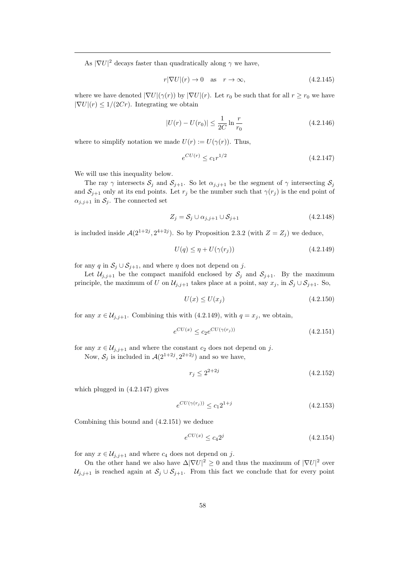As  $|\nabla U|^2$  decays faster than quadratically along  $\gamma$  we have,

$$
r|\nabla U|(r) \to 0 \quad \text{as} \quad r \to \infty,\tag{4.2.145}
$$

where we have denoted  $|\nabla U|(\gamma(r))$  by  $|\nabla U|(r)$ . Let  $r_0$  be such that for all  $r \ge r_0$  we have  $|\nabla U|(r) \leq 1/(2Cr)$ . Integrating we obtain

$$
|U(r) - U(r_0)| \le \frac{1}{2C} \ln \frac{r}{r_0}
$$
\n(4.2.146)

where to simplify notation we made  $U(r) := U(\gamma(r))$ . Thus,

$$
e^{CU(r)} \le c_1 r^{1/2} \tag{4.2.147}
$$

We will use this inequality below.

The ray  $\gamma$  intersects  $S_j$  and  $S_{j+1}$ . So let  $\alpha_{j,j+1}$  be the segment of  $\gamma$  intersecting  $S_j$ and  $S_{j+1}$  only at its end points. Let  $r_j$  be the number such that  $\gamma(r_j)$  is the end point of  $\alpha_{j,j+1}$  in  $\mathcal{S}_j$ . The connected set

$$
Z_j = S_j \cup \alpha_{j,j+1} \cup S_{j+1} \tag{4.2.148}
$$

is included inside  $\mathcal{A}(2^{1+2j}, 2^{4+2j})$ . So by Proposition 2.3.2 (with  $Z = Z_j$ ) we deduce,

$$
U(q) \le \eta + U(\gamma(r_j))\tag{4.2.149}
$$

for any q in  $S_j \cup S_{j+1}$ , and where  $\eta$  does not depend on j.

Let  $\mathcal{U}_{j,j+1}$  be the compact manifold enclosed by  $\mathcal{S}_j$  and  $\mathcal{S}_{j+1}$ . By the maximum principle, the maximum of U on  $\mathcal{U}_{j,j+1}$  takes place at a point, say  $x_j$ , in  $\mathcal{S}_j \cup \mathcal{S}_{j+1}$ . So,

$$
U(x) \le U(x_j) \tag{4.2.150}
$$

for any  $x \in \mathcal{U}_{i,i+1}$ . Combining this with  $(4.2.149)$ , with  $q = x_i$ , we obtain,

$$
e^{CU(x)} \le c_2 e^{CU(\gamma(r_j))} \tag{4.2.151}
$$

for any  $x \in \mathcal{U}_{j,j+1}$  and where the constant  $c_2$  does not depend on j.

Now,  $S_j$  is included in  $\mathcal{A}(2^{1+2j}, 2^{2+2j})$  and so we have,

$$
r_j \le 2^{2+2j} \tag{4.2.152}
$$

which plugged in (4.2.147) gives

$$
e^{CU(\gamma(r_j))} \le c_1 2^{1+j} \tag{4.2.153}
$$

Combining this bound and (4.2.151) we deduce

$$
e^{CU(x)} \le c_4 2^j \tag{4.2.154}
$$

for any  $x \in \mathcal{U}_{i,j+1}$  and where  $c_4$  does not depend on j.

On the other hand we also have  $\Delta |\nabla U|^2 \geq 0$  and thus the maximum of  $|\nabla U|^2$  over  $U_{j,j+1}$  is reached again at  $S_j \cup S_{j+1}$ . From this fact we conclude that for every point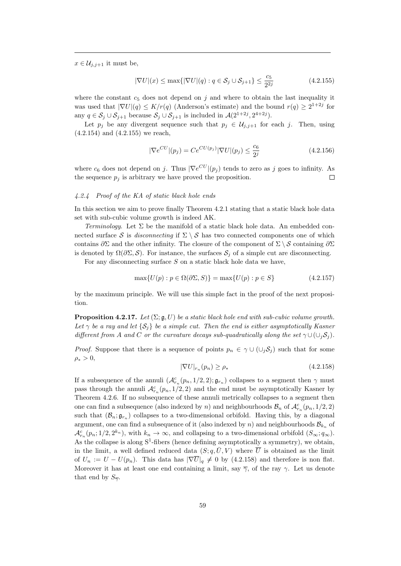$x \in \mathcal{U}_{j,j+1}$  it must be,

$$
|\nabla U|(x) \le \max\{|\nabla U|(q) : q \in \mathcal{S}_j \cup \mathcal{S}_{j+1}\} \le \frac{c_5}{2^{2j}} \tag{4.2.155}
$$

where the constant  $c_5$  does not depend on j and where to obtain the last inequality it was used that  $|\nabla U|(q) \leq K/r(q)$  (Anderson's estimate) and the bound  $r(q) \geq 2^{1+2j}$  for any  $q \in S_j \cup S_{j+1}$  because  $S_j \cup S_{j+1}$  is included in  $\mathcal{A}(2^{1+2j}, 2^{4+2j})$ .

Let  $p_j$  be any divergent sequence such that  $p_j \in \mathcal{U}_{j,j+1}$  for each j. Then, using (4.2.154) and (4.2.155) we reach,

$$
|\nabla e^{CU}|(p_j) = Ce^{CU(p_j)}|\nabla U|(p_j) \le \frac{c_6}{2^j}
$$
\n(4.2.156)

where  $c_6$  does not depend on j. Thus  $|\nabla e^{CU}|(p_j)$  tends to zero as j goes to infinity. As the sequence  $p_i$  is arbitrary we have proved the proposition.  $\Box$ 

#### 4.2.4 Proof of the KA of static black hole ends

In this section we aim to prove finally Theorem 4.2.1 stating that a static black hole data set with sub-cubic volume growth is indeed AK.

Terminology. Let  $\Sigma$  be the manifold of a static black hole data. An embedded connected surface S is disconnecting if  $\Sigma \setminus S$  has two connected components one of which contains ∂Σ and the other infinity. The closure of the component of  $\Sigma \setminus \mathcal{S}$  containing ∂∑ is denoted by  $\Omega(\partial \Sigma, \mathcal{S})$ . For instance, the surfaces  $\mathcal{S}_i$  of a simple cut are disconnecting.

For any disconnecting surface  $S$  on a static black hole data we have,

$$
\max\{U(p) : p \in \Omega(\partial \Sigma, S)\} = \max\{U(p) : p \in S\}
$$
\n(4.2.157)

by the maximum principle. We will use this simple fact in the proof of the next proposition.

**Proposition 4.2.17.** Let  $(\Sigma; \mathfrak{g}, U)$  be a static black hole end with sub-cubic volume growth. Let  $\gamma$  be a ray and let  $\{S_i\}$  be a simple cut. Then the end is either asymptotically Kasner different from A and C or the curvature decays sub-quadratically along the set  $\gamma \cup (\cup_i S_i)$ .

*Proof.* Suppose that there is a sequence of points  $p_n \in \gamma \cup (\cup_i S_i)$  such that for some  $\rho_* > 0,$ 

$$
|\nabla U|_{r_n}(p_n) \ge \rho_*\tag{4.2.158}
$$

If a subsequence of the annuli  $(\mathcal{A}_{r_n}^c(p_n, 1/2, 2); \mathfrak{g}_{r_n})$  collapses to a segment then  $\gamma$  must pass through the annuli  $\mathcal{A}_{r_n}^c(p_n, 1/2, 2)$  and the end must be asymptotically Kasner by Theorem 4.2.6. If no subsequence of these annuli metrically collapses to a segment then one can find a subsequence (also indexed by n) and neighbourhoods  $\mathcal{B}_n$  of  $\mathcal{A}_{r_n}^c(p_n, 1/2, 2)$ such that  $(\mathcal{B}_n; \mathfrak{g}_{r_n})$  collapses to a two-dimensional orbifold. Having this, by a diagonal argument, one can find a subsequence of it (also indexed by n) and neighbourhoods  $\mathcal{B}_{k_n}$  of  $\mathcal{A}_{r_n}^c(p_n; 1/2, 2^{k_n})$ , with  $k_n \to \infty$ , and collapsing to a two-dimensional orbifold  $(S_{\infty}; q_{\infty})$ . As the collapse is along  $S^1$ -fibers (hence defining asymptotically a symmetry), we obtain, in the limit, a well defined reduced data  $(S; q, \overline{U}, V)$  where  $\overline{U}$  is obtained as the limit of  $U_n := U - U(p_n)$ . This data has  $|\nabla \overline{U}|_q \neq 0$  by (4.2.158) and therefore is non flat. Moreover it has at least one end containing a limit, say  $\overline{\gamma}$ , of the ray  $\gamma$ . Let us denote that end by  $S_{\overline{y}}$ .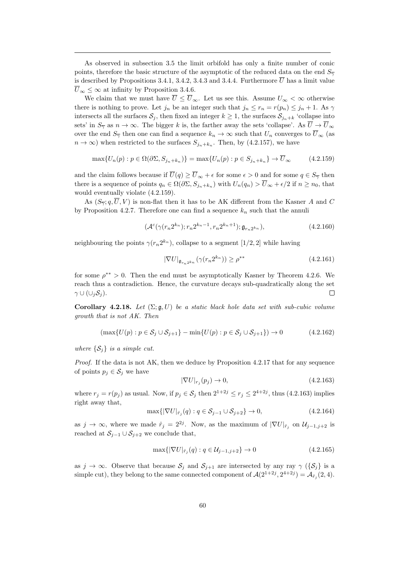As observed in subsection 3.5 the limit orbifold has only a finite number of conic points, therefore the basic structure of the asymptotic of the reduced data on the end  $S_{\overline{\gamma}}$ is described by Propositions 3.4.1, 3.4.2, 3.4.3 and 3.4.4. Furthermore  $\overline{U}$  has a limit value  $\overline{U}_{\infty} \leq \infty$  at infinity by Proposition 3.4.6.

We claim that we must have  $\overline{U} \leq \overline{U}_{\infty}$ . Let us see this. Assume  $U_{\infty} < \infty$  otherwise there is nothing to prove. Let  $j_n$  be an integer such that  $j_n \leq r_n = r(p_n) \leq j_n + 1$ . As  $\gamma$ intersects all the surfaces  $S_i$ , then fixed an integer  $k \geq 1$ , the surfaces  $S_{i_n+k}$  'collapse into sets' in  $S_{\overline{\gamma}}$  as  $n \to \infty$ . The bigger k is, the farther away the sets 'collapse'. As  $\overline{U} \to \overline{U}_{\infty}$ over the end  $S_{\overline{\gamma}}$  then one can find a sequence  $k_n \to \infty$  such that  $U_n$  converges to  $\overline{U}_{\infty}$  (as  $n \to \infty$ ) when restricted to the surfaces  $S_{j_n+k_n}$ . Then, by (4.2.157), we have

$$
\max\{U_n(p) : p \in \Omega(\partial \Sigma, S_{j_n + k_n})\} = \max\{U_n(p) : p \in S_{j_n + k_n}\} \to \overline{U}_{\infty}
$$
\n(4.2.159)

and the claim follows because if  $\overline{U}(q) \ge \overline{U}_{\infty} + \epsilon$  for some  $\epsilon > 0$  and for some  $q \in S_{\overline{Y}}$  then there is a sequence of points  $q_n \in \Omega(\partial \Sigma, S_{j_n+k_n})$  with  $U_n(q_n) > \overline{U}_{\infty} + \epsilon/2$  if  $n \ge n_0$ , that would eventually violate (4.2.159).

As  $(S_{\overline{\gamma}}; q, \overline{U}, V)$  is non-flat then it has to be AK different from the Kasner A and C by Proposition 4.2.7. Therefore one can find a sequence  $k_n$  such that the annuli

$$
(\mathcal{A}^c(\gamma(r_n 2^{k_n}); r_n 2^{k_n - 1}, r_n 2^{k_n + 1}); \mathfrak{g}_{r_n 2^{k_n}}), \qquad (4.2.160)
$$

neighbouring the points  $\gamma(r_n 2^{k_n})$ , collapse to a segment  $[1/2, 2]$  while having

$$
|\nabla U|_{\mathfrak{g}_{r_n2^{k_n}}}(\gamma(r_n2^{k_n})) \ge \rho^{**} \tag{4.2.161}
$$

for some  $\rho^{**} > 0$ . Then the end must be asymptotically Kasner by Theorem 4.2.6. We reach thus a contradiction. Hence, the curvature decays sub-quadratically along the set  $\gamma \cup (\cup_i S_i).$  $\Box$ 

Corollary 4.2.18. Let  $(\Sigma; \mathfrak{g}, U)$  be a static black hole data set with sub-cubic volume growth that is not AK. Then

$$
(\max\{U(p) : p \in S_j \cup S_{j+1}\} - \min\{U(p) : p \in S_j \cup S_{j+1}\}) \to 0
$$
\n(4.2.162)

where  $\{\mathcal{S}_j\}$  is a simple cut.

*Proof.* If the data is not AK, then we deduce by Proposition  $4.2.17$  that for any sequence of points  $p_i \in \mathcal{S}_i$  we have

$$
|\nabla U|_{r_j}(p_j) \to 0,\tag{4.2.163}
$$

where  $r_j = r(p_j)$  as usual. Now, if  $p_j \in S_j$  then  $2^{1+2j} \le r_j \le 2^{4+2j}$ , thus (4.2.163) implies right away that,

$$
\max\{|\nabla U|_{\hat{r}_j}(q) : q \in S_{j-1} \cup S_{j+2}\} \to 0,
$$
\n(4.2.164)

as  $j \to \infty$ , where we made  $\hat{r}_j = 2^{2j}$ . Now, as the maximum of  $|\nabla U|_{\hat{r}_j}$  on  $\mathcal{U}_{j-1,j+2}$  is reached at  $S_{i-1} \cup S_{i+2}$  we conclude that,

$$
\max\{|\nabla U|_{\hat{r}_j}(q) : q \in \mathcal{U}_{j-1,j+2}\} \to 0\tag{4.2.165}
$$

as  $j \to \infty$ . Observe that because  $S_j$  and  $S_{j+1}$  are intersected by any ray  $\gamma$  ( $\{S_j\}$  is a simple cut), they belong to the same connected component of  $\mathcal{A}(2^{1+2j}, 2^{4+2j}) = \mathcal{A}_{\hat{r}_j}(2, 4)$ .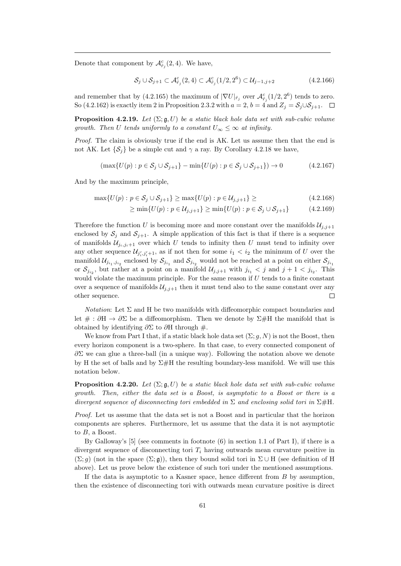Denote that component by  $\mathcal{A}^c_{\hat{r}_j}(2,4)$ . We have,

$$
\mathcal{S}_j \cup \mathcal{S}_{j+1} \subset \mathcal{A}_{\hat{r}_j}^c(2,4) \subset \mathcal{A}_{\hat{r}_j}^c(1/2,2^6) \subset \mathcal{U}_{j-1,j+2}
$$
\n(4.2.166)

and remember that by (4.2.165) the maximum of  $|\nabla U|_{\hat{r}_j}$  over  $\mathcal{A}_{\hat{r}_j}^c(1/2, 2^6)$  tends to zero. So (4.2.162) is exactly item 2 in Proposition 2.3.2 with  $a = 2$ ,  $b = 4$  and  $Z_i = S_i \cup S_{i+1}$ .  $\Box$ 

**Proposition 4.2.19.** Let  $(\Sigma; \mathfrak{g}, U)$  be a static black hole data set with sub-cubic volume growth. Then U tends uniformly to a constant  $U_{\infty} \leq \infty$  at infinity.

Proof. The claim is obviously true if the end is AK. Let us assume then that the end is not AK. Let  $\{\mathcal{S}_i\}$  be a simple cut and  $\gamma$  a ray. By Corollary 4.2.18 we have,

$$
(\max\{U(p):p\in\mathcal{S}_j\cup\mathcal{S}_{j+1}\}-\min\{U(p):p\in\mathcal{S}_j\cup\mathcal{S}_{j+1}\})\to 0\tag{4.2.167}
$$

And by the maximum principle,

$$
\max\{U(p) : p \in S_j \cup S_{j+1}\} \ge \max\{U(p) : p \in \mathcal{U}_{j,j+1}\} \ge \tag{4.2.168}
$$

$$
\geq \min \{ U(p) : p \in \mathcal{U}_{j,j+1} \} \geq \min \{ U(p) : p \in \mathcal{S}_j \cup \mathcal{S}_{j+1} \} \tag{4.2.169}
$$

Therefore the function U is becoming more and more constant over the manifolds  $\mathcal{U}_{i,j+1}$ enclosed by  $S_j$  and  $S_{j+1}$ . A simple application of this fact is that if there is a sequence of manifolds  $\mathcal{U}_{i,j,i+1}$  over which U tends to infinity then U must tend to infinity over any other sequence  $\mathcal{U}_{j'_i,j'_i+1}$ , as if not then for some  $i_1 < i_2$  the minimum of U over the manifold  $\mathcal{U}_{j_{i_1},j_{i_2}}$  enclosed by  $\mathcal{S}_{j_{i_1}}$  and  $\mathcal{S}_{j_{i_2}}$  would not be reached at a point on either  $\mathcal{S}_{j_{i_1}}$ or  $S_{j_{i_2}}$ , but rather at a point on a manifold  $\mathcal{U}_{j,j+1}$  with  $j_{i_1} < j$  and  $j+1 < j_{i_2}$ . This would violate the maximum principle. For the same reason if  $U$  tends to a finite constant over a sequence of manifolds  $\mathcal{U}_{i,j+1}$  then it must tend also to the same constant over any other sequence.  $\Box$ 

*Notation*: Let  $\Sigma$  and H be two manifolds with diffeomorphic compact boundaries and let  $\# : \partial H \to \partial \Sigma$  be a diffeomorphism. Then we denote by  $\Sigma \# H$  the manifold that is obtained by identifying  $\partial \Sigma$  to  $\partial H$  through #.

We know from Part I that, if a static black hole data set  $(\Sigma; g, N)$  is not the Boost, then every horizon component is a two-sphere. In that case, to every connected component of  $\partial \Sigma$  we can glue a three-ball (in a unique way). Following the notation above we denote by H the set of balls and by  $\Sigma\#H$  the resulting boundary-less manifold. We will use this notation below.

**Proposition 4.2.20.** Let  $(\Sigma; \mathfrak{g}, U)$  be a static black hole data set with sub-cubic volume growth. Then, either the data set is a Boost, is asymptotic to a Boost or there is a divergent sequence of disconnecting tori embedded in  $\Sigma$  and enclosing solid tori in  $\Sigma \# H$ .

Proof. Let us assume that the data set is not a Boost and in particular that the horizon components are spheres. Furthermore, let us assume that the data it is not asymptotic to  $B$ , a Boost.

By Galloway's [5] (see comments in footnote (6) in section 1.1 of Part I), if there is a divergent sequence of disconnecting tori  $T_i$  having outwards mean curvature positive in  $(\Sigma; g)$  (not in the space  $(\Sigma; g)$ ), then they bound solid tori in  $\Sigma \cup H$  (see definition of H above). Let us prove below the existence of such tori under the mentioned assumptions.

If the data is asymptotic to a Kasner space, hence different from B by assumption, then the existence of disconnecting tori with outwards mean curvature positive is direct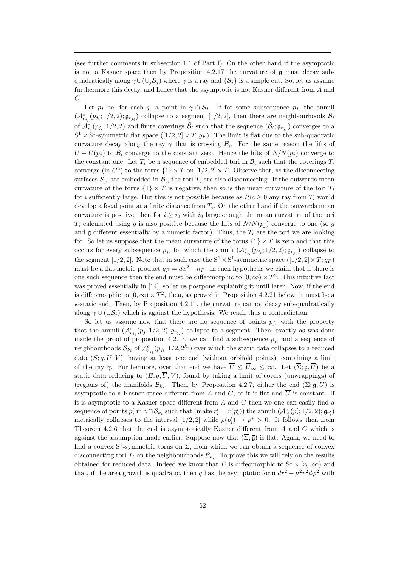(see further comments in subsection 1.1 of Part I). On the other hand if the asymptotic is not a Kasner space then by Proposition  $4.2.17$  the curvature of  $\mathfrak g$  must decay subquadratically along  $\gamma \cup (\cup_i S_j)$  where  $\gamma$  is a ray and  $\{S_i\}$  is a simple cut. So, let us assume furthermore this decay, and hence that the asymptotic is not Kasner different from A and C.

Let  $p_j$  be, for each j, a point in  $\gamma \cap \mathcal{S}_j$ . If for some subsequence  $p_{j_i}$  the annuli  $(\mathcal{A}_{r_{j_i}}^c(p_{j_i};1/2,2); \mathfrak{g}_{r_{j_i}})$  collapse to a segment  $[1/2,2]$ , then there are neighbourhoods  $\mathcal{B}_i$ of  $\mathcal{A}_{r_i}^c(p_{j_i};1/2,2)$  and finite coverings  $\tilde{\mathcal{B}}_i$  such that the sequence  $(\tilde{\mathcal{B}}_i;\mathfrak{g}_{r_{j_i}})$  converges to a  $S^1 \times S^1$ -symmetric flat space  $([1/2, 2] \times T; g_F)$ . The limit is flat due to the sub-quadratic curvature decay along the ray  $\gamma$  that is crossing  $\mathcal{B}_i$ . For the same reason the lifts of  $U - U(p_j)$  to  $\tilde{\mathcal{B}}_i$  converge to the constant zero. Hence the lifts of  $N/N(p_j)$  converge to the constant one. Let  $T_i$  be a sequence of embedded tori in  $\mathcal{B}_i$  such that the coverings  $\tilde{T}_i$ converge (in  $C^2$ ) to the torus  $\{1\} \times T$  on  $[1/2, 2] \times T$ . Observe that, as the disconnecting surfaces  $S_{j_i}$  are embedded in  $\mathcal{B}_i$ , the tori  $T_i$  are also disconnecting. If the outwards mean curvature of the torus  $\{1\} \times T$  is negative, then so is the mean curvature of the tori  $T_i$ for i sufficiently large. But this is not possible because as  $Ric > 0$  any ray from  $T_i$  would develop a focal point at a finite distance from  $T_i$ . On the other hand if the outwards mean curvature is positive, then for  $i \geq i_0$  with  $i_0$  large enough the mean curvature of the tori  $T_i$  calculated using g is also positive because the lifts of  $N/N(p_i)$  converge to one (so g and  $\mathfrak g$  different essentially by a numeric factor). Thus, the  $T_i$  are the tori we are looking for. So let us suppose that the mean curvature of the torus  $\{1\} \times T$  is zero and that this occurs for every subsequence  $p_{j_i}$  for which the annuli  $(\mathcal{A}_{r_{j_i}}^c(p_{j_i}; 1/2, 2); \mathfrak{g}_{r_{j_i}})$  collapse to the segment [1/2, 2]. Note that in such case the  $S^1 \times S^1$ -symmetric space  $([1/2, 2] \times T; g_F)$ must be a flat metric product  $g_F = dx^2 + h_F$ . In such hypothesis we claim that if there is one such sequence then the end must be diffeomorphic to  $[0, \infty) \times T^2$ . This intuitive fact was proved essentially in [14], so let us postpone explaining it until later. Now, if the end is diffeomorphic to  $[0, \infty) \times T^2$ , then, as proved in Proposition 4.2.21 below, it must be a  $\star$ -static end. Then, by Proposition 4.2.11, the curvature cannot decay sub-quadratically along  $\gamma \cup (\cup \mathcal{S}_i)$  which is against the hypothesis. We reach thus a contradiction.

So let us assume now that there are no sequence of points  $p_{i_i}$  with the property that the annuli  $(\mathcal{A}_{r_{j_i}}^c(p_j; 1/2, 2); g_{r_{j_i}})$  collapse to a segment. Then, exactly as was done inside the proof of proposition 4.2.17, we can find a subsequence  $p_{j_i}$  and a sequence of neighbourhoods  $\mathcal{B}_{k_i}$  of  $\mathcal{A}^c_{r_{j_i}}(p_{j_i};1/2,2^{k_i})$  over which the static data collapses to a reduced data  $(S, q, \overline{U}, V)$ , having at least one end (without orbifold points), containing a limit of the ray γ. Furthermore, over that end we have  $\overline{U} \leq \overline{U}_{\infty} \leq \infty$ . Let  $(\overline{\Sigma}; \overline{\mathfrak{g}}, \overline{U})$  be a static data reducing to  $(E; q, \overline{U}, V)$ , found by taking a limit of covers (unwrappings) of (regions of) the manifolds  $\mathcal{B}_{k_i}$ . Then, by Proposition 4.2.7, either the end  $(\overline{\Sigma}; \overline{\mathfrak{g}}, \overline{U})$  is asymptotic to a Kasner space different from A and C, or it is flat and  $\overline{U}$  is constant. If it is asymptotic to a Kasner space different from  $A$  and  $C$  then we one can easily find a sequence of points  $p'_i$  in  $\gamma \cap B_{k_i}$  such that (make  $r'_i = r(p'_i)$ ) the annuli  $(\mathcal{A}_{r'_i}^c(p'_i; 1/2, 2); \mathfrak{g}_{r'_i})$ metrically collapses to the interval  $[1/2, 2]$  while  $\rho(p'_i) \to \rho^* > 0$ . It follows then from Theorem 4.2.6 that the end is asymptotically Kasner different from A and C which is against the assumption made earlier. Suppose now that  $(\overline{\Sigma}; \overline{\mathfrak{g}})$  is flat. Again, we need to find a convex  $S^1$ -symmetric torus on  $\overline{\Sigma}$ , from which we can obtain a sequence of convex disconnecting tori  $T_i$  on the neighbourhoods  $\mathcal{B}_{k_i}$ . To prove this we will rely on the results obtained for reduced data. Indeed we know that E is diffeomorphic to  $S^1 \times [r_0, \infty)$  and that, if the area growth is quadratic, then q has the asymptotic form  $dr^2 + \mu^2 r^2 d\varphi^2$  with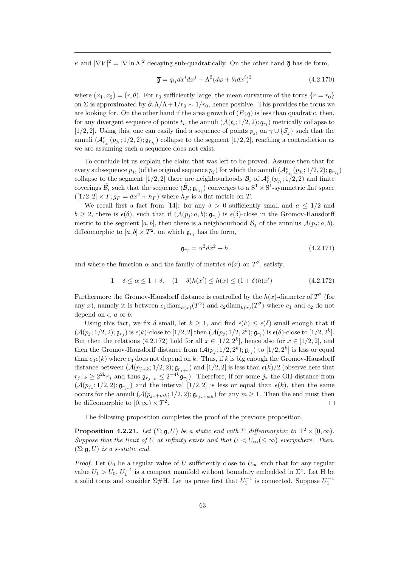$\kappa$  and  $|\nabla V|^2 = |\nabla \ln \Lambda|^2$  decaying sub-quadratically. On the other hand  $\bar{\mathfrak{g}}$  has de form,

$$
\overline{\mathfrak{g}} = q_{ij} dx^i dx^j + \Lambda^2 (d\varphi + \theta_i dx^i)^2 \tag{4.2.170}
$$

where  $(x_1, x_2) = (r, \theta)$ . For  $r_0$  sufficiently large, the mean curvature of the torus  $\{r = r_0\}$ on  $\overline{\Sigma}$  is approximated by  $\partial_r \Lambda / \Lambda + 1/r_0 \sim 1/r_0$ , hence positive. This provides the torus we are looking for. On the other hand if the area growth of  $(E; q)$  is less than quadratic, then, for any divergent sequence of points  $t_i$ , the annuli  $(\mathcal{A}(t_i; 1/2, 2); q_{r_i})$  metrically collapse to [1/2, 2]. Using this, one can easily find a sequence of points  $p_{j_l}$  on  $\gamma \cup {\mathcal{S}_j}$  such that the annuli  $(\mathcal{A}_{r_{j_l}}^c(p_{j_l};1/2,2); \mathfrak{g}_{r_{j_l}})$  collapse to the segment  $[1/2,2]$ , reaching a contradiction as we are assuming such a sequence does not exist.

To conclude let us explain the claim that was left to be proved. Assume then that for every subsequence  $p_{j_i}$  (of the original sequence  $p_j$ ) for which the annuli  $(\mathcal{A}_{r_{j_i}}^c(p_{j_i};1/2,2);\mathfrak{g}_{r_{j_i}})$ collapse to the segment [1/2, 2] there are neighbourhoods  $\mathcal{B}_i$  of  $\mathcal{A}_{r_i}^c(p_{j_i}; 1/2, 2)$  and finite coverings  $\tilde{B}_i$  such that the sequence  $(\tilde{B}_i; \mathfrak{g}_{r_{j_i}})$  converges to a  $S^1 \times S^1$ -symmetric flat space  $([1/2, 2] \times T; g_F = dx^2 + h_F)$  where  $h_F$  is a flat metric on T.

We recall first a fact from [14]: for any  $\delta > 0$  sufficiently small and  $a \leq 1/2$  and  $b \geq 2$ , there is  $\epsilon(\delta)$ , such that if  $(\mathcal{A}(p_j; a, b); \mathfrak{g}_{r_j})$  is  $\epsilon(\delta)$ -close in the Gromov-Hausdorff metric to the segment [a, b], then there is a neighbourhood  $\mathcal{B}_j$  of the annulus  $\mathcal{A}(p_j; a, b)$ , diffeomorphic to  $[a, b] \times T^2$ , on which  $\mathfrak{g}_{r_j}$  has the form,

$$
\mathfrak{g}_{r_j} = \alpha^2 dx^2 + h \tag{4.2.171}
$$

and where the function  $\alpha$  and the family of metrics  $h(x)$  on  $T^2$ , satisfy,

$$
1 - \delta \le \alpha \le 1 + \delta, \quad (1 - \delta)h(x') \le h(x) \le (1 + \delta)h(x')
$$
\n(4.2.172)

Furthermore the Gromov-Hausdorff distance is controlled by the  $h(x)$ -diameter of  $T^2$  (for any x), namely it is between  $c_1 \text{diam}_{h(x)}(T^2)$  and  $c_2 \text{diam}_{h(x)}(T^2)$  where  $c_1$  and  $c_2$  do not depend on  $\epsilon$ , a or b.

Using this fact, we fix  $\delta$  small, let  $k \geq 1$ , and find  $\epsilon(k) \leq \epsilon(\delta)$  small enough that if  $(\mathcal{A}(p_j; 1/2, 2); \mathfrak{g}_{r_j})$  is  $\epsilon(k)$ -close to  $[1/2, 2]$  then  $(\mathcal{A}(p_j; 1/2, 2^k); \mathfrak{g}_{r_j})$  is  $\epsilon(\delta)$ -close to  $[1/2, 2^k]$ . But then the relations (4.2.172) hold for all  $x \in [1/2, 2^k]$ , hence also for  $x \in [1/2, 2]$ , and then the Gromov-Hausdorff distance from  $(\mathcal{A}(p_j; 1/2, 2^k); \mathfrak{g}_{r_j})$  to  $[1/2, 2^k]$  is less or equal than  $c_3\epsilon(k)$  where  $c_3$  does not depend on k. Thus, if k is big enough the Gromov-Hausdorff distance between  $(A(p_{j+k}; 1/2, 2); \mathfrak{g}_{r_{j+k}})$  and  $[1/2, 2]$  is less than  $\epsilon(k)/2$  (observe here that  $r_{j+k} \geq 2^{2k} r_j$  and thus  $\mathfrak{g}_{r_{j+k}} \leq 2^{-4k} \mathfrak{g}_{r_j}$ . Therefore, if for some  $j_*$  the GH-distance from  $(\mathcal{A}(p_{j_*};1/2,2); \mathfrak{g}_{r_{j_*}})$  and the interval  $[1/2,2]$  is less or equal than  $\epsilon(k)$ , then the same occurs for the annuli  $(\mathcal{A}(p_{j_*+mk}; 1/2, 2); \mathfrak{g}_{r_{j_*+mk}})$  for any  $m \geq 1$ . Then the end must then be diffeomorphic to  $[0, \infty) \times T^2$ .  $\Box$ 

The following proposition completes the proof of the previous proposition.

**Proposition 4.2.21.** Let  $(\Sigma; \mathfrak{g}, U)$  be a static end with  $\Sigma$  diffeomorphic to  $T^2 \times [0, \infty)$ . Suppose that the limit of U at infinity exists and that  $U < U_{\infty}(\leq \infty)$  everywhere. Then,  $(\Sigma; \mathfrak{g}, U)$  is a  $\star$ -static end.

*Proof.* Let  $U_0$  be a regular value of U sufficiently close to  $U_\infty$  such that for any regular value  $U_1 > U_0, U_1^{-1}$  is a compact manifold without boundary embedded in  $\Sigma^{\circ}$ . Let H be a solid torus and consider  $\Sigma$ #H. Let us prove first that  $U_1^{-1}$  is connected. Suppose  $U_1^{-1}$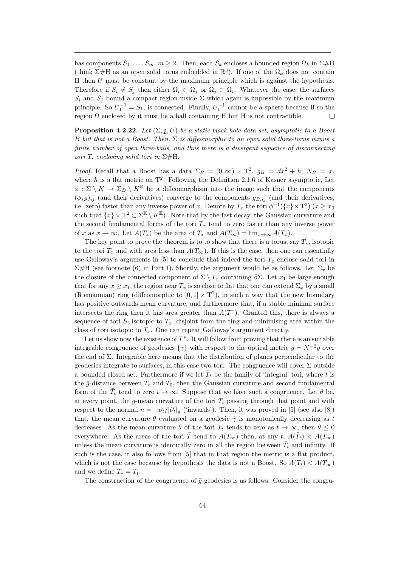has components  $S_1, \ldots, S_m, m \geq 2$ . Then, each  $S_k$  encloses a bounded region  $\Omega_k$  in  $\Sigma \# H$ (think  $\Sigma\#H$  as an open solid torus embedded in  $\mathbb{R}^3$ ). If one of the  $\Omega_k$  does not contain H then U must be constant by the maximum principle which is against the hypothesis. Therefore if  $S_i \neq S_j$  then either  $\Omega_i \subset \Omega_j$  or  $\Omega_j \subset \Omega_i$ . Whatever the case, the surfaces  $S_i$  and  $S_j$  bound a compact region inside  $\Sigma$  which again is impossible by the maximum principle. So  $U_1^{-1} = S_1$ , is connected. Finally,  $U_1^{-1}$  cannot be a sphere because if so the region  $\Omega$  enclosed by it must be a ball containing H but H is not contractible.  $\Box$ 

**Proposition 4.2.22.** Let  $(\Sigma; \mathfrak{g}, U)$  be a static black hole data set, asymptotic to a Boost B but that is not a Boost. Then,  $\Sigma$  is diffeomorphic to an open solid three-torus minus a finite number of open three-balls, and thus there is a divergent sequence of disconnecting tori  $T_i$  enclosing solid tori in  $\Sigma \# H$ .

*Proof.* Recall that a Boost has a data  $\Sigma_B = [0, \infty) \times T^2$ ,  $g_B = dx^2 + h$ ,  $N_B = x$ , where h is a flat metric on  $T^2$ . Following the Definition 2.1.6 of Kasner asymptotic, Let  $\phi : \Sigma \setminus K \to \Sigma_B \setminus K^{K}$  be a diffeomorphism into the image such that the components  $(\phi_*g)_{ij}$  (and their derivatives) converge to the components  $g_{B,ij}$  (and their derivatives, i.e. zero) faster than any inverse power of x. Denote by  $T_x$  the tori  $\phi^{-1}(\lbrace x \rbrace \times T^2)$   $(x \ge x_0)$ such that  $\{x\} \times T^2 \subset \Sigma^{\mathbb{K}} \setminus K^{\mathbb{K}}$ . Note that by the fast decay, the Gaussian curvature and the second fundamental forms of the tori  $T_x$  tend to zero faster than any inverse power of x as  $x \to \infty$ . Let  $A(T_x)$  be the area of  $T_x$  and  $A(T_\infty) = \lim_{x \to \infty} A(T_x)$ .

The key point to prove the theorem is to to show that there is a torus, say  $T_*$ , isotopic to the tori  $T_x$  and with area less than  $A(T_\infty)$ . If this is the case, then one can essentially use Galloway's arguments in [5] to conclude that indeed the tori  $T_x$  enclose solid tori in  $\Sigma$ #H (see footnote (6) in Part I). Shortly, the argument would be as follows. Let  $\Sigma_x$  be the closure of the connected component of  $\Sigma \setminus T_x$  containing  $\partial \Sigma$ . Let  $x_1$  be large enough that for any  $x \geq x_1$ , the region near  $T_x$  is so close to flat that one can extend  $\Sigma_x$  by a small (Riemannian) ring (diffeomorphic to  $[0,1] \times T^2$ ), in such a way that the new boundary has positive outwards mean curvature, and furthermore that, if a stable minimal surface intersects the ring then it has area greater than  $A(T^*)$ . Granted this, there is always a sequence of tori  $S_i$  isotopic to  $T_x$ , disjoint from the ring and minimising area within the class of tori isotopic to  $T_x$ . One can repeat Galloway's argument directly.

Let us show now the existence of  $T^*$ . It will follow from proving that there is an suitable integrable congruence of geodesics  $\{\bar{\gamma}\}\$  with respect to the optical metric  $\bar{g} = N^{-2}g$  over the end of Σ. Integrable here means that the distribution of planes perpendicular to the geodesics integrate to surfaces, in this case two-tori. The congruence will cover  $\Sigma$  outside a bounded closed set. Furthermore if we let  $\bar{T}_t$  be the family of 'integral' tori, where t is the  $\bar{g}$ -distance between  $\bar{T}_t$  and  $\bar{T}_0$ , then the Gaussian curvature and second fundamental form of the  $\bar{T}_t$  tend to zero  $t \to \infty$ . Suppose that we have such a congruence. Let  $\theta$  be, at every point, the g-mean curvature of the tori  $\bar{T}_t$  passing through that point and with respect to the normal  $n = -\partial_t/|\partial_t|_{\bar{g}}$  ('inwards'). Then, it was proved in [5] (see also [8]) that, the mean curvature  $\theta$  evaluated on a geodesic  $\bar{\gamma}$  is monotonically decreasing as t decreases. As the mean curvature  $\theta$  of the tori  $\overline{T}_t$  tends to zero as  $t \to \infty$ , then  $\theta \leq 0$ everywhere. As the areas of the tori  $\overline{T}$  tend to  $A(T_{\infty})$  then, at any  $t, A(\overline{T}_t) < A(T_{\infty})$ unless the mean curvature is identically zero in all the region between  $\bar{T}_t$  and infinity. If such is the case, it also follows from [5] that in that region the metric is a flat product, which is not the case because by hypothesis the data is not a Boost. So  $A(\bar{T}_t) < A(T_\infty)$ and we define  $T_* = \bar{T}_t$ .

The construction of the congruence of  $\bar{g}$  geodesics is as follows. Consider the congru-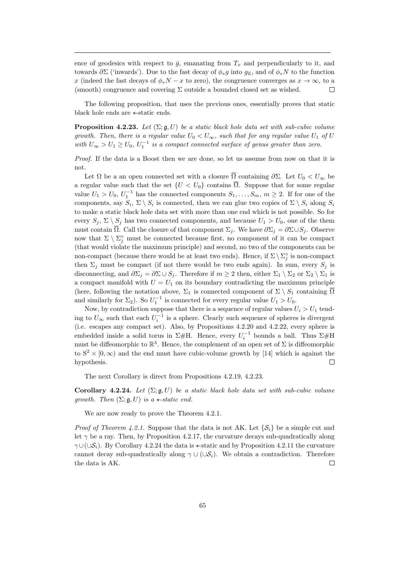ence of geodesics with respect to  $\bar{g}$ , emanating from  $T_x$  and perpendicularly to it, and towards  $\partial \Sigma$  ('inwards'). Due to the fast decay of  $\phi_*q$  into  $q_{\mathbb{K}}$ , and of  $\phi_*N$  to the function x (indeed the fast decays of  $\phi_*N-x$  to zero), the congruence converges as  $x \to \infty$ , to a (smooth) congruence and covering  $\Sigma$  outside a bounded closed set as wished.  $\Box$ 

The following proposition, that uses the previous ones, essentially proves that static black hole ends are  $\star$ -static ends.

**Proposition 4.2.23.** Let  $(\Sigma; \mathfrak{g}, U)$  be a static black hole data set with sub-cubic volume growth. Then, there is a regular value  $U_0 < U_{\infty}$ , such that for any regular value  $U_1$  of U with  $U_{\infty} > U_1 \geq U_0$ ,  $U_1^{-1}$  is a compact connected surface of genus greater than zero.

Proof. If the data is a Boost then we are done, so let us assume from now on that it is not.

Let  $\Omega$  be a an open connected set with a closure  $\overline{\Omega}$  containing  $\partial \Sigma$ . Let  $U_0 < U_{\infty}$  be a regular value such that the set  $\{U < U_0\}$  contains  $\overline{\Omega}$ . Suppose that for some regular value  $U_1 > U_0$ ,  $U_1^{-1}$  has the connected components  $S_1, \ldots, S_m$ ,  $m \geq 2$ . If for one of the components, say  $S_i$ ,  $\Sigma \setminus S_i$  is connected, then we can glue two copies of  $\Sigma \setminus S_i$  along  $S_i$ to make a static black hole data set with more than one end which is not possible. So for every  $S_i$ ,  $\Sigma \setminus S_j$  has two connected components, and because  $U_1 > U_0$ , one of the them must contain  $\overline{\Omega}$ . Call the closure of that component  $\Sigma_j$ . We have  $\partial \Sigma_j = \partial \Sigma \cup S_j$ . Observe now that  $\Sigma \setminus \Sigma_j^{\circ}$  must be connected because first, no component of it can be compact (that would violate the maximum principle) and second, no two of the components can be non-compact (because there would be at least two ends). Hence, if  $\Sigma \setminus \Sigma_j^{\circ}$  is non-compact then  $\Sigma_i$  must be compact (if not there would be two ends again). In sum, every  $S_i$  is disconnecting, and  $\partial \Sigma_j = \partial \Sigma \cup S_j$ . Therefore if  $m \geq 2$  then, either  $\Sigma_1 \setminus \Sigma_2$  or  $\Sigma_2 \setminus \Sigma_1$  is a compact manifold with  $U = U_1$  on its boundary contradicting the maximum principle (here, following the notation above,  $\Sigma_1$  is connected component of  $\Sigma \setminus S_1$  containing  $\overline{\Omega}$ and similarly for  $\Sigma_2$ ). So  $U_1^{-1}$  is connected for every regular value  $U_1 > U_0$ .

Now, by contradiction suppose that there is a sequence of regular values  $U_i > U_1$  tending to  $U_{\infty}$  such that each  $U_i^{-1}$  is a sphere. Clearly such sequence of spheres is divergent (i.e. escapes any compact set). Also, by Propositions 4.2.20 and 4.2.22, every sphere is embedded inside a solid torus in  $\Sigma\# H$ . Hence, every  $U_i^{-1}$  bounds a ball. Thus  $\Sigma\# H$ must be diffeomorphic to  $\mathbb{R}^3$ . Hence, the complement of an open set of  $\Sigma$  is diffeomorphic to  $S^2 \times [0,\infty)$  and the end must have cubic-volume growth by [14] which is against the hypothesis.  $\Box$ 

The next Corollary is direct from Propositions 4.2.19, 4.2.23.

Corollary 4.2.24. Let  $(\Sigma; \mathfrak{g}, U)$  be a static black hole data set with sub-cubic volume growth. Then  $(\Sigma; \mathfrak{g}, U)$  is a  $\star$ -static end.

We are now ready to prove the Theorem 4.2.1.

*Proof of Theorem 4.2.1.* Suppose that the data is not AK. Let  $\{S_i\}$  be a simple cut and let  $\gamma$  be a ray. Then, by Proposition 4.2.17, the curvature decays sub-quadratically along  $\gamma \cup (\cup \mathcal{S}_i)$ . By Corollary 4.2.24 the data is  $\star$ -static and by Proposition 4.2.11 the curvature cannot decay sub-quadratically along  $\gamma \cup (\cup \mathcal{S}_i)$ . We obtain a contradiction. Therefore the data is AK.  $\Box$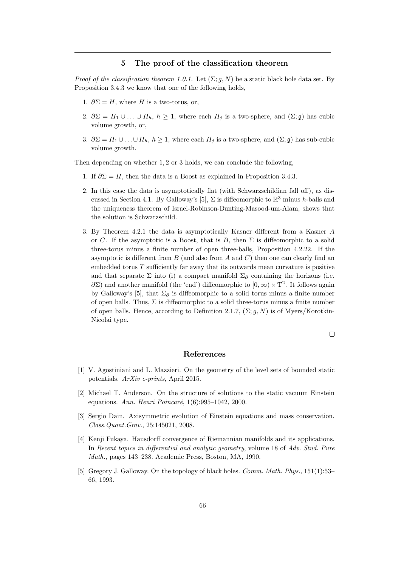## 5 The proof of the classification theorem

*Proof of the classification theorem 1.0.1.* Let  $(\Sigma; g, N)$  be a static black hole data set. By Proposition 3.4.3 we know that one of the following holds,

- 1.  $\partial \Sigma = H$ , where H is a two-torus, or,
- 2.  $\partial \Sigma = H_1 \cup ... \cup H_h$ ,  $h \geq 1$ , where each  $H_j$  is a two-sphere, and  $(\Sigma; \mathfrak{g})$  has cubic volume growth, or,
- 3.  $\partial \Sigma = H_1 \cup ... \cup H_h, h \ge 1$ , where each  $H_j$  is a two-sphere, and  $(\Sigma; \mathfrak{g})$  has sub-cubic volume growth.

Then depending on whether 1, 2 or 3 holds, we can conclude the following,

- 1. If  $\partial \Sigma = H$ , then the data is a Boost as explained in Proposition 3.4.3.
- 2. In this case the data is asymptotically flat (with Schwarzschildian fall off), as discussed in Section 4.1. By Galloway's [5],  $\Sigma$  is diffeomorphic to  $\mathbb{R}^3$  minus h-balls and the uniqueness theorem of Israel-Robinson-Bunting-Masood-um-Alam, shows that the solution is Schwarzschild.
- 3. By Theorem 4.2.1 the data is asymptotically Kasner different from a Kasner A or C. If the asymptotic is a Boost, that is B, then  $\Sigma$  is diffeomorphic to a solid three-torus minus a finite number of open three-balls, Proposition 4.2.22. If the asymptotic is different from  $B$  (and also from  $A$  and  $C$ ) then one can clearly find an embedded torus T sufficiently far away that its outwards mean curvature is positive and that separate  $\Sigma$  into (i) a compact manifold  $\Sigma_{\partial}$  containing the horizons (i.e.  $\partial\Sigma$ ) and another manifold (the 'end') diffeomorphic to  $[0, \infty) \times T^2$ . It follows again by Galloway's [5], that  $\Sigma_{\partial}$  is diffeomorphic to a solid torus minus a finite number of open balls. Thus,  $\Sigma$  is diffeomorphic to a solid three-torus minus a finite number of open balls. Hence, according to Definition 2.1.7,  $(\Sigma; g, N)$  is of Myers/Korotkin-Nicolai type.

 $\Box$ 

### References

- [1] V. Agostiniani and L. Mazzieri. On the geometry of the level sets of bounded static potentials. ArXiv e-prints, April 2015.
- [2] Michael T. Anderson. On the structure of solutions to the static vacuum Einstein equations. Ann. Henri Poincaré,  $1(6):995-1042$ , 2000.
- [3] Sergio Dain. Axisymmetric evolution of Einstein equations and mass conservation. Class.Quant.Grav., 25:145021, 2008.
- [4] Kenji Fukaya. Hausdorff convergence of Riemannian manifolds and its applications. In Recent topics in differential and analytic geometry, volume 18 of Adv. Stud. Pure Math., pages 143–238. Academic Press, Boston, MA, 1990.
- [5] Gregory J. Galloway. On the topology of black holes. Comm. Math. Phys., 151(1):53– 66, 1993.